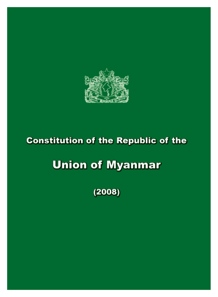

## **Constitution of the Republic of the**

## **Union of Myanmar**

## $(2008)$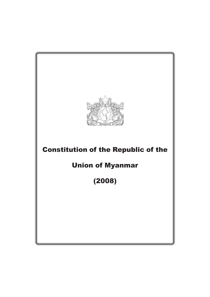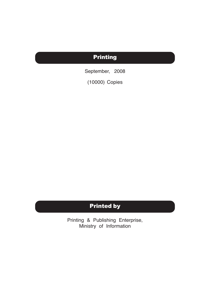### Printing

September, 2008

(10000) Copies

### Printed by

Printing & Publishing Enterprise, Ministry of Information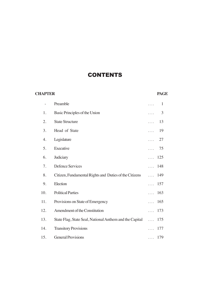### **CONTENTS**

### **CHAPTER PAGE**

|     | Preamble                                                |           | $\mathbf{1}$ |
|-----|---------------------------------------------------------|-----------|--------------|
| 1.  | Basic Principles of the Union                           | $\cdots$  | 3            |
| 2.  | <b>State Structure</b>                                  | $\cdots$  | 13           |
| 3.  | Head of State                                           | $\cdots$  | 19           |
| 4.  | Legislature                                             | $\cdots$  | 27           |
| 5.  | Executive                                               | $\ddotsc$ | 75           |
| 6.  | Judiciary                                               |           | $\ldots$ 125 |
| 7.  | <b>Defence Services</b>                                 | $\cdots$  | 148          |
| 8.  | Citizen, Fundamental Rights and Duties of the Citizens  |           | $\ldots$ 149 |
| 9.  | Election                                                | $\ddotsc$ | 157          |
| 10. | <b>Political Parties</b>                                |           | $\ldots$ 163 |
| 11. | Provisions on State of Emergency                        |           | $\ldots$ 165 |
| 12. | Amendment of the Constitution                           | $\cdots$  | 173          |
| 13. | State Flag, State Seal, National Anthem and the Capital |           | 175          |
| 14. | <b>Transitory Provisions</b>                            | $\cdots$  | 177          |
| 15. | <b>General Provisions</b>                               | $\ddotsc$ | 179          |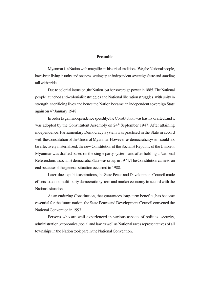#### **Preamble**

Myanmar is a Nation with magnificent historical traditions. We, the National people, have been living in unity and oneness, setting up an independent sovereign State and standing tall with pride.

Due to colonial intrusion, the Nation lost her sovereign power in 1885. The National people launched anti-colonialist struggles and National liberation struggles, with unity in strength, sacrificing lives and hence the Nation became an independent sovereign State again on 4<sup>th</sup> January 1948.

In order to gain independence speedily, the Constitution was hastily drafted, and it was adopted by the Constitutent Assembly on 24<sup>th</sup> September 1947. After attaining independence, Parliamentary Democracy System was practised in the State in accord with the Constitution of the Union of Myanmar. However, as democratic system could not be effectively materialized, the new Constitution of the Socialist Republic of the Union of Myanmar was drafted based on the single party system, and after holding a National Referendum, a socialist democratic State was set up in 1974. The Constitution came to an end because of the general situation occurred in 1988.

Later, due to public aspirations, the State Peace and Development Council made efforts to adopt multi-party democratic system and market economy in accord with the National situation.

As an enduring Constitution, that guarantees long-term benefits, has become essential for the future nation, the State Peace and Development Council convened the National Convention in 1993.

Persons who are well experienced in various aspects of politics, security, administration, economics, social and law as well as National races representatives of all townships in the Nation took part in the National Convention.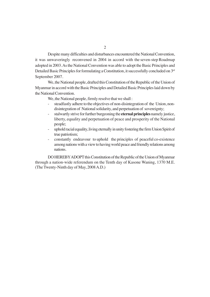Despite many difficulties and disturbances encountered the National Convention, it was unwaveringly reconvened in 2004 in accord with the seven-step Roadmap adopted in 2003. As the National Convention was able to adopt the Basic Principles and Detailed Basic Principles for formulating a Constitution, it successfully concluded on 3rd September 2007.

We, the National people, drafted this Constitution of the Republic of the Union of Myanmar in accord with the Basic Principles and Detailed Basic Principles laid down by the National Convention.

We, the National people, firmly resolve that we shall :

- steadfastly adhere to the objectives of non-disintegration of the Union, nondisintegration of National solidarity, and perpetuation of sovereignty;
- stalwartly strive for further burgeoning the **eternal principles** namely justice, liberty, equality and perpetuation of peace and prosperity of the National people;
- uphold racial equality, living eternally in unity fostering the firm Union Spirit of true patriotism;
- constantly endeavour to uphold the principles of peaceful co-existence among nations with a view to having world peace and friendly relations among nations.

DO HEREBY ADOPT this Constitution of the Republic of the Union of Myanmar through a nation-wide referendum on the Tenth day of Kasone Waning, 1370 M.E. (The Twenty-Ninth day of May, 2008 A.D.)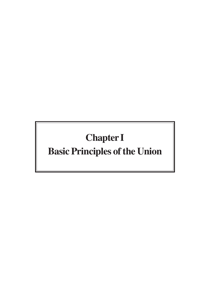## **Chapter I**

## **Basic Principles of the Union**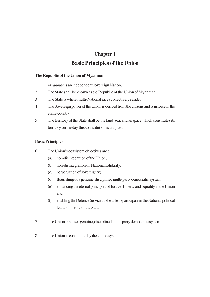### **Chapter I Basic Principles of the Union**

### **The Republic of the Union of Myanmar**

- 1. *Myanmar* is an independent sovereign Nation.
- 2. The State shall be known as the Republic of the Union of Myanmar.
- 3. The State is where multi-National races collectively reside.
- 4. The Sovereign power of the Union is derived from the citizens and is in force in the entire country.
- 5. The territory of the State shall be the land, sea, and airspace which constitutes its territory on the day this Constitution is adopted.

#### **Basic Principles**

- 6. The Union's consistent objectives are :
	- (a) non-disintegration of the Union;
	- (b) non-disintegration of National solidarity;
	- (c) perpetuation of sovereignty;
	- (d) flourishing of a genuine, disciplined multi-party democratic system;
	- (e) enhancing the eternal principles of Justice, Liberty and Equality in the Union and;
	- (f) enabling the Defence Services to be able to participate in the National political leadership role of the State.
- 7. The Union practises genuine, disciplined multi-party democratic system.
- 8. The Union is constituted by the Union system.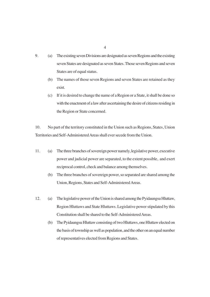- 9. (a) The existing seven Divisions are designated as seven Regions and the existing seven States are designated as seven States. Those seven Regions and seven States are of equal status.
	- (b) The names of those seven Regions and seven States are retained as they exist.
	- (c) If it is desired to change the name of a Region or a State, it shall be done so with the enactment of a law after ascertaining the desire of citizens residing in the Region or State concerned.

10. No part of the territory constituted in the Union such as Regions, States, Union Territories and Self-Administered Areas shall ever secede from the Union.

- 11. (a) The three branches of sovereign power namely, legislative power, executive power and judicial power are separated, to the extent possible, and exert reciprocal control, check and balance among themselves.
	- (b) The three branches of sovereign power, so separated are shared among the Union, Regions, States and Self-Administered Areas.
- 12. (a) The legislative power of the Union is shared among the Pyidaungsu Hluttaw, Region Hluttaws and State Hluttaws. Legislative power stipulated by this Constitution shall be shared to the Self-Administered Areas.
	- (b) The Pyidaungsu Hluttaw consisting of two Hluttaws, one Hluttaw elected on the basis of township as well as population, and the other on an equal number of representatives elected from Regions and States.

4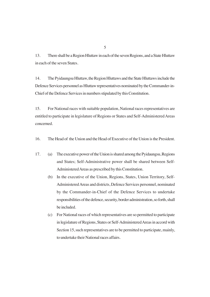13. There shall be a Region Hluttaw in each of the seven Regions, and a State Hluttaw in each of the seven States.

14. The Pyidaungsu Hluttaw, the Region Hluttaws and the State Hluttaws include the Defence Services personnel as Hluttaw representatives nominated by the Commander-in-Chief of the Defence Services in numbers stipulated by this Constitution.

15. For National races with suitable population, National races representatives are entitled to participate in legislature of Regions or States and Self-Administered Areas concerned.

16. The Head of the Union and the Head of Executive of the Union is the President.

- 17. (a) The executive power of the Union is shared among the Pyidaungsu, Regions and States; Self-Administrative power shall be shared between Self-Administered Areas as prescribed by this Constitution.
	- (b) In the executive of the Union, Regions, States, Union Territory, Self-Administered Areas and districts, Defence Services personnel, nominated by the Commander-in-Chief of the Defence Services to undertake responsibilities of the defence, security, border administration, so forth, shall be included.
	- (c) For National races of which representatives are so permitted to participate in legislature of Regions, States or Self-Administered Areas in accord with Section 15, such representatives are to be permitted to participate, mainly, to undertake their National races affairs.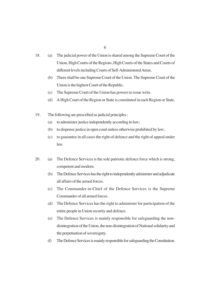- 6
- 18. (a) The judicial power of the Union is shared among the Supreme Court of the Union, High Courts of the Regions, High Courts of the States and Courts of different levels including Courts of Self-Administered Areas.
	- (b) There shall be one Supreme Court of the Union. The Supreme Court of the Union is the highest Court of the Republic.
	- (c) The Supreme Court of the Union has powers to issue writs.
	- (d) A High Court of the Region or State is constituted in each Region or State.
- 19. The following are prescribed as judicial principles :
	- (a) to administer justice independently according to law;
	- (b) to dispense justice in open court unless otherwise prohibited by law;
	- (c) to guarantee in all cases the right of defence and the right of appeal under law.
- 20. (a) The Defence Services is the sole patriotic defence force which is strong, competent and modern.
	- (b) The Defence Services has the right to independently administer and adjudicate all affairs of the armed forces.
	- (c) The Commander-in-Chief of the Defence Services is the Supreme Commander of all armed forces.
	- (d) The Defence Services has the right to administer for participation of the entire people in Union security and defence.
	- (e) The Defence Services is mainly responsible for safeguarding the nondisintegration of the Union, the non-disintegration of National solidarity and the perpetuation of sovereignty.
	- (f) The Defence Services is mainly responsible for safeguarding the Constitution.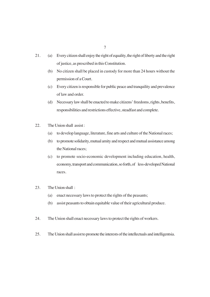- 21. (a) Every citizen shall enjoy the right of equality, the right of liberty and the right of justice, as prescribed in this Constitution.
	- (b) No citizen shall be placed in custody for more than 24 hours without the permission of a Court.
	- (c) Every citizen is responsible for public peace and tranquility and prevalence of law and order.
	- (d) Necessary law shall be enacted to make citizens' freedoms, rights, benefits, responsibilities and restrictions effective, steadfast and complete.
- 22. The Union shall assist :
	- (a) to develop language, literature, fine arts and culture of the National races;
	- (b) to promote solidarity, mutual amity and respect and mutual assistance among the National races;
	- (c) to promote socio-economic development including education, health, economy, transport and communication, so forth, of less-developed National races.
- 23. The Union shall :
	- (a) enact necessary laws to protect the rights of the peasants;
	- (b) assist peasants to obtain equitable value of their agricultural produce.
- 24. The Union shall enact necessary laws to protect the rights of workers.
- 25. The Union shall assist to promote the interests of the intellectuals and intelligentsia.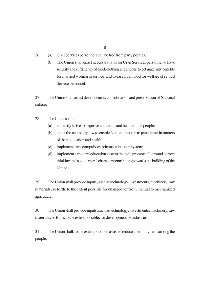- 26. (a) Civil Services personnel shall be free from party politics.
	- (b) The Union shall enact necessary laws for Civil Services personnel to have security and sufficiency of food, clothing and shelter, to get maternity benefits for married women in service, and to ease livelihood for welfare of retired Service personnel.

27. The Union shall assist development, consolidation and preservation of National culture.

- 28. The Union shall :
	- (a) earnestly strive to improve education and health of the people;
	- (b) enact the necessary law to enable National people to participate in matters of their education and health;
	- (c) implement free, compulsory primary education system;
	- (d) implement a modern education system that will promote all-around correct thinking and a good moral character contributing towards the building of the Nation.

29. The Union shall provide inputs, such as technology, investments, machinery, raw materials, so forth, to the extent possible for changeover from manual to mechanized agriculture.

30. The Union shall provide inputs, such as technology, investments, machinery, raw materials, so forth, to the extent possible, for development of industries.

31. The Union shall, to the extent possible, assist to reduce unemployment among the people.

8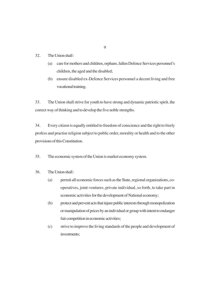- 32. The Union shall :
	- (a) care for mothers and children, orphans, fallen Defence Services personnel's children, the aged and the disabled;
	- (b) ensure disabled ex-Defence Services personnel a decent living and free vocational training.

33. The Union shall strive for youth to have strong and dynamic patriotic spirit, the correct way of thinking and to develop the five noble strengths.

34. Every citizen is equally entitled to freedom of conscience and the right to freely profess and practise religion subject to public order, morality or health and to the other provisions of this Constitution.

35. The economic system of the Union is market economy system.

#### 36. The Union shall :

- (a) permit all economic forces such as the State, regional organizations, cooperatives, joint-ventures, private individual, so forth, to take part in economic activities for the development of National economy;
- (b) protect and prevent acts that injure public interests through monopolization or manipulation of prices by an individual or group with intent to endanger fair competition in economic activities;
- (c) strive to improve the living standards of the people and development of investments;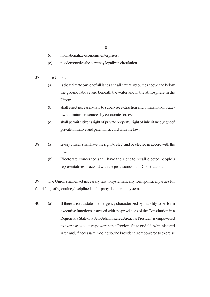- (d) not nationalize economic enterprises;
- (e) not demonetize the currency legally in circulation.
- 37. The Union :
	- (a) is the ultimate owner of all lands and all natural resources above and below the ground, above and beneath the water and in the atmosphere in the Union;
	- (b) shall enact necessary law to supervise extraction and utilization of Stateowned natural resources by economic forces;
	- (c) shall permit citizens right of private property, right of inheritance, right of private initiative and patent in accord with the law.
- 38. (a) Every citizen shall have the right to elect and be elected in accord with the law.
	- (b) Electorate concerned shall have the right to recall elected people's representatives in accord with the provisions of this Constitution.

39. The Union shall enact necessary law to systematically form political parties for flourishing of a genuine, disciplined multi-party democratic system.

40. (a) If there arises a state of emergency characterized by inability to perform executive functions in accord with the provisions of the Constitution in a Region or a State or a Self-Administered Area, the President is empowered to exercise executive power in that Region, State or Self-Administered Area and, if necessary in doing so, the President is empowered to exercise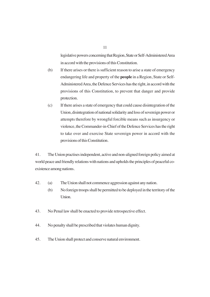legislative powers concerning that Region, State or Self-Administered Area in accord with the provisions of this Constitution.

- (b) If there arises or there is sufficient reason to arise a state of emergency endangering life and property of the **people** in a Region, State or Self-Administered Area, the Defence Services has the right, in accord with the provisions of this Constitution, to prevent that danger and provide protection.
- (c) If there arises a state of emergency that could cause disintegration of the Union, disintegration of national solidarity and loss of sovereign power or attempts therefore by wrongful forcible means such as insurgency or violence, the Commander-in-Chief of the Defence Services has the right to take over and exercise State sovereign power in accord with the provisions of this Constitution.

41. The Union practises independent, active and non-aligned foreign policy aimed at world peace and friendly relations with nations and upholds the principles of peaceful coexistence among nations.

- 42. (a) The Union shall not commence aggression against any nation.
	- (b) No foreign troops shall be permitted to be deployed in the territory of the Union.
- 43. No Penal law shall be enacted to provide retrospective effect.
- 44. No penalty shall be prescribed that violates human dignity.
- 45. The Union shall protect and conserve natural environment.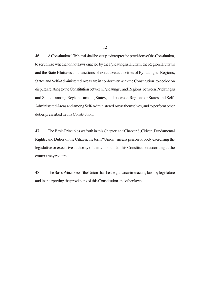46. A Constitutional Tribunal shall be set up to interpret the provisions of the Constitution, to scrutinize whether or not laws enacted by the Pyidaungsu Hluttaw, the Region Hluttaws and the State Hluttaws and functions of executive authorities of Pyidaungsu, Regions, States and Self-Administered Areas are in conformity with the Constitution, to decide on disputes relating to the Constitution between Pyidaungsu and Regions, between Pyidaungsu and States, among Regions, among States, and between Regions or States and Self-Administered Areas and among Self-Administered Areas themselves, and to perform other duties prescribed in this Constitution.

47. The Basic Principles set forth in this Chapter, and Chapter 8, Citizen, Fundamental Rights, and Duties of the Citizen, the term "Union" means person or body exercising the legislative or executive authority of the Union under this Constitution according as the context may require.

48. The Basic Principles of the Union shall be the guidance in enacting laws by legislature and in interpreting the provisions of this Constitution and other laws.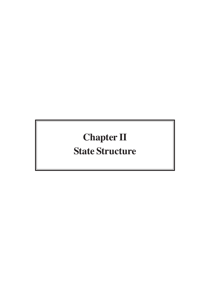## **Chapter II**

## **State Structure**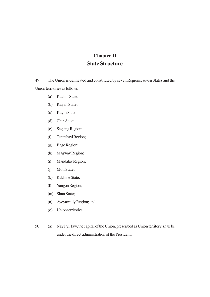### **Chapter II State Structure**

49. The Union is delineated and constituted by seven Regions, seven States and the Union territories as follows :

- (a) Kachin State;
- (b) Kayah State;
- (c) Kayin State;
- (d) Chin State;
- (e) Sagaing Region;
- (f) Taninthayi Region;
- (g) Bago Region;
- (h) Magway Region;
- (i) Mandalay Region;
- (j) Mon State;
- (k) Rakhine State;
- (l) Yangon Region;
- (m) Shan State;
- (n) Ayeyawady Region; and
- (o) Union territories.
- 50. (a) Nay Pyi Taw, the capital of the Union, prescribed as Union territory, shall be under the direct administration of the President.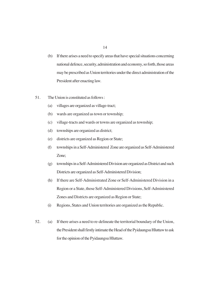- (b) If there arises a need to specify areas that have special situations concerning national defence, security, administration and economy, so forth, those areas may be prescribed as Union territories under the direct administration of the President after enacting law.
- 51. The Union is constituted as follows :
	- (a) villages are organized as village-tract;
	- (b) wards are organized as town or township;
	- (c) village-tracts and wards or towns are organized as township;
	- (d) townships are organized as district;
	- (e) districts are organized as Region or State;
	- (f) townships in a Self-Administered Zone are organized as Self-Administered Zone;
	- (g) townships in a Self-Administered Division are organized as District and such Districts are organized as Self-Administered Division;
	- (h) If there are Self-Administrated Zone or Self-Administered Division in a Region or a State, those Self-Administered Divisions, Self-Administered Zones and Districts are organized as Region or State;
	- (i) Regions, States and Union territories are organized as the Republic.
- 52. (a) If there arises a need to re-delineate the territorial boundary of the Union, the President shall firstly intimate the Head of the Pyidaungsu Hluttaw to ask for the opinion of the Pyidaungsu Hluttaw.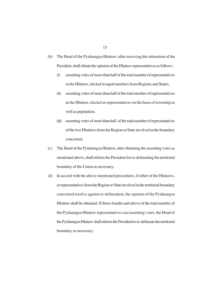- (b) The Head of the Pyidaungsu Htuttaw, after receiving the intimation of the President, shall obtain the opinion of the Hluttaw representatives as follows :
	- (i) assenting votes of more than half of the total number of representatives in the Hluttaw, elected in equal numbers from Regions and States;
	- (ii) assenting votes of more than half of the total number of representatives in the Hluttaw, elected as representatives on the basis of township as well as population;
	- (iii) assenting votes of more than half of the total number of representatives of the two Hluttaws from the Region or State involved in the boundary concerned.
- (c) The Head of the Pyidaungsu Hluttaw, after obtaining the assenting votes as mentioned above, shall inform the President for re-delineating the territorial boundary of the Union as necessary.
- (d) In accord with the above-mentioned procedures, if either of the Hluttaws, or representatives from the Region or State involved in the territorial boundary concerned resolve against re-delineation, the opinion of the Pyidaungsu Hluttaw shall be obtained. If three-fourths and above of the total number of the Pyidaungsu Hluttaw representatives cast assenting votes, the Head of the Pyidaungsu Hluttaw shall inform the President to re-delineate the territorial boundary as necessary.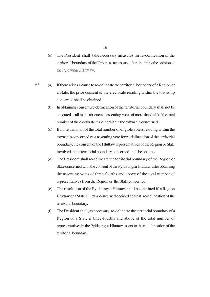- (e) The President shall take necessary measures for re-delineation of the territorial boundary of the Union, as necessary, after obtaining the opinion of the Pyidaungsu Hluttaw.
- 53. (a) If there arises a cause to re-delineate the territorial boundary of a Region or a State, the prior consent of the electorate residing within the township concerned shall be obtained.
	- (b) In obtaining consent, re-delineation of the territorial boundary shall not be executed at all in the absence of assenting votes of more than half of the total number of the electorate residing within the township concerned.
	- (c) If more than half of the total number of eligible voters residing within the township concerned cast assenting vote for re-delineation of the territorial boundary, the consent of the Hluttaw representatives of the Region or State involved in the territorial boundary concerned shall be obtained.
	- (d) The President shall re-delineate the territorial boundary of the Region or State concerned with the consent of the Pyidaungsu Hluttaw, after obtaining the assenting votes of three-fourths and above of the total number of representatives from the Region or the State concerned.
	- (e) The resolution of the Pyidaungsu Hluttaw shall be obtained if a Region Hluttaw or a State Hluttaw concerned decided against re-delineation of the territorial boundary.
	- (f) The President shall, as necessary, re-delineate the territorial boundary of a Region or a State if three-fourths and above of the total number of representatives in the Pyidaungsu Hluttaw assent to the re-delineation of the territorial boundary.

16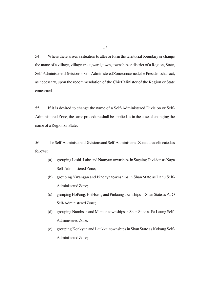54. Where there arises a situation to alter or form the territorial boundary or change the name of a village, village-tract, ward, town, township or district of a Region, State, Self-Administered Division or Self-Administered Zone concerned, the President shall act, as necessary, upon the recommendation of the Chief Minister of the Region or State concerned.

55. If it is desired to change the name of a Self-Administered Division or Self-Administered Zone, the same procedure shall be applied as in the case of changing the name of a Region or State.

56. The Self-Administered Divisions and Self-Administered Zones are delineated as follows :

- (a) grouping Leshi, Lahe and Namyun townships in Sagaing Division as Naga Self-Administered Zone;
- (b) grouping Ywangan and Pindaya townships in Shan State as Danu Self-Administered Zone;
- (c) grouping HoPong, HsiHseng and Pinlaung townships in Shan State as Pa-O Self-Administered Zone;
- (d) grouping Namhsan and Manton townships in Shan State as Pa Laung Self-Administered Zone;
- (e) grouping Konkyan and Laukkai townships in Shan State as Kokang Self-Administered Zone;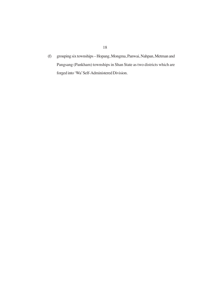(f) grouping six townships – Hopang, Mongma, Panwai, Nahpan, Metman and Pangsang (Pankham) townships in Shan State as two districts which are forged into 'Wa' Self-Administered Division.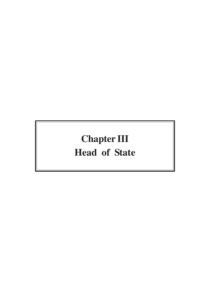# **Chapter III**

## **Head of State**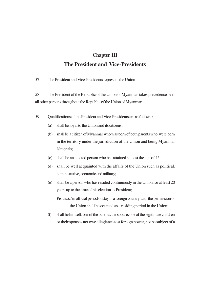### **Chapter III The President and Vice-Presidents**

57. The President and Vice-Presidents represent the Union.

58. The President of the Republic of the Union of Myanmar takes precedence over all other persons throughout the Republic of the Union of Myanmar.

59. Qualifications of the President and Vice-Presidents are as follows :

- (a) shall be loyal to the Union and its citizens;
- (b) shall be a citizen of Myanmar who was born of both parents who were born in the territory under the jurisdiction of the Union and being Myanmar Nationals;
- (c) shall be an elected person who has attained at least the age of 45;
- (d) shall be well acquainted with the affairs of the Union such as political, administrative, economic and military;
- (e) shall be a person who has resided continuously in the Union for at least 20 years up to the time of his election as President;

Proviso: An official period of stay in a foreign country with the permission of the Union shall be counted as a residing period in the Union;

(f) shall he himself, one of the parents, the spouse, one of the legitimate children or their spouses not owe allegiance to a foreign power, not be subject of a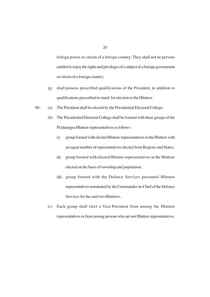foreign power or citizen of a foreign country. They shall not be persons entitled to enjoy the rights and privileges of a subject of a foreign government or citizen of a foreign country;

- (g) shall possess prescribed qualifications of the President, in addition to qualifications prescribed to stand for election to the Hluttaw.
- 60. (a) The President shall be elected by the Presidential Electoral College.
	- (b) The Presidential Electoral College shall be formed with three groups of the Pyidaungsu Hluttaw representatives as follows :
		- (i) group formed with elected Hluttaw representatives in the Hluttaw with an equal number of representatives elected from Regions and States;
		- (ii) group formed with elected Hluttaw representatives in the Hluttaw elected on the basis of township and population;
		- (iii) group formed with the Defence Services personnel Hluttaw representatives nominated by the Commander-in-Chief of the Defence Services for the said two Hluttaws.
	- (c) Each group shall elect a Vice-President from among the Hluttaw representatives or from among persons who are not Hluttaw representatives.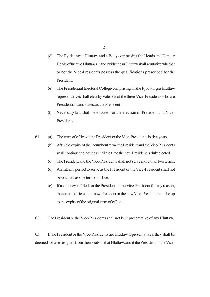- (d) The Pyidaungsu Hluttaw and a Body comprising the Heads and Deputy Heads of the two Hluttaws in the Pyidaungsu Hluttaw shall scrutinize whether or not the Vice-Presidents possess the qualifications prescribed for the President.
- (e) The Presidential Electoral College comprising all the Pyidaungsu Hluttaw representatives shall elect by vote one of the three Vice-Presidents who are Presidential candidates, as the President.
- (f) Necessary law shall be enacted for the election of President and Vice-Presidents.
- 61. (a) The term of office of the President or the Vice-Presidents is five years.
	- (b) After the expiry of the incumbent term, the President and the Vice-Presidents shall continue their duties until the time the new President is duly elected.
	- (c) The President and the Vice-Presidents shall not serve more than two terms.
	- (d) An interim period to serve as the President or the Vice-President shall not be counted as one term of office.
	- (e) If a vacancy is filled for the President or the Vice-President for any reason, the term of office of the new President or the new Vice-President shall be up to the expiry of the original term of office.
- 62. The President or the Vice-Presidents shall not be representative of any Hluttaw.

63. If the President or the Vice-Presidents are Hluttaw representatives, they shall be deemed to have resigned from their seats in that Hluttaw, and if the President or the Vice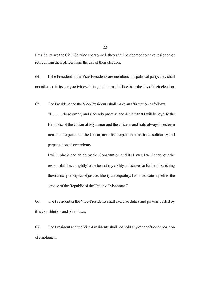Presidents are the Civil Services personnel, they shall be deemed to have resigned or retired from their offices from the day of their election.

64. If the President or the Vice-Presidents are members of a political party, they shall not take part in its party activities during their term of office from the day of their election.

65. The President and the Vice-Presidents shall make an affirmation as follows:

"I ........... do solemnly and sincerely promise and declare that I will be loyal to the Republic of the Union of Myanmar and the citizens and hold always in esteem non-disintegration of the Union, non-disintegration of national solidarity and perpetuation of sovereignty.

I will uphold and abide by the Constitution and its Laws. I will carry out the responsibilities uprightly to the best of my ability and strive for further flourishing the **eternal principles** of justice, liberty and equality. I will dedicate myself to the service of the Republic of the Union of Myanmar."

66. The President or the Vice-Presidents shall exercise duties and powers vested by this Constitution and other laws.

67. The President and the Vice-Presidents shall not hold any other office or position of emolument.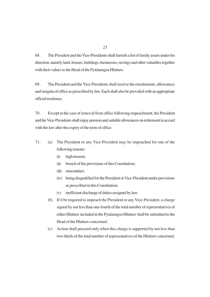68. The President and the Vice-Presidents shall furnish a list of family assets under his direction, namely land, houses, buildings, businesses, savings and other valuables together with their values to the Head of the Pyidaungsu Hluttaw.

69. The President and the Vice-Presidents shall receive the emoluments, allowances and insignia of office as prescribed by law. Each shall also be provided with an appropriate official residence.

70. Except in the case of removal from office following impeachment, the President and the Vice-Presidents shall enjoy pension and suitable allowances on retirement in accord with the law after the expiry of the term of office.

- 71. (a) The President or any Vice-President may be impeached for one of the following reasons :
	- (i) high treason;
	- (ii) breach of the provisions of this Constitution;
	- (iii) misconduct;
	- (iv) being disqualified for the President or Vice-President under provisions as prescribed in this Constitution;
	- (v) inefficient discharge of duties assigned by law.
	- (b) If it be required to impeach the President or any Vice-President, a charge signed by not less than one-fourth of the total number of representatives of either Hluttaw included in the Pyidaungsu Hluttaw shall be submitted to the Head of the Hluttaw concerned.
	- (c) Action shall proceed only when this charge is supported by not less than two-thirds of the total number of representatives of the Hluttaw concerned.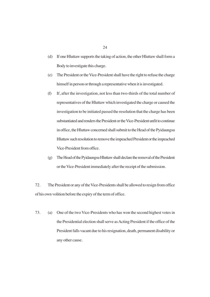- (d) If one Hluttaw supports the taking of action, the other Hluttaw shall form a Body to investigate this charge.
- (e) The President or the Vice-President shall have the right to refuse the charge himself in person or through a representative when it is investigated.
- (f) If, after the investigation, not less than two-thirds of the total number of representatives of the Hluttaw which investigated the charge or caused the investigation to be initiated passed the resolution that the charge has been substantiated and renders the President or the Vice-President unfit to continue in office, the Hluttaw concerned shall submit to the Head of the Pyidaungsu Hluttaw such resolution to remove the impeached President or the impeached Vice-President from office.
- (g) The Head of the Pyidaungsu Hluttaw shall declare the removal of the President or the Vice-President immediately after the receipt of the submission.

72. The President or any of the Vice-Presidents shall be allowed to resign from office of his own volition before the expiry of the term of office.

73. (a) One of the two Vice-Presidents who has won the second highest votes in the Presidential election shall serve as Acting President if the office of the President falls vacant due to his resignation, death, permanent disability or any other cause.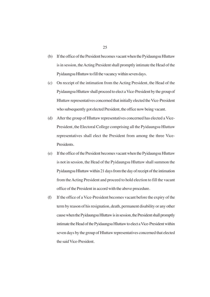- (b) If the office of the President becomes vacant when the Pyidaungsu Hluttaw is in session, the Acting President shall promptly intimate the Head of the Pyidaungsu Hluttaw to fill the vacancy within seven days.
- (c) On receipt of the intimation from the Acting President, the Head of the Pyidaungsu Hluttaw shall proceed to elect a Vice-President by the group of Hluttaw representatives concerned that initially elected the Vice-President who subsequently got elected President, the office now being vacant.
- (d) After the group of Hluttaw representatives concerned has elected a Vice-President, the Electoral College comprising all the Pyidaungsu Hluttaw representatives shall elect the President from among the three Vice-Presidents.
- (e) If the office of the President becomes vacant when the Pyidaungsu Hluttaw is not in session, the Head of the Pyidaungsu Hluttaw shall summon the Pyidaungsu Hluttaw within 21 days from the day of receipt of the intimation from the Acting President and proceed to hold election to fill the vacant office of the President in accord with the above procedure.
- (f) If the office of a Vice-President becomes vacant before the expiry of the term by reason of his resignation, death, permanent disability or any other cause when the Pyidaungsu Hluttaw is in session, the President shall promptly intimate the Head of the Pyidaungsu Hluttaw to elect a Vice-President within seven days by the group of Hluttaw representatives concerned that elected the said Vice-President.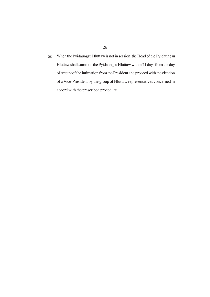(g) When the Pyidaungsu Hluttaw is not in session, the Head of the Pyidaungsu Hluttaw shall summon the Pyidaungsu Hluttaw within 21 days from the day of receipt of the intimation from the President and proceed with the election of a Vice-President by the group of Hluttaw representatives concerned in accord with the prescribed procedure.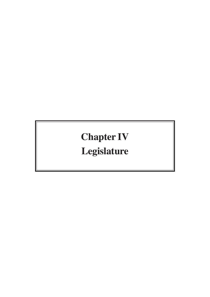## **Chapter IV**

**Legislature**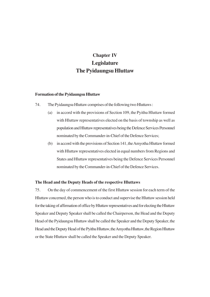### **Chapter IV Legislature The Pyidaungsu Hluttaw**

#### **Formation of the Pyidaungsu Hluttaw**

- 74. The Pyidaungsu Hluttaw comprises of the following two Hluttaws :
	- (a) in accord with the provisions of Section 109, the Pyithu Hluttaw formed with Hluttaw representatives elected on the basis of township as well as population and Hluttaw representatives being the Defence Services Personnel nominated by the Commander-in-Chief of the Defence Services;
	- (b) in accord with the provisions of Section 141, the Amyotha Hluttaw formed with Hluttaw representatives elected in equal numbers from Regions and States and Hluttaw representatives being the Defence Services Personnel nominated by the Commander-in-Chief of the Defence Services.

#### **The Head and the Deputy Heads of the respective Hluttaws**

75. On the day of commencement of the first Hluttaw session for each term of the Hluttaw concerned, the person who is to conduct and supervise the Hluttaw session held for the taking of affirmation of office by Hluttaw representatives and for electing the Hluttaw Speaker and Deputy Speaker shall be called the Chairperson, the Head and the Deputy Head of the Pyidaungsu Hluttaw shall be called the Speaker and the Deputy Speaker, the Head and the Deputy Head of the Pyithu Hluttaw, the Amyotha Hluttaw, the Region Hluttaw or the State Hluttaw shall be called the Speaker and the Deputy Speaker.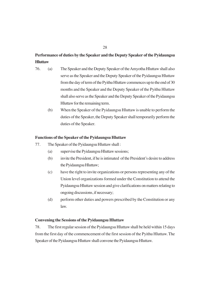### **Performance of duties by the Speaker and the Deputy Speaker of the Pyidaungsu Hluttaw**

- 76. (a) The Speaker and the Deputy Speaker of the Amyotha Hluttaw shall also serve as the Speaker and the Deputy Speaker of the Pyidaungsu Hluttaw from the day of term of the Pyithu Hluttaw commences up to the end of 30 months and the Speaker and the Deputy Speaker of the Pyithu Hluttaw shall also serve as the Speaker and the Deputy Speaker of the Pyidaungsu Hluttaw for the remaining term.
	- (b) When the Speaker of the Pyidaungsu Hluttaw is unable to perform the duties of the Speaker, the Deputy Speaker shall temporarily perform the duties of the Speaker.

#### **Functions of the Speaker of the Pyidaungsu Hluttaw**

- 77. The Speaker of the Pyidaungsu Hluttaw shall :
	- (a) supervise the Pyidaungsu Hluttaw sessions;
	- (b) invite the President, if he is intimated of the President's desire to address the Pyidaungsu Hluttaw;
	- (c) have the right to invite organizations or persons representing any of the Union level organizations formed under the Constitution to attend the Pyidaungsu Hluttaw session and give clarifications on matters relating to ongoing discussions, if necessary;
	- (d) perform other duties and powers prescribed by the Constitution or any law.

#### **Convening the Sessions of the Pyidaungsu Hluttaw**

78. The first regular session of the Pyidaungsu Hluttaw shall be held within 15 days from the first day of the commencement of the first session of the Pyithu Hluttaw. The Speaker of the Pyidaungsu Hluttaw shall convene the Pyidaungsu Hluttaw.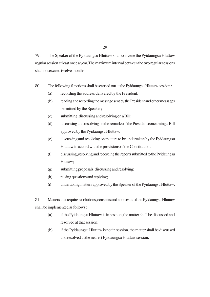79. The Speaker of the Pyidaungsu Hluttaw shall convene the Pyidaungsu Hluttaw regular session at least once a year. The maximum interval between the two regular sessions shall not exceed twelve months.

- 80. The following functions shall be carried out at the Pyidaungsu Hluttaw session :
	- (a) recording the address delivered by the President;
	- (b) reading and recording the message sent by the President and other messages permitted by the Speaker;
	- (c) submitting, discussing and resolving on a Bill;
	- (d) discussing and resolving on the remarks of the President concerning a Bill approved by the Pyidaungsu Hluttaw;
	- (e) discussing and resolving on matters to be undertaken by the Pyidaungsu Hluttaw in accord with the provisions of the Constitution;
	- (f) discussing, resolving and recording the reports submitted to the Pyidaungsu Hluttaw;
	- (g) submitting proposals, discussing and resolving;
	- (h) raising questions and replying;
	- (i) undertaking matters approved by the Speaker of the Pyidaungsu Hluttaw.

81. Matters that require resolutions, consents and approvals of the Pyidaungsu Hluttaw shall be implemented as follows :

- (a) if the Pyidaungsu Hluttaw is in session, the matter shall be discussed and resolved at that session;
- (b) if the Pyidaungsu Hluttaw is not in session, the matter shall be discussed and resolved at the nearest Pyidaungsu Hluttaw session;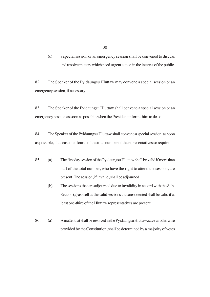(c) a special session or an emergency session shall be convened to discuss and resolve matters which need urgent action in the interest of the public.

82. The Speaker of the Pyidaungsu Hluttaw may convene a special session or an emergency session, if necessary.

83. The Speaker of the Pyidaungsu Hluttaw shall convene a special session or an emergency session as soon as possible when the President informs him to do so.

84. The Speaker of the Pyidaungsu Hluttaw shall convene a special session as soon as possible, if at least one-fourth of the total number of the representatives so require.

- 85. (a) The first day session of the Pyidaungsu Hluttaw shall be valid if more than half of the total number, who have the right to attend the session, are present. The session, if invalid, shall be adjourned.
	- (b) The sessions that are adjourned due to invalidity in accord with the Sub-Section (a) as well as the valid sessions that are extented shall be valid if at least one-third of the Hluttaw representatives are present.
- 86. (a) A matter that shall be resolved in the Pyidaungsu Hluttaw, save as otherwise provided by the Constitution, shall be determined by a majority of votes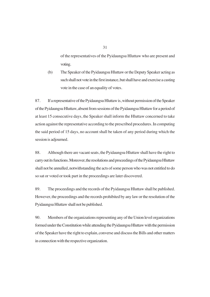of the representatives of the Pyidaungsu Hluttaw who are present and voting.

(b) The Speaker of the Pyidaungsu Hluttaw or the Deputy Speaker acting as such shall not vote in the first instance, but shall have and exercise a casting vote in the case of an equality of votes.

87. If a representative of the Pyidaungsu Hluttaw is, without permission of the Speaker of the Pyidaungsu Hluttaw, absent from sessions of the Pyidaungsu Hluttaw for a period of at least 15 consecutive days, the Speaker shall inform the Hluttaw concerned to take action against the representative according to the prescribed procedures. In computing the said period of 15 days, no account shall be taken of any period during which the session is adjourned.

88. Although there are vacant seats, the Pyidaungsu Hluttaw shall have the right to carry out its functions. Moreover, the resolutions and proceedings of the Pyidaungsu Hluttaw shall not be annulled, notwithstanding the acts of some person who was not entitled to do so sat or voted or took part in the proceedings are later discovered.

89. The proceedings and the records of the Pyidaungsu Hluttaw shall be published. However, the proceedings and the records prohibited by any law or the resolution of the Pyidaungsu Hluttaw shall not be published.

90. Members of the organizations representing any of the Union level organizations formed under the Constitution while attending the Pyidaungsu Hluttaw with the permission of the Speaker have the right to explain, converse and discuss the Bills and other matters in connection with the respective organization.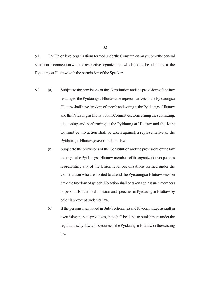91. The Union level organizations formed under the Constitution may submit the general situation in connection with the respective organization, which should be submitted to the Pyidaungsu Hluttaw with the permission of the Speaker.

- 92. (a) Subject to the provisions of the Constitution and the provisions of the law relating to the Pyidaungsu Hluttaw, the representatives of the Pyidaungsu Hluttaw shall have freedom of speech and voting at the Pyidaungsu Hluttaw and the Pyidaungsu Hluttaw Joint Committee. Concerning the submitting, discussing and performing at the Pyidaungsu Hluttaw and the Joint Committee, no action shall be taken against, a representative of the Pyidaungsu Hluttaw, except under its law.
	- (b) Subject to the provisions of the Constitution and the provisions of the law relating to the Pyidaungsu Hluttaw, members of the organizations or persons representing any of the Union level organizations formed under the Constitution who are invited to attend the Pyidaungsu Hluttaw session have the freedom of speech. No action shall be taken against such members or persons for their submission and speeches in Pyidaungsu Hluttaw by other law except under its law.
	- (c) If the persons mentioned in Sub-Sections (a) and (b) committed assault in exercising the said privileges, they shall be liable to punishment under the regulations, by-laws, procedures of the Pyidaungsu Hluttaw or the existing law.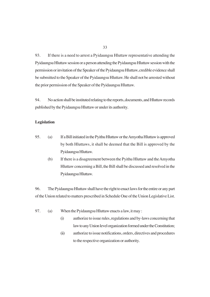93. If there is a need to arrest a Pyidaungsu Hluttaw representative attending the Pyidaungsu Hluttaw session or a person attending the Pyidaungsu Hluttaw session with the permission or invitation of the Speaker of the Pyidaungsu Hluttaw, credible evidence shall be submitted to the Speaker of the Pyidaungsu Hluttaw. He shall not be arrested without the prior permission of the Speaker of the Pyidaungsu Hluttaw.

94. No action shall be instituted relating to the reports, documents, and Hluttaw records published by the Pyidaungsu Hluttaw or under its authority.

# **Legislation**

- 95. (a) If a Bill initiated in the Pyithu Hluttaw or the Amyotha Hluttaw is approved by both Hluttaws, it shall be deemed that the Bill is approved by the Pyidaungsu Hluttaw.
	- (b) If there is a disagreement between the Pyithu Hluttaw and the Amyotha Hluttaw concerning a Bill, the Bill shall be discussed and resolved in the Pyidaungsu Hluttaw.

96. The Pyidaungsu Hluttaw shall have the right to enact laws for the entire or any part of the Union related to matters prescribed in Schedule One of the Union Legislative List.

- 97. (a) When the Pyidaungsu Hluttaw enacts a law, it may :
	- (i) authorize to issue rules, regulations and by-laws concerning that law to any Union level organization formed under the Constitution;
	- (ii) authorize to issue notifications, orders, directives and procedures to the respective organization or authority.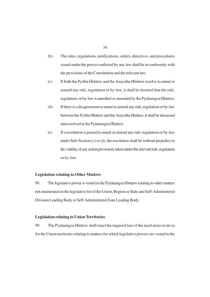- (b) The rules, regulations, notifications, orders, directives, and procedures issued under the power conferred by any law shall be in conformity with the provisions of the Constitution and the relevant law.
- (c) If both the Pyithu Hluttaw and the Amyotha Hluttaw resolve to annul or amend any rule, regulation or by-law, it shall be deemed that the rule, regulation, or by-law is annulled or amended by the Pyidaungsu Hluttaw.
- (d) If there is a disagreement to annul or amend any rule, regulation or by-law between the Pyithu Hluttaw and the Amyotha Hluttaw, it shall be discussed and resolved at the Pyidaungsu Hluttaw.
- (e) If a resolution is passed to annul or amend any rule, regulation or by-law under Sub-Section (c) or (d), the resolution shall be without prejudice to the validity of any action previously taken under the relevant rule, regulation or by-law.

### **Legislation relating to Other Matters**

98. The legislative power is vested in the Pyidaungsu Hluttaw relating to other matters not enumerated in the legislative list of the Union, Region or State and Self-Administered Division Leading Body or Self-Administered Zone Leading Body.

#### **Legislation relating to Union Territories**

99. The Pyidaungsu Hluttaw shall enact the required laws if the need arises to do so for the Union territories relating to matters for which legislative powers are vested to the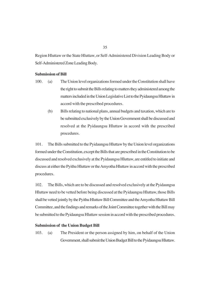Region Hluttaw or the State Hluttaw, or Self-Administered Division Leading Body or Self-Administered Zone Leading Body.

### **Submission of Bill**

- 100. (a) The Union level organizations formed under the Constitution shall have the right to submit the Bills relating to matters they administered among the matters included in the Union Legislative List to the Pyidaungsu Hluttaw in accord with the prescribed procedures.
	- (b) Bills relating to national plans, annual budgets and taxation, which are to be submitted exclusively by the Union Government shall be discussed and resolved at the Pyidaungsu Hluttaw in accord with the prescribed procedures.

101. The Bills submitted to the Pyidaungsu Hluttaw by the Union level organizations formed under the Constitution, except the Bills that are prescribed in the Constitution to be discussed and resolved exclusively at the Pyidaungsu Hluttaw, are entitled to initiate and discuss at either the Pyithu Hluttaw or the Amyotha Hluttaw in accord with the prescribed procedures.

102. The Bills, which are to be discussed and resolved exclusively at the Pyidaungsu Hluttaw need to be vetted before being discussed at the Pyidaungsu Hluttaw, those Bills shall be vetted jointly by the Pyithu Hluttaw Bill Committee and the Amyotha Hluttaw Bill Committee, and the findings and remarks of the Joint Committee together with the Bill may be submitted to the Pyidaungsu Hluttaw session in accord with the prescribed procedures.

### **Submission of the Union Budget Bill**

103. (a) The President or the person assigned by him, on behalf of the Union Government, shall submit the Union Budget Bill to the Pyidaungsu Hluttaw.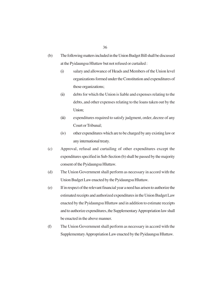- (b) The following matters included in the Union Budget Bill shall be discussed at the Pyidaungsu Hluttaw but not refused or curtailed :
	- (i) salary and allowance of Heads and Members of the Union level organizations formed under the Constitution and expenditures of those organizations;
	- (ii) debts for which the Union is liable and expenses relating to the debts, and other expenses relating to the loans taken out by the Union;
	- (iii) expenditures required to satisfy judgment, order, decree of any Court or Tribunal;
	- (iv) other expenditures which are to be charged by any existing law or any international treaty.
- (c) Approval, refusal and curtailing of other expenditures except the expenditures specified in Sub-Section (b) shall be passed by the majority consent of the Pyidaungsu Hluttaw.
- (d) The Union Government shall perform as necessary in accord with the Union Budget Law enacted by the Pyidaungsu Hluttaw.
- (e) If in respect of the relevant financial year a need has arisen to authorize the estimated receipts and authorized expenditures in the Union Budget Law enacted by the Pyidaungsu Hluttaw and in addition to estimate receipts and to authorize expenditures, the Supplementary Appropriation law shall be enacted in the above manner.
- (f) The Union Government shall perform as necessary in accord with the Supplementary Appropriation Law enacted by the Pyidaungsu Hluttaw.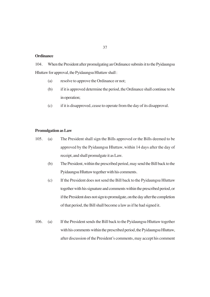# **Ordinance**

104. When the President after promulgating an Ordinance submits it to the Pyidaungsu Hluttaw for approval, the Pyidaungsu Hluttaw shall :

- (a) resolve to approve the Ordinance or not;
- (b) if it is approved determine the period, the Ordinance shall continue to be in operation;
- (c) if it is disapproved, cease to operate from the day of its disapproval.

# **Promulgation as Law**

105. (a) The President shall sign the Bills approved or the Bills deemed to be approved by the Pyidaungsu Hluttaw, within 14 days after the day of receipt, and shall promulgate it as Law.

- (b) The President, within the prescribed period, may send the Bill back to the Pyidaungsu Hluttaw together with his comments.
- (c) If the President does not send the Bill back to the Pyidaungsu Hluttaw together with his signature and comments within the prescribed period, or if the President does not sign to promulgate, on the day after the completion of that period, the Bill shall become a law as if he had signed it.
- 106. (a) If the President sends the Bill back to the Pyidaungsu Hluttaw together with his comments within the prescribed period, the Pyidaungsu Hluttaw, after discussion of the President's comments, may accept his comment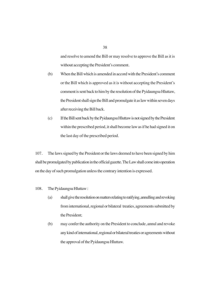and resolve to amend the Bill or may resolve to approve the Bill as it is without accepting the President's comment.

- (b) When the Bill which is amended in accord with the President's comment or the Bill which is approved as it is without accepting the President's comment is sent back to him by the resolution of the Pyidaungsu Hluttaw, the President shall sign the Bill and promulgate it as law within seven days after receiving the Bill back.
- (c) If the Bill sent back by the Pyidaungsu Hluttaw is not signed by the President within the prescribed period, it shall become law as if he had signed it on the last day of the prescribed period.

107. The laws signed by the President or the laws deemed to have been signed by him shall be promulgated by publication in the official gazette. The Law shall come into operation on the day of such promulgation unless the contrary intention is expressed.

### 108. The Pyidaungsu Hluttaw :

- (a) shall give the resolution on matters relating to ratifying, annulling and revoking from international, regional or bilateral treaties, agreements submitted by the President;
- (b) may confer the authority on the President to conclude, annul and revoke any kind of international, regional or bilateral treaties or agreements without the approval of the Pyidaungsu Hluttaw.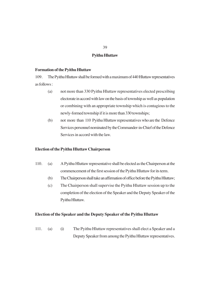### **Pyithu Hluttaw**

### **Formation of the Pyithu Hluttaw**

109. The Pyithu Hluttaw shall be formed with a maximum of 440 Hluttaw representatives as follows :

- (a) not more than 330 Pyithu Hluttaw representatives elected prescribing electorate in accord with law on the basis of township as well as population or combining with an appropriate township which is contagious to the newly-formed township if it is more than 330 townships;
- (b) not more than 110 Pyithu Hluttaw representatives who are the Defence Services personnel nominated by the Commander-in-Chief of the Defence Services in accord with the law.

### **Election of the Pyithu Hluttaw Chairperson**

- 110. (a) A Pyithu Hluttaw representative shall be elected as the Chairperson at the commencement of the first session of the Pyithu Hluttaw for its term.
	- (b) The Chairperson shall take an affirmation of office before the Pyithu Hluttaw;
	- (c) The Chairperson shall supervise the Pyithu Hluttaw session up to the completion of the election of the Speaker and the Deputy Speaker of the Pyithu Hluttaw.

# **Election of the Speaker and the Deputy Speaker of the Pyithu Hluttaw**

111. (a) (i) The Pyithu Hluttaw representatives shall elect a Speaker and a Deputy Speaker from among the Pyithu Hluttaw representatives.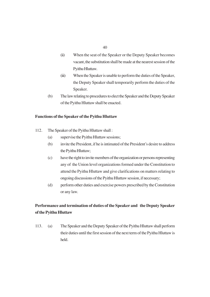- (ii) When the seat of the Speaker or the Deputy Speaker becomes vacant, the substitution shall be made at the nearest session of the Pyithu Hluttaw.
- (iii) When the Speaker is unable to perform the duties of the Speaker, the Deputy Speaker shall temporarily perform the duties of the Speaker.
- (b) The law relating to procedures to elect the Speaker and the Deputy Speaker of the Pyithu Hluttaw shall be enacted.

### **Functions of the Speaker of the Pyithu Hluttaw**

- 112. The Speaker of the Pyithu Hluttaw shall :
	- (a) supervise the Pyithu Hluttaw sessions;
	- (b) invite the President, if he is intimated of the President's desire to address the Pyithu Hluttaw;
	- (c) have the right to invite members of the organization or persons representing any of the Union level organizations formed under the Constitution to attend the Pyithu Hluttaw and give clarifications on matters relating to ongoing discussions of the Pyithu Hluttaw session, if necessary;
	- (d) perform other duties and exercise powers prescribed by the Constitution or any law.

# **Performance and termination of duties of the Speaker and the Deputy Speaker of the Pyithu Hluttaw**

113. (a) The Speaker and the Deputy Speaker of the Pyithu Hluttaw shall perform their duties until the first session of the next term of the Pyithu Hluttaw is held.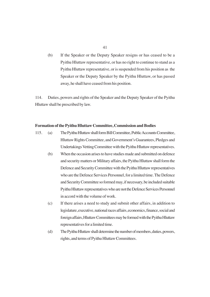(b) If the Speaker or the Deputy Speaker resigns or has ceased to be a Pyithu Hluttaw representative, or has no right to continue to stand as a Pyithu Hluttaw representative, or is suspended from his position as the Speaker or the Deputy Speaker by the Pyithu Hluttaw, or has passed away, he shall have ceased from his position.

114. Duties, powers and rights of the Speaker and the Deputy Speaker of the Pyithu Hluttaw shall be prescribed by law.

### **Formation of the Pyithu Hluttaw Committee, Commission and Bodies**

- 115. (a) The Pyithu Hluttaw shall form Bill Committee, Public Accounts Committee, Hluttaw Rights Committee, and Government's Guarantees, Pledges and Undertakings Vetting Committee with the Pyithu Hluttaw representatives.
	- (b) When the occasion arises to have studies made and submitted on defence and security matters or Military affairs, the Pyithu Hluttaw shall form the Defence and Security Committee with the Pyithu Hluttaw representatives who are the Defence Services Personnel, for a limited time. The Defence and Security Committee so formed may, if necessary, be included suitable Pyithu Hluttaw representatives who are not the Defence Services Personnel in accord with the volume of work.
	- (c) If there arises a need to study and submit other affairs, in addition to legislature, executive, national races affairs, economics, finance, social and foreign affairs, Hluttaw Committees may be formed with the Pyithu Hluttaw representatives for a limited time.
	- (d) The Pyithu Hluttaw shall determine the number of members, duties, powers, rights, and terms of Pyithu Hluttaw Committees.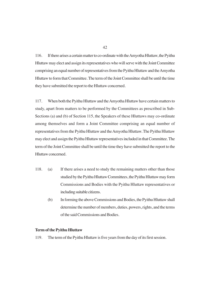116. If there arises a certain matter to co-ordinate with the Amyotha Hluttaw, the Pyithu Hluttaw may elect and assign its representatives who will serve with the Joint Committee comprising an equal number of representatives from the Pyithu Hluttaw and the Amyotha Hluttaw to form that Committee. The term of the Joint Committee shall be until the time they have submitted the report to the Hluttaw concerned.

117. When both the Pyithu Hluttaw and the Amyotha Hluttaw have certain matters to study, apart from matters to be performed by the Committees as prescribed in Sub-Sections (a) and (b) of Section 115, the Speakers of these Hluttaws may co-ordinate among themselves and form a Joint Committee comprising an equal number of representatives from the Pyithu Hluttaw and the Amyotha Hluttaw. The Pyithu Hluttaw may elect and assign the Pyithu Hluttaw representatives included in that Committee. The term of the Joint Committee shall be until the time they have submitted the report to the Hluttaw concerned.

- 118. (a) If there arises a need to study the remaining matters other than those studied by the Pyithu Hluttaw Committees, the Pyithu Hluttaw may form Commissions and Bodies with the Pyithu Hluttaw representatives or including suitable citizens.
	- (b) In forming the above Commissions and Bodies, the Pyithu Hluttaw shall determine the number of members, duties, powers, rights, and the terms of the said Commissions and Bodies.

# **Term of the Pyithu Hluttaw**

119. The term of the Pyithu Hluttaw is five years from the day of its first session.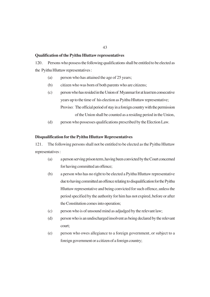### **Qualification of the Pyithu Hluttaw representatives**

120. Persons who possess the following qualifications shall be entitled to be elected as the Pyithu Hluttaw representatives :

- (a) person who has attained the age of 25 years;
- (b) citizen who was born of both parents who are citizens;
- (c) person who has resided in the Union of Myanmar for at least ten consecutive years up to the time of his election as Pyithu Hluttaw representative; Proviso: The official period of stay in a foreign country with the permission of the Union shall be counted as a residing period in the Union,
- (d) person who possesses qualifications prescribed by the Election Law.

# **Disqualification for the Pyithu Hluttaw Representatives**

121. The following persons shall not be entitled to be elected as the Pyithu Hluttaw representatives :

- (a) a person serving prison term, having been convicted by the Court concerned for having committed an offence;
- (b) a person who has no right to be elected a Pyithu Hluttaw representative due to having committed an offence relating to disqualification for the Pyithu Hluttaw representative and being convicted for such offence, unless the period specified by the authority for him has not expired, before or after the Constitution comes into operation;
- (c) person who is of unsound mind as adjudged by the relevant law;
- (d) person who is an undischarged insolvent as being declared by the relevant court;
- (e) person who owes allegiance to a foreign government, or subject to a foreign government or a citizen of a foreign country;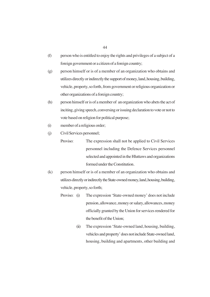- 44
- (f) person who is entitled to enjoy the rights and privileges of a subject of a foreign government or a citizen of a foreign country;
- (g) person himself or is of a member of an organization who obtains and utilizes directly or indirectly the support of money, land, housing, building, vehicle, property, so forth, from government or religious organization or other organizations of a foreign country;
- (h) person himself or is of a member of an organization who abets the act of inciting, giving speech, conversing or issuing declaration to vote or not to vote based on religion for political purpose;
- (i) member of a religious order;
- (j) Civil Services personnel;
	- Proviso: The expression shall not be applied to Civil Services personnel including the Defence Services personnel selected and appointed in the Hluttaws and organizations formed under the Constitution.
- (k) person himself or is of a member of an organization who obtains and utilizes directly or indirectly the State-owned money, land, housing, building, vehicle, property, so forth;
	- Proviso: (i) The expression 'State-owned money' does not include pension, allowance, money or salary, allowances, money officially granted by the Union for services rendered for the benefit of the Union;
		- (ii) The expression 'State-owned land, housing, building, vehicles and property' does not include State-owned land, housing, building and apartments, other building and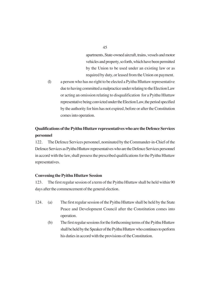apartments, State-owned aircraft, trains, vessels and motor vehicles and property, so forth, which have been permitted by the Union to be used under an existing law or as required by duty, or leased from the Union on payment.

(l) a person who has no right to be elected a Pyithu Hluttaw representative due to having committed a malpractice under relating to the Election Law or acting an omission relating to disqualification for a Pyithu Hluttaw representative being convicted under the Election Law, the period specified by the authority for him has not expired, before or after the Constitution comes into operation.

# **Qualifications of the Pyithu Hluttaw representatives who are the Defence Services personnel**

122. The Defence Services personnel, nominated by the Commander-in-Chief of the Defence Services as Pyithu Hluttaw representatives who are the Defence Services personnel in accord with the law, shall possess the prescribed qualifications for the Pyithu Hluttaw representatives.

# **Convening the Pyithu Hluttaw Session**

123. The first regular session of a term of the Pyithu Hluttaw shall be held within 90 days after the commencement of the general election.

- 124. (a) The first regular session of the Pyithu Hluttaw shall be held by the State Peace and Development Council after the Constitution comes into operation.
	- (b) The first regular sessions for the forthcoming terms of the Pyithu Hluttaw shall be held by the Speaker of the Pyithu Hluttaw who continues to perform his duties in accord with the provisions of the Constitution.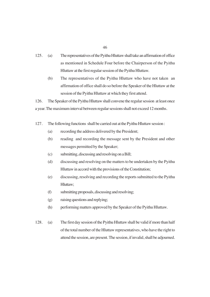- 125. (a) The representatives of the Pyithu Hluttaw shall take an affirmation of office as mentioned in Schedule Four before the Chairperson of the Pyithu Hluttaw at the first regular session of the Pyithu Hluttaw.
	- (b) The representatives of the Pyithu Hluttaw who have not taken an affirmation of office shall do so before the Speaker of the Hluttaw at the session of the Pyithu Hluttaw at which they first attend.

126. The Speaker of the Pyithu Hluttaw shall convene the regular session at least once a year. The maximum interval between regular sessions shall not exceed 12 months.

- 127. The following functions shall be carried out at the Pyithu Hluttaw session :
	- (a) recording the address delivered by the President;
	- (b) reading and recording the message sent by the President and other messages permitted by the Speaker;
	- (c) submitting, discussing and resolving on a Bill;
	- (d) discussing and resolving on the matters to be undertaken by the Pyithu Hluttaw in accord with the provisions of the Constitution;
	- (e) discussing, resolving and recording the reports submitted to the Pyithu Hluttaw;
	- (f) submitting proposals, discussing and resolving;
	- (g) raising questions and replying;
	- (h) performing matters approved by the Speaker of the Pyithu Hluttaw.
- 128. (a) The first day session of the Pyithu Hluttaw shall be valid if more than half of the total number of the Hluttaw representatives, who have the right to attend the session, are present. The session, if invalid, shall be adjourned.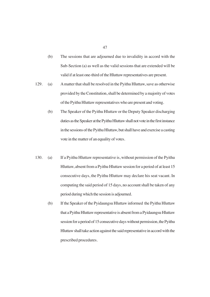- (b) The sessions that are adjourned due to invalidity in accord with the Sub-Section (a) as well as the valid sessions that are extended will be valid if at least one-third of the Hluttaw representatives are present.
- 129. (a) A matter that shall be resolved in the Pyithu Hluttaw, save as otherwise provided by the Constitution, shall be determined by a majority of votes of the Pyithu Hluttaw representatives who are present and voting.
	- (b) The Speaker of the Pyithu Hluttaw or the Deputy Speaker discharging duties as the Speaker at the Pyithu Hluttaw shall not vote in the first instance in the sessions of the Pyithu Hluttaw, but shall have and exercise a casting vote in the matter of an equality of votes.
- 130. (a) If a Pyithu Hluttaw representative is, without permission of the Pyithu Hluttaw, absent from a Pyithu Hluttaw session for a period of at least 15 consecutive days, the Pyithu Hluttaw may declare his seat vacant. In computing the said period of 15 days, no account shall be taken of any period during which the session is adjourned.
	- (b) If the Speaker of the Pyidaungsu Hluttaw informed the Pyithu Hluttaw that a Pyithu Hluttaw representative is absent from a Pyidaungsu Hluttaw session for a period of 15 consecutive days without permission, the Pyithu Hluttaw shall take action against the said representative in accord with the prescribed procedures.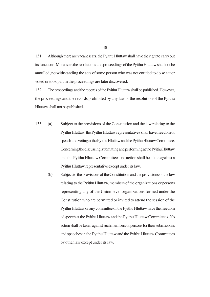131. Although there are vacant seats, the Pyithu Hluttaw shall have the right to carry out its functions. Moreover, the resolutions and proceedings of the Pyithu Hluttaw shall not be annulled, notwithstanding the acts of some person who was not entitled to do so sat or voted or took part in the proceedings are later discovered.

132. The proceedings and the records of the Pyithu Hluttaw shall be published. However, the proceedings and the records prohibited by any law or the resolution of the Pyithu Hluttaw shall not be published.

- 133. (a) Subject to the provisions of the Constitution and the law relating to the Pyithu Hluttaw, the Pyithu Hluttaw representatives shall have freedom of speech and voting at the Pyithu Hluttaw and the Pyithu Hluttaw Committee. Concerning the discussing, submitting and performing at the Pyithu Hluttaw and the Pyithu Hluttaw Committees, no action shall be taken against a Pyithu Hluttaw representative except under its law.
	- (b) Subject to the provisions of the Constitution and the provisions of the law relating to the Pyithu Hluttaw, members of the organizations or persons representing any of the Union level organizations formed under the Constitution who are permitted or invited to attend the session of the Pyithu Hluttaw or any committee of the Pyithu Hluttaw have the freedom of speech at the Pyithu Hluttaw and the Pyithu Hluttaw Committees. No action shall be taken against such members or persons for their submissions and speeches in the Pyithu Hluttaw and the Pyithu Hluttaw Committees by other law except under its law.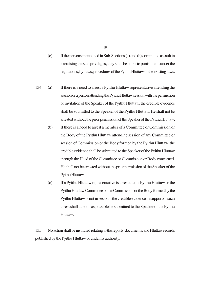- (c) If the persons mentioned in Sub-Sections (a) and (b) committed assault in exercising the said privileges, they shall be liable to punishment under the regulations, by-laws, procedures of the Pyithu Hluttaw or the existing laws.
- 134. (a) If there is a need to arrest a Pyithu Hluttaw representative attending the session or a person attending the Pyithu Hluttaw session with the permission or invitation of the Speaker of the Pyithu Hluttaw, the credible evidence shall be submitted to the Speaker of the Pyithu Hluttaw. He shall not be arrested without the prior permission of the Speaker of the Pyithu Hluttaw.
	- (b) If there is a need to arrest a member of a Committee or Commission or the Body of the Pyithu Hluttaw attending session of any Committee or session of Commission or the Body formed by the Pyithu Hluttaw, the credible evidence shall be submitted to the Speaker of the Pyithu Hluttaw through the Head of the Committee or Commission or Body concerned. He shall not be arrested without the prior permission of the Speaker of the Pyithu Hluttaw.
	- (c) If a Pyithu Hluttaw representative is arrested, the Pyithu Hluttaw or the Pyithu Hluttaw Committee or the Commission or the Body formed by the Pyithu Hluttaw is not in session, the credible evidence in support of such arrest shall as soon as possible be submitted to the Speaker of the Pyithu Hluttaw.

135. No action shall be instituted relating to the reports, documents, and Hluttaw records published by the Pyithu Hluttaw or under its authority.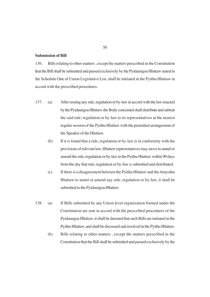### **Submission of Bill**

136. Bills relating to other matters , except the matters prescribed in the Constitution that the Bill shall be submitted and passed exclusively by the Pyidaungsu Hluttaw stated in the Schedule One of Union Legislative List, shall be initiated in the Pyithu Hluttaw in accord with the prescribed procedures.

- 137. (a) After issuing any rule, regulation or by-law in accord with the law enacted by the Pyidaungsu Hluttaw, the Body concerned shall distribute and submit the said rule, regulation or by-law to its representatives at the nearest regular session of the Pyithu Hluttaw with the permitted arrangement of the Speaker of the Hluttaw.
	- (b) If it is found that a rule, regulation or by-law is in conformity with the provisions of relevant law, Hluttaw representatives may move to annul or amend the rule, regulation or by-law to the Pyithu Hluttaw within 90 days from the day that rule, regulation or by-law is submitted and distributed.
	- (c) If there is a disagreement between the Pyithu Hluttaw and the Amyotha Hluttaw to annul or amend any rule, regulation or by-law, it shall be submitted to the Pyidaungsu Hluttaw.
- 138. (a) If Bills submitted by any Union level organization formed under the Constitution are sent in accord with the prescribed procedures of the Pyidaungsu Hluttaw, it shall be deemed that such Bills are initiated in the Pyithu Hluttaw, and shall be discussed and resolved in the Pyithu Hluttaw.
	- (b) Bills relating to other matters , except the matters prescribed in the Constitution that the Bill shall be submitted and passed exclusively by the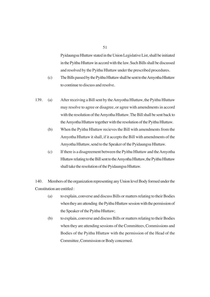Pyidaungsu Hluttaw stated in the Union Legislative List, shall be initiated in the Pyithu Hluttaw in accord with the law. Such Bills shall be discussed and resolved by the Pyithu Hluttaw under the prescribed procedures.

- (c) The Bills passed by the Pyithu Hluttaw shall be sent to the Amyotha Hluttaw to continue to discuss and resolve.
- 139. (a) After receiving a Bill sent by the Amyotha Hluttaw, the Pyithu Hluttaw may resolve to agree or disagree, or agree with amendments in accord with the resolution of the Amyotha Hluttaw. The Bill shall be sent back to the Amyotha Hluttaw together with the resolution of the Pyithu Hluttaw.
	- (b) When the Pyithu Hluttaw recieves the Bill with amendments from the Amyotha Hluttaw it shall, if it accepts the Bill with amendments of the Amyotha Hluttaw, send to the Speaker of the Pyidaungsu Hluttaw.
	- (c) If there is a disagreement between the Pyithu Hluttaw and the Amyotha Hluttaw relating to the Bill sent to the Amyotha Hluttaw, the Pyithu Hluttaw shall take the resolution of the Pyidaungsu Hluttaw.

140. Members of the organization representing any Union level Body formed under the Constitution are entitled :

- (a) to explain, converse and discuss Bills or matters relating to their Bodies when they are attending the Pyithu Hluttaw session with the permission of the Speaker of the Pyithu Hluttaw;
- (b) to explain, converse and discuss Bills or matters relating to their Bodies when they are attending sessions of the Committees, Commissions and Bodies of the Pyithu Hluttaw with the permission of the Head of the Committee, Commission or Body concerned.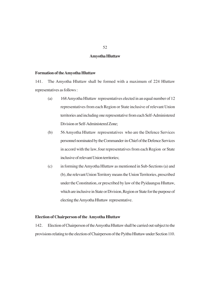## **Amyotha Hluttaw**

#### **Formation of the Amyotha Hluttaw**

141. The Amyotha Hluttaw shall be formed with a maximum of 224 Hluttaw representatives as follows :

- (a) 168 Amyotha Hluttaw representatives elected in an equal number of 12 representatives from each Region or State inclusive of relevant Union territories and including one representative from each Self-Administered Division or Self-Administered Zone;
- (b) 56 Amyotha Hluttaw representatives who are the Defence Services personnel nominated by the Commander-in-Chief of the Defence Services in accord with the law, four representatives from each Region or State inclusive of relevant Union territories;
- (c) in forming the Amyotha Hluttaw as mentioned in Sub-Sections (a) and (b), the relevant Union Territory means the Union Territories, prescribed under the Constitution, or prescribed by law of the Pyidaungsu Hluttaw, which are inclusive in State or Division, Region or State for the purpose of electing the Amyotha Hluttaw representative.

### **Election of Chairperson of the Amyotha Hluttaw**

142. Election of Chairperson of the Amyotha Hluttaw shall be carried out subject to the provisions relating to the election of Chairperson of the Pyithu Hluttaw under Section 110.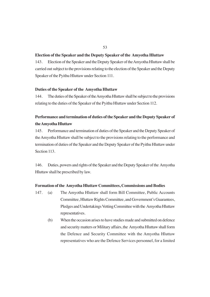# **Election of the Speaker and the Deputy Speaker of the Amyotha Hluttaw**

143. Election of the Speaker and the Deputy Speaker of the Amyotha Hluttaw shall be carried out subject to the provisions relating to the election of the Speaker and the Deputy Speaker of the Pyithu Hluttaw under Section 111.

# **Duties of the Speaker of the Amyotha Hluttaw**

144. The duties of the Speaker of the Amyotha Hluttaw shall be subject to the provisions relating to the duties of the Speaker of the Pyithu Hluttaw under Section 112.

# **Performance and termination of duties of the Speaker and the Deputy Speaker of the Amyotha Hluttaw**

145. Performance and termination of duties of the Speaker and the Deputy Speaker of the Amyotha Hluttaw shall be subject to the provisions relating to the performance and termination of duties of the Speaker and the Deputy Speaker of the Pyithu Hluttaw under Section 113.

146. Duties, powers and rights of the Speaker and the Deputy Speaker of the Amyotha Hluttaw shall be prescribed by law.

# **Formation of the Amyotha Hluttaw Committees, Commissions and Bodies**

- 147. (a) The Amyotha Hluttaw shall form Bill Committee, Public Accounts Committee, Hluttaw Rights Committee, and Government's Guarantees, Pledges and Undertakings Vetting Committee with the Amyotha Hluttaw representatives.
	- (b) When the occasion arises to have studies made and submitted on defence and security matters or Military affairs, the Amyotha Hluttaw shall form the Defence and Security Committee with the Amyotha Hluttaw representatives who are the Defence Services personnel, for a limited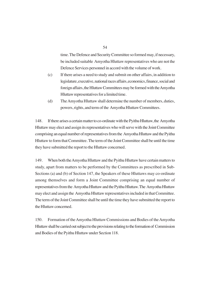time. The Defence and Security Committee so formed may, if necessary, be included suitable Amyotha Hluttaw representatives who are not the Defence Services personnel in accord with the volume of work.

- (c) If there arises a need to study and submit on other affairs, in addition to legislature, executive, national races affairs, economics, finance, social and foreign affairs, the Hluttaw Committees may be formed with the Amyotha Hluttaw representatives for a limited time.
- (d) The Amyotha Hluttaw shall determine the number of members, duties, powers, rights, and term of the Amyotha Hluttaw Committees.

148. If there arises a certain matter to co-ordinate with the Pyithu Hluttaw, the Amyotha Hluttaw may elect and assign its representatives who will serve with the Joint Committee comprising an equal number of representatives from the Amyotha Hluttaw and the Pyithu Hluttaw to form that Committee. The term of the Joint Committee shall be until the time they have submitted the report to the Hluttaw concerned.

149. When both the Amyotha Hluttaw and the Pyithu Hluttaw have certain matters to study, apart from matters to be performed by the Committees as prescribed in Sub-Sections (a) and (b) of Section 147, the Speakers of these Hluttaws may co-ordinate among themselves and form a Joint Committee comprising an equal number of representatives from the Amyotha Hluttaw and the Pyithu Hluttaw. The Amyotha Hluttaw may elect and assign the Amyotha Hluttaw representatives included in that Committee. The term of the Joint Committee shall be until the time they have submitted the report to the Hluttaw concerned.

150. Formation of the Amyotha Hluttaw Commissions and Bodies of the Amyotha Hluttaw shall be carried out subject to the provisions relating to the formation of Commission and Bodies of the Pyithu Hluttaw under Section 118.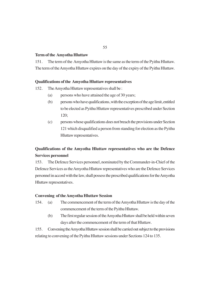## **Term of the Amyotha Hluttaw**

151. The term of the Amyotha Hluttaw is the same as the term of the Pyithu Hluttaw. The term of the Amyotha Hluttaw expires on the day of the expiry of the Pyithu Hluttaw.

## **Qualifications of the Amyotha Hluttaw representatives**

152. The Amyotha Hluttaw representatives shall be :

- (a) persons who have attained the age of 30 years;
- (b) persons who have qualifications, with the exception of the age limit, entitled to be elected as Pyithu Hluttaw representatives prescribed under Section 120;
- (c) persons whose qualifications does not breach the provisions under Section 121 which disqualified a person from standing for election as the Pyithu Hluttaw representatives.

# **Qualifications of the Amyotha Hluttaw representatives who are the Defence Services personnel**

153. The Defence Services personnel, nominated by the Commander-in-Chief of the Defence Services as the Amyotha Hluttaw representatives who are the Defence Services personnel in accord with the law, shall possess the prescribed qualifications for the Amyotha Hluttaw representatives.

### **Convening of the Amyotha Hluttaw Session**

- 154. (a) The commencement of the term of the Amyotha Hluttaw is the day of the commencement of the term of the Pyithu Hluttaw.
	- (b) The first regular session of the Amyotha Hluttaw shall be held within seven days after the commencement of the term of that Hluttaw.

155. Convening the Amyotha Hluttaw session shall be carried out subject to the provisions relating to convening of the Pyithu Hluttaw sessions under Sections 124 to 135.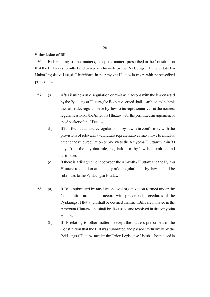### **Submission of Bill**

156. Bills relating to other matters, except the matters prescribed in the Constitution that the Bill was submitted and passed exclusively by the Pyidaungsu Hluttaw stated in Union Legislative List, shall be initiated in the Amyotha Hluttaw in accord with the prescribed procedures.

- 157. (a) After issuing a rule, regulation or by-law in accord with the law enacted by the Pyidaungsu Hluttaw, the Body concerned shall distribute and submit the said rule, regulation or by-law to its representatives at the nearest regular session of the Amyotha Hluttaw with the permitted arrangement of the Speaker of the Hluttaw.
	- (b) If it is found that a rule, regulation or by-law is in conformity with the provisions of relevant law, Hluttaw representatives may move to annul or amend the rule, regulation or by-law to the Amyotha Hluttaw within 90 days from the day that rule, regulation or by-law is submitted and distributed.
	- (c) If there is a disagreement between the Amyotha Hluttaw and the Pyithu Hluttaw to annul or amend any rule, regulation or by-law, it shall be submitted to the Pyidaungsu Hluttaw.
- 158. (a) If Bills submitted by any Union level organization formed under the Constitution are sent in accord with prescribed procedures of the Pyidaungsu Hluttaw, it shall be deemed that such Bills are initiated in the Amyotha Hluttaw, and shall be discussed and resolved in the Amyotha Hluttaw.
	- (b) Bills relating to other matters, except the matters prescribed in the Constitution that the Bill was submitted and passed exclusively by the Pyidaungsu Hluttaw stated in the Union Legislative List shall be initiated in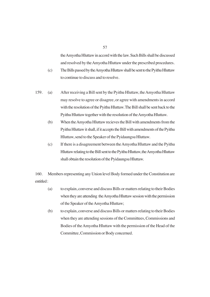the Amyotha Hluttaw in accord with the law. Such Bills shall be discussed and resolved by the Amyotha Hluttaw under the prescribed procedures.

- (c) The Bills passed by the Amyotha Hluttaw shall be sent to the Pyithu Hluttaw to continue to discuss and to resolve.
- 159. (a) After receiving a Bill sent by the Pyithu Hluttaw, the Amyotha Hluttaw may resolve to agree or disagree, or agree with amendments in accord with the resolution of the Pyithu Hluttaw. The Bill shall be sent back to the Pyithu Hluttaw together with the resolution of the Amyotha Hluttaw.
	- (b) When the Amyotha Hluttaw recieves the Bill with amendments from the Pyithu Hluttaw it shall, if it accepts the Bill with amendments of the Pyithu Hluttaw, send to the Speaker of the Pyidaungsu Hluttaw.
	- (c) If there is a disagreement between the Amyotha Hluttaw and the Pyithu Hluttaw relating to the Bill sent to the Pyithu Hluttaw, the Amyotha Hluttaw shall obtain the resolution of the Pyidaungsu Hluttaw.

160. Members representing any Union level Body formed under the Constitution are entitled :

- (a) to explain, converse and discuss Bills or matters relating to their Bodies when they are attending the Amyotha Hluttaw session with the permission of the Speaker of the Amyotha Hluttaw;
- (b) to explain, converse and discuss Bills or matters relating to their Bodies when they are attending sessions of the Committees, Commissions and Bodies of the Amyotha Hluttaw with the permission of the Head of the Committee, Commission or Body concerned.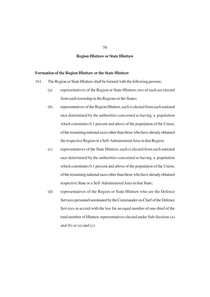### **Region Hluttaw or State Hluttaw**

#### **Formation of the Region Hluttaw or the State Hluttaw**

- 161. The Region or State Hluttaw shall be formed with the following persons :
	- (a) representatives of the Region or State Hluttaw, two of each are elected from each township in the Regions or the States;
	- (b) representatives of the Region Hluttaw, each is elected from each national race determined by the authorities concerned as having a population which constitutes 0.1 percent and above of the population of the Union, of the remaining national races other than those who have already obtained the respective Region or a Self-Administered Area in that Region;
	- (c) representatives of the State Hluttaw, each is elected from each national race determined by the authorities concerned as having a population which constitutes 0.1 percent and above of the population of the Union, of the remaining national races other than those who have already obtained respective State or a Self-Administered Area in that State;
	- (d) representatives of the Region or State Hluttaw who are the Defence Services personnel nominated by the Commander-in-Chief of the Defence Services in accord with the law for an equal number of one-third of the total number of Hluttaw representatives elected under Sub-Sections (a) and (b) or (a) and (c).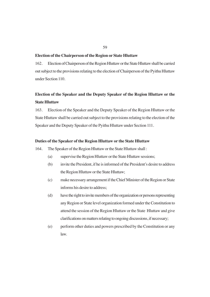### **Election of the Chairperson of the Region or State Hluttaw**

162. Election of Chairperson of the Region Hluttaw or the State Hluttaw shall be carried out subject to the provisions relating to the election of Chairperson of the Pyithu Hluttaw under Section 110.

# **Election of the Speaker and the Deputy Speaker of the Region Hluttaw or the State Hluttaw**

163. Election of the Speaker and the Deputy Speaker of the Region Hluttaw or the State Hluttaw shall be carried out subject to the provisions relating to the election of the Speaker and the Deputy Speaker of the Pyithu Hluttaw under Section 111.

# **Duties of the Speaker of the Region Hluttaw or the State Hluttaw**

164. The Speaker of the Region Hluttaw or the State Hluttaw shall :

- (a) supervise the Region Hluttaw or the State Hluttaw sessions;
- (b) invite the President, if he is informed of the President's desire to address the Region Hluttaw or the State Hluttaw;
- (c) make necessary arrangement if the Chief Minister of the Region or State informs his desire to address;
- (d) have the right to invite members of the organization or persons representing any Region or State level organization formed under the Constitution to attend the session of the Region Hluttaw or the State Hluttaw and give clarifications on matters relating to ongoing discussions, if necessary;
- (e) perform other duties and powers prescribed by the Constitution or any law.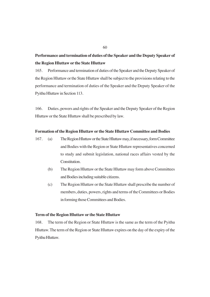# **Performance and termination of duties of the Speaker and the Deputy Speaker of the Region Hluttaw or the State Hluttaw**

165. Performance and termination of duties of the Speaker and the Deputy Speaker of the Region Hluttaw or the State Hluttaw shall be subject to the provisions relating to the performance and termination of duties of the Speaker and the Deputy Speaker of the Pyithu Hluttaw in Section 113.

166. Duties, powers and rights of the Speaker and the Deputy Speaker of the Region Hluttaw or the State Hluttaw shall be prescribed by law.

## **Formation of the Region Hluttaw or the State Hluttaw Committee and Bodies**

- 167. (a) The Region Hluttaw or the State Hluttaw may, if necessary, form Committee and Bodies with the Region or State Hluttaw representatives concerned to study and submit legislation, national races affairs vested by the Constitution.
	- (b) The Region Hluttaw or the State Hluttaw may form above Committees and Bodies including suitable citizens.
	- (c) The Region Hluttaw or the State Hluttaw shall prescribe the number of members, duties, powers, rights and terms of the Committees or Bodies in forming those Committees and Bodies.

## **Term of the Region Hluttaw or the State Hluttaw**

168. The term of the Region or State Hluttaw is the same as the term of the Pyithu Hluttaw. The term of the Region or State Hluttaw expires on the day of the expiry of the Pyithu Hluttaw.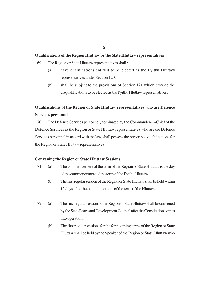## **Qualifications of the Region Hluttaw or the State Hluttaw representatives**

169. The Region or State Hluttaw representatives shall :

- (a) have qualifications entitled to be elected as the Pyithu Hluttaw representatives under Section 120;
- (b) shall be subject to the provisions of Section 121 which provide the disqualifications to be elected as the Pyithu Hluttaw representatives.

# **Qualifications of the Region or State Hluttaw representatives who are Defence Services personnel**

170. The Defence Services personnel**,** nominated by the Commander-in-Chief of the Defence Services as the Region or State Hluttaw representatives who are the Defence Services personnel in accord with the law, shall possess the prescribed qualifications for the Region or State Hluttaw representatives.

### **Convening the Region or State Hluttaw Sessions**

- 171. (a) The commencement of the term of the Region or State Hluttaw is the day of the commencement of the term of the Pyithu Hluttaw.
	- (b) The first regular session of the Region or State Hluttaw shall be held within 15 days after the commencement of the term of the Hluttaw.
- 172. (a) The first regular session of the Region or State Hluttaw shall be convened by the State Peace and Development Council after the Constitution comes into operation.
	- (b) The first regular sessions for the forthcoming terms of the Region or State Hluttaw shall be held by the Speaker of the Region or State Hluttaw who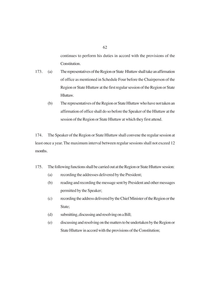continues to perform his duties in accord with the provisions of the Constitution.

- 173. (a) The representatives of the Region or State Hluttaw shall take an affirmation of office as mentioned in Schedule Four before the Chairperson of the Region or State Hluttaw at the first regular session of the Region or State Hluttaw.
	- (b) The representatives of the Region or State Hluttaw who have not taken an affirmation of office shall do so before the Speaker of the Hluttaw at the session of the Region or State Hluttaw at which they first attend.

174. The Speaker of the Region or State Hluttaw shall convene the regular session at least once a year. The maximum interval between regular sessions shall not exceed 12 months.

- 175. The following functions shall be carried out at the Region or State Hluttaw session:
	- (a) recording the addresses delivered by the President;
	- (b) reading and recording the message sent by President and other messages permitted by the Speaker;
	- (c) recording the address delivered by the Chief Minister of the Region or the State;
	- (d) submitting, discussing and resolving on a Bill;
	- (e) discussing and resolving on the matters to be undertaken by the Region or State Hluttaw in accord with the provisions of the Constitution;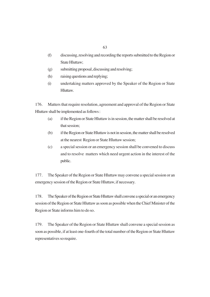- (f) discussing, resolving and recording the reports submitted to the Region or State Hluttaw;
- (g) submitting proposal, discussing and resolving;
- (h) raising questions and replying;
- (i) undertaking matters approved by the Speaker of the Region or State Hluttaw.

176. Matters that require resolution, agreement and approval of the Region or State Hluttaw shall be implemented as follows :

- (a) if the Region or State Hluttaw is in session, the matter shall be resolved at that session;
- (b) if the Region or State Hluttaw is not in session, the matter shall be resolved at the nearest Region or State Hluttaw session;
- (c) a special session or an emergency session shall be convened to discuss and to resolve matters which need urgent action in the interest of the public.

177. The Speaker of the Region or State Hluttaw may convene a special session or an emergency session of the Region or State Hluttaw, if necessary.

178. The Speaker of the Region or State Hluttaw shall convene a special or an emergency session of the Region or State Hluttaw as soon as possible when the Chief Minister of the Region or State informs him to do so.

179. The Speaker of the Region or State Hluttaw shall convene a special session as soon as possible, if at least one-fourth of the total number of the Region or State Hluttaw representatives so require.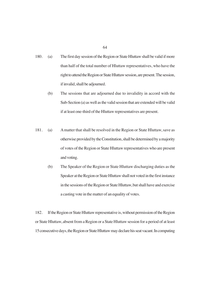- 180. (a) The first day session of the Region or State Hluttaw shall be valid if more than half of the total number of Hluttaw representatives, who have the right to attend the Region or State Hluttaw session, are present. The session, if invalid, shall be adjourned.
	- (b) The sessions that are adjourned due to invalidity in accord with the Sub-Section (a) as well as the valid session that are extended will be valid if at least one-third of the Hluttaw representatives are present.
- 181. (a) A matter that shall be resolved in the Region or State Hluttaw, save as otherwise provided by the Constitution, shall be determined by a majority of votes of the Region or State Hluttaw representatives who are present and voting.
	- (b) The Speaker of the Region or State Hluttaw discharging duties as the Speaker at the Region or State Hluttaw shall not voted in the first instance in the sessions of the Region or State Hluttaw, but shall have and exercise a casting vote in the matter of an equality of votes.

182. If the Region or State Hluttaw representative is, without permission of the Region or State Hluttaw, absent from a Region or a State Hluttaw session for a period of at least 15 consecutive days, the Region or State Hluttaw may declare his seat vacant. In computing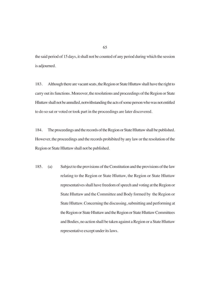the said period of 15 days, it shall not be counted of any period during which the session is adjourned.

183. Although there are vacant seats, the Region or State Hluttaw shall have the right to carry out its functions. Moreover, the resolutions and proceedings of the Region or State Hluttaw shall not be annulled, notwithstanding the acts of some person who was not entitled to do so sat or voted or took part in the proceedings are later discovered.

184. The proceedings and the records of the Region or State Hluttaw shall be published. However, the proceedings and the records prohibited by any law or the resolution of the Region or State Hluttaw shall not be published.

185. (a) Subject to the provisions of the Constitution and the provisions of the law relating to the Region or State Hluttaw, the Region or State Hluttaw representatives shall have freedom of speech and voting at the Region or State Hluttaw and the Committee and Body formed by the Region or State Hluttaw. Concerning the discussing, submitting and performing at the Region or State Hluttaw and the Region or State Hluttaw Committees and Bodies, no action shall be taken against a Region or a State Hluttaw representative except under its laws.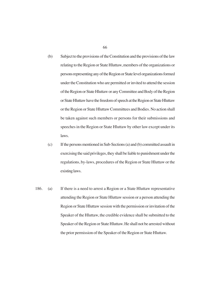- (b) Subject to the provisions of the Constitution and the provisions of the law relating to the Region or State Hluttaw, members of the organizations or persons representing any of the Region or State level organizations formed under the Constitution who are permitted or invited to attend the session of the Region or State Hluttaw or any Committee and Body of the Region or State Hluttaw have the freedom of speech at the Region or State Hluttaw or the Region or State Hluttaw Committees and Bodies. No action shall be taken against such members or persons for their submissions and speeches in the Region or State Hluttaw by other law except under its laws.
- (c) If the persons mentioned in Sub-Sections (a) and (b) committed assault in exercising the said privileges, they shall be liable to punishment under the regulations, by-laws, procedures of the Region or State Hluttaw or the existing laws.
- 186. (a) If there is a need to arrest a Region or a State Hluttaw representative attending the Region or State Hluttaw session or a person attending the Region or State Hluttaw session with the permission or invitation of the Speaker of the Hluttaw, the credible evidence shall be submitted to the Speaker of the Region or State Hluttaw. He shall not be arrested without the prior permission of the Speaker of the Region or State Hluttaw.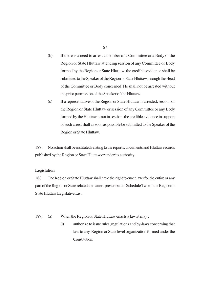- (b) If there is a need to arrest a member of a Committee or a Body of the Region or State Hluttaw attending session of any Committee or Body formed by the Region or State Hluttaw, the credible evidence shall be submitted to the Speaker of the Region or State Hluttaw through the Head of the Committee or Body concerned. He shall not be arrested without the prior permission of the Speaker of the Hluttaw.
- (c) If a representative of the Region or State Hluttaw is arrested, session of the Region or State Hluttaw or session of any Committee or any Body formed by the Hluttaw is not in session, the credible evidence in support of such arrest shall as soon as possible be submitted to the Speaker of the Region or State Hluttaw.

187. No action shall be instituted relating to the reports, documents and Hluttaw records published by the Region or State Hluttaw or under its authority.

#### **Legislation**

188. The Region or State Hluttaw shall have the right to enact laws for the entire or any part of the Region or State related to matters prescribed in Schedule Two of the Region or State Hluttaw Legislative List.

- 189. (a) When the Region or State Hluttaw enacts a law, it may :
	- (i) authorize to issue rules, regulations and by-laws concerning that law to any Region or State level organization formed under the Constitution;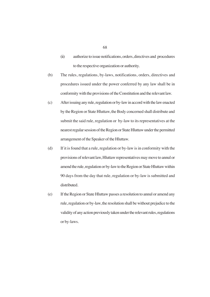- (ii) authorize to issue notifications, orders, directives and procedures to the respective organization or authority.
- (b) The rules, regulations, by-laws, notifications, orders, directives and procedures issued under the power conferred by any law shall be in conformity with the provisions of the Constitution and the relevant law.
- (c) After issuing any rule, regulation or by-law in accord with the law enacted by the Region or State Hluttaw, the Body concerned shall distribute and submit the said rule, regulation or by-law to its representatives at the nearest regular session of the Region or State Hluttaw under the permitted arrangement of the Speaker of the Hluttaw.
- (d) If it is found that a rule, regulation or by-law is in conformity with the provisions of relevant law, Hluttaw representatives may move to annul or amend the rule, regulation or by-law to the Region or State Hluttaw within 90 days from the day that rule, regulation or by-law is submitted and distributed.
- (e) If the Region or State Hluttaw passes a resolution to annul or amend any rule, regulation or by-law, the resolution shall be without prejudice to the validity of any action previously taken under the relevant rules, regulations or by-laws.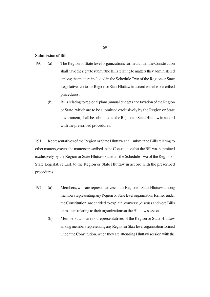#### **Submission of Bill**

- 190. (a) The Region or State level organizations formed under the Constitution shall have the right to submit the Bills relating to matters they administered among the matters included in the Schedule Two of the Region or State Legislative List to the Region or State Hluttaw in accord with the prescribed procedures.
	- (b) Bills relating to regional plans, annual budgets and taxation of the Region or State, which are to be submitted exclusively by the Region or State government, shall be submitted to the Region or State Hluttaw in accord with the prescribed procedures.

191. Representatives of the Region or State Hluttaw shall submit the Bills relating to other matters, except the matters prescribed in the Constitution that the Bill was submitted exclusively by the Region or State Hluttaw stated in the Schedule Two of the Region or State Legislative List, to the Region or State Hluttaw in accord with the prescribed procedures.

- 192. (a) Members, who are representatives of the Region or State Hluttaw among members representing any Region or State level organization formed under the Constitution, are entitled to explain, converse, discuss and vote Bills or matters relating to their organizations at the Hluttaw sessions.
	- (b) Members, who are not representatives of the Region or State Hluttaw among members representing any Region or State level organization formed under the Constitution, when they are attending Hluttaw session with the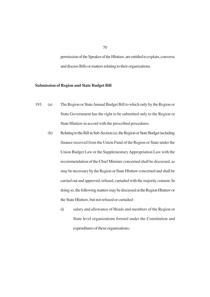permission of the Speaker of the Hluttaw, are entitled to explain, converse and discuss Bills or matters relating to their organizations.

#### **Submission of Region and State Budget Bill**

- 193. (a) The Region or State Annual Budget Bill to which only by the Region or State Government has the right to be submitted only to the Region or State Hluttaw in accord with the prescribed procedures.
	- (b) Relating to the Bill in Sub-Section (a), the Region or State Budget including finance received from the Union Fund of the Region or State under the Union Budget Law or the Supplementary Appropriation Law with the recommendation of the Chief Minister concerned shall be discussed, as may be necessary by the Region or State Hluttaw concerned and shall be carried out and approved, refused, curtailed with the majority consent. In doing so, the following matters may be discussed at the Region Hluttaw or the State Hluttaw, but not refused or curtailed :
		- (i) salary and allowance of Heads and members of the Region or State level organizations formed under the Constitution and expenditures of those organizations;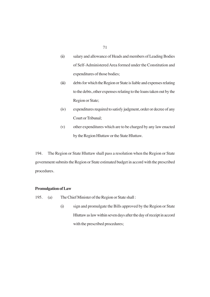- (ii) salary and allowance of Heads and members of Leading Bodies of Self-Administered Area formed under the Constitution and expenditures of those bodies;
- (iii) debts for which the Region or State is liable and expenses relating to the debts, other expenses relating to the loans taken out by the Region or State;
- (iv) expenditures required to satisfy judgment, order or decree of any Court or Tribunal;
- (v) other expenditures which are to be charged by any law enacted by the Region Hluttaw or the State Hluttaw.

194. The Region or State Hluttaw shall pass a resolution when the Region or State government submits the Region or State estimated budget in accord with the prescribed procedures.

#### **Promulgation of Law**

- 195. (a) The Chief Minister of the Region or State shall :
	- (i) sign and promulgate the Bills approved by the Region or State Hluttaw as law within seven days after the day of receipt in accord with the prescribed procedures;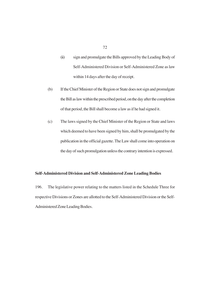- (ii) sign and promulgate the Bills approved by the Leading Body of Self-Administered Division or Self-Administered Zone as law within 14 days after the day of receipt.
- (b) If the Chief Minister of the Region or State does not sign and promulgate the Bill as law within the prescribed period, on the day after the completion of that period, the Bill shall become a law as if he had signed it.
- (c) The laws signed by the Chief Minister of the Region or State and laws which deemed to have been signed by him, shall be promulgated by the publication in the official gazette. The Law shall come into operation on the day of such promulgation unless the contrary intention is expressed.

#### **Self-Administered Division and Self-Administered Zone Leading Bodies**

196. The legislative power relating to the matters listed in the Schedule Three for respective Divisions or Zones are allotted to the Self-Administered Division or the Self-Administered Zone Leading Bodies.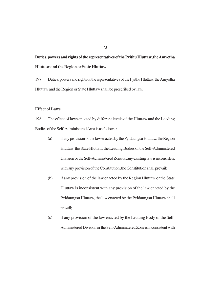## **Duties, powers and rights of the representatives of the Pyithu Hluttaw, the Amyotha Hluttaw and the Region or State Hluttaw**

197. Duties, powers and rights of the representatives of the Pyithu Hluttaw, the Amyotha Hluttaw and the Region or State Hluttaw shall be prescribed by law.

#### **Effect of Laws**

198. The effect of laws enacted by different levels of the Hluttaw and the Leading Bodies of the Self-Administered Area is as follows :

- (a) if any provision of the law enacted by the Pyidaungsu Hluttaw, the Region Hluttaw, the State Hluttaw, the Leading Bodies of the Self-Administered Division or the Self-Administered Zone or, any existing law is inconsistent with any provision of the Constitution, the Constitution shall prevail;
- (b) if any provision of the law enacted by the Region Hluttaw or the State Hluttaw is inconsistent with any provision of the law enacted by the Pyidaungsu Hluttaw, the law enacted by the Pyidaungsu Hluttaw shall prevail;
- (c) if any provision of the law enacted by the Leading Body of the Self-Administered Division or the Self-Administered Zone is inconsistent with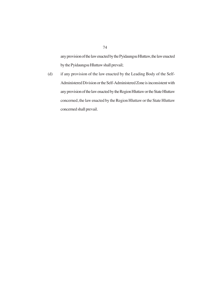any provision of the law enacted by the Pyidaungsu Hluttaw, the law enacted by the Pyidaungsu Hluttaw shall prevail;

(d) if any provision of the law enacted by the Leading Body of the Self-Administered Division or the Self-Administered Zone is inconsistent with any provision of the law enacted by the Region Hluttaw or the State Hluttaw concerned, the law enacted by the Region Hluttaw or the State Hluttaw concerned shall prevail.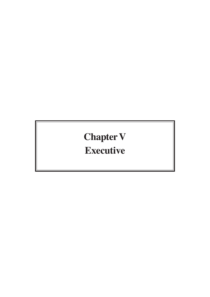# **Chapter V**

# **Executive**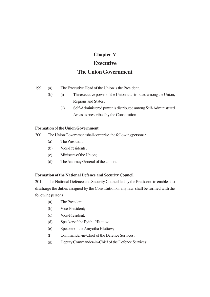# **Chapter V Executive The Union Government**

- 199. (a) The Executive Head of the Union is the President.
	- (b) (i) The executive power of the Union is distributed among the Union, Regions and States.
		- (ii) Self-Administered power is distributed among Self-Administered Areas as prescribed by the Constitution.

#### **Formation of the Union Government**

- 200. The Union Government shall comprise the following persons :
	- (a) The President;
	- (b) Vice-Presidents;
	- (c) Ministers of the Union;
	- (d) The Attorney General of the Union.

#### **Formation of the National Defence and Security Council**

201. The National Defence and Security Council led by the President, to enable it to discharge the duties assigned by the Constitution or any law, shall be formed with the following persons :

- (a) The President;
- (b) Vice-President;
- (c) Vice-President;
- (d) Speaker of the Pyithu Hluttaw;
- (e) Speaker of the Amyotha Hluttaw;
- (f) Commander-in-Chief of the Defence Services;
- (g) Deputy Commander-in-Chief of the Defence Services;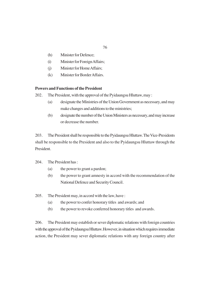- (h) Minister for Defence;
- (i) Minister for Foreign Affairs;
- (j) Minister for Home Affairs;
- (k) Minister for Border Affairs.

#### **Powers and Functions of the President**

- 202. The President, with the approval of the Pyidaungsu Hluttaw, may :
	- (a) designate the Ministries of the Union Government as necessary, and may make changes and additions to the ministries;
	- (b) designate the number of the Union Ministers as necessary, and may increase or decrease the number.

203. The President shall be responsible to the Pyidaungsu Hluttaw. The Vice-Presidents shall be responsible to the President and also to the Pyidaungsu Hluttaw through the President.

- 204. The President has :
	- (a) the power to grant a pardon;
	- (b) the power to grant amnesty in accord with the recommendation of the National Defence and Security Council.
- 205. The President may, in accord with the law, have :
	- (a) the power to confer honorary titles and awards; and
	- (b) the power to revoke conferred honorary titles and awards.

206. The President may establish or sever diplomatic relations with foreign countries with the approval of the Pyidaungsu Hluttaw. However, in situation which requires immediate action, the President may sever diplomatic relations with any foreign country after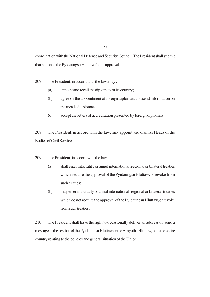coordination with the National Defence and Security Council. The President shall submit that action to the Pyidaungsu Hluttaw for its approval.

207. The President, in accord with the law, may :

- (a) appoint and recall the diplomats of its country;
- (b) agree on the appointment of foreign diplomats and send information on the recall of diplomats;
- (c) accept the letters of accreditation presented by foreign diplomats.

208. The President, in accord with the law, may appoint and dismiss Heads of the Bodies of Civil Services.

- 209. The President, in accord with the law :
	- (a) shall enter into, ratify or annul international, regional or bilateral treaties which require the approval of the Pyidaungsu Hluttaw, or revoke from such treaties;
	- (b) may enter into, ratify or annul international, regional or bilateral treaties which do not require the approval of the Pyidaungsu Hluttaw, or revoke from such treaties.

210. The President shall have the right to occasionally deliver an address or send a message to the session of the Pyidaungsu Hluttaw or the Amyotha Hluttaw, or to the entire country relating to the policies and general situation of the Union.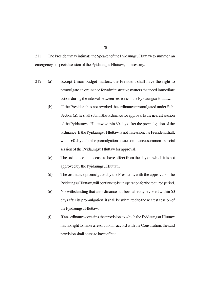211. The President may intimate the Speaker of the Pyidaungsu Hluttaw to summon an emergency or special session of the Pyidaungsu Hluttaw, if necessary.

- 212. (a) Except Union budget matters, the President shall have the right to promulgate an ordinance for administrative matters that need immediate action during the interval between sessions of the Pyidaungsu Hluttaw.
	- (b) If the President has not revoked the ordinance promulgated under Sub-Section (a), he shall submit the ordinance for approval to the nearest session of the Pyidaungsu Hluttaw within 60 days after the promulgation of the ordinance. If the Pyidaungsu Hluttaw is not in session, the President shall, within 60 days after the promulgation of such ordinance, summon a special session of the Pyidaungsu Hluttaw for approval.
	- (c) The ordinance shall cease to have effect from the day on which it is not approved by the Pyidaungsu Hluttaw.
	- (d) The ordinance promulgated by the President, with the approval of the Pyidaungsu Hluttaw, will continue to be in operation for the required period.
	- (e) Notwithstanding that an ordinance has been already revoked within 60 days after its promulgation, it shall be submitted to the nearest session of the Pyidaungsu Hluttaw.
	- (f) If an ordinance contains the provision to which the Pyidaungsu Hluttaw has no right to make a resolution in accord with the Constitution, the said provision shall cease to have effect.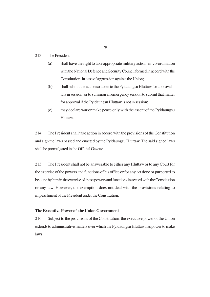- 213. The President :
	- (a) shall have the right to take appropriate military action, in co-ordination with the National Defence and Security Council formed in accord with the Constitution, in case of aggression against the Union;
	- (b) shall submit the action so taken to the Pyidaungsu Hluttaw for approval if it is in session, or to summon an emergency session to submit that matter for approval if the Pyidaungsu Hluttaw is not in session;
	- (c) may declare war or make peace only with the assent of the Pyidaungsu Hluttaw.

214. The President shall take action in accord with the provisions of the Constitution and sign the laws passed and enacted by the Pyidaungsu Hluttaw. The said signed laws shall be promulgated in the Official Gazette.

215. The President shall not be answerable to either any Hluttaw or to any Court for the exercise of the powers and functions of his office or for any act done or purported to be done by him in the exercise of these powers and functions in accord with the Constitution or any law. However, the exemption does not deal with the provisions relating to impeachment of the President under the Constitution.

#### **The Executive Power of the Union Government**

216. Subject to the provisions of the Constitution, the executive power of the Union extends to administrative matters over which the Pyidaungsu Hluttaw has power to make laws.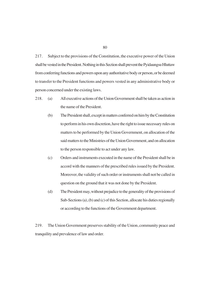217. Subject to the provisions of the Constitution, the executive power of the Union shall be vested in the President. Nothing in this Section shall prevent the Pyidaungsu Hluttaw from conferring functions and powers upon any authoritative body or person, or be deemed to transfer to the President functions and powers vested in any administrative body or person concerned under the existing laws.

- 218. (a) All executive actions of the Union Government shall be taken as action in the name of the President.
	- (b) The President shall, except in matters conferred on him by the Constitution to perform in his own discretion, have the right to issue necessary rules on matters to be performed by the Union Government, on allocation of the said matters to the Ministries of the Union Government, and on allocation to the person responsible to act under any law.
	- (c) Orders and instruments executed in the name of the President shall be in accord with the manners of the prescribed rules issued by the President. Moreover, the validity of such order or instruments shall not be called in question on the ground that it was not done by the President.
	- (d) The President may, without prejudice to the generality of the provisions of Sub-Sections (a), (b) and (c) of this Section, allocate his duties regionally or according to the functions of the Government department.

219. The Union Government preserves stability of the Union, community peace and tranquility and prevalence of law and order.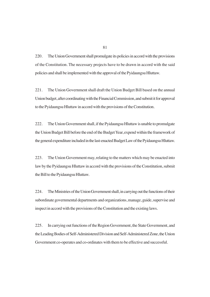220. The Union Government shall promulgate its policies in accord with the provisions of the Constitution. The necessary projects have to be drawn in accord with the said policies and shall be implemented with the approval of the Pyidaungsu Hluttaw.

221. The Union Government shall draft the Union Budget Bill based on the annual Union budget, after coordinating with the Financial Commission, and submit it for approval to the Pyidaungsu Hluttaw in accord with the provisions of the Constitution.

222. The Union Government shall, if the Pyidaungsu Hluttaw is unable to promulgate the Union Budget Bill before the end of the Budget Year, expend within the framework of the general expenditure included in the last-enacted Budget Law of the Pyidaungsu Hluttaw.

223. The Union Government may, relating to the matters which may be enacted into law by the Pyidaungsu Hluttaw in accord with the provisions of the Constitution, submit the Bill to the Pyidaungsu Hluttaw.

224. The Ministries of the Union Government shall, in carrying out the functions of their subordinate governmental departments and organizations, manage, guide, supervise and inspect in accord with the provisions of the Constitution and the existing laws.

225. In carrying out functions of the Region Government, the State Government, and the Leading Bodies of Self-Administered Division and Self-Administered Zone, the Union Government co-operates and co-ordinates with them to be effective and successful.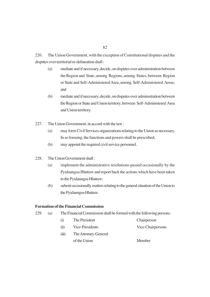226. The Union Government, with the exception of Constitutional disputes and the disputes over territorial re-delineation shall :

- (a) mediate and if necessary, decide, on disputes over administration between the Region and State, among Regions, among States, between Region or State and Self-Administered Area, among Self-Administered Areas; and
- (b) mediate and if necessary, decide, on disputes over administration between the Region or State and Union territory, between Self-Administered Area and Union territory.
- 227. The Union Government, in accord with the law :
	- (a) may form Civil Services organizations relating to the Union as necessary. In so forming, the functions and powers shall be prescribed;
	- (b) may appoint the required civil service personnel.
- 228. The Union Government shall:
	- (a) implement the administrative resolutions passed occasionally by the Pyidaungsu Hluttaw and report back the actions which have been taken to the Pyidaungsu Hluttaw;
	- (b) submit occasionally matters relating to the general situation of the Union to the Pyidaungsu Hluttaw.

#### **Formation of the Financial Commission**

- 229. (a) The Financial Commission shall be formed with the following persons:
	- (i) The President Chairperson (ii) Vice-Presidents Vice-Chairpersons
	- (iii) The Attorney-General of the Union Member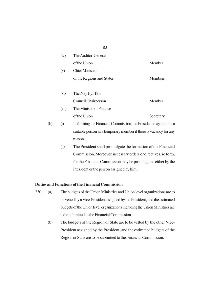|     |       | 83                                                                |                |  |
|-----|-------|-------------------------------------------------------------------|----------------|--|
|     | (iv)  | The Auditor-General                                               |                |  |
|     |       | of the Union                                                      | Member         |  |
|     | (v)   | <b>Chief Ministers</b>                                            |                |  |
|     |       | of the Regions and States                                         | <b>Members</b> |  |
|     |       |                                                                   |                |  |
|     | (vi)  | The Nay Pyi Taw                                                   |                |  |
|     |       | Council Chairperson                                               | Member         |  |
|     | (vii) | The Minister of Finance                                           |                |  |
|     |       | of the Union                                                      | Secretary      |  |
| (b) | (i)   | In forming the Financial Commission, the President may appoint a  |                |  |
|     |       | suitable person as a temporary member if there is vacancy for any |                |  |
|     |       | reason.                                                           |                |  |
|     | (ii)  | The President shall promulgate the formation of the Financial     |                |  |
|     |       | Commission. Moreover, necessary orders or directives, so forth,   |                |  |
|     |       | for the Financial Commission may be promulgated either by the     |                |  |

## **Duties and Functions of the Financial Commission**

230. (a) The budgets of the Union Ministries and Union level organizations are to be vetted by a Vice-President assigned by the President, and the estimated budgets of the Union level organizations including the Union Ministries are to be submitted to the Financial Commission.

President or the person assigned by him.

(b) The budgets of the Region or State are to be vetted by the other Vice-President assigned by the President, and the estimated budgets of the Region or State are to be submitted to the Financial Commission.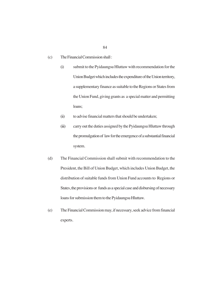- (c) The Financial Commission shall :
	- (i) submit to the Pyidaungsu Hluttaw with recommendation for the Union Budget which includes the expenditure of the Union territory, a supplementary finance as suitable to the Regions or States from the Union Fund, giving grants as a special matter and permitting loans;
	- (ii) to advise financial matters that should be undertaken;
	- (iii) carry out the duties assigned by the Pyidaungsu Hluttaw through the promulgation of law for the emergence of a substantial financial system.
- (d) The Financial Commission shall submit with recommendation to the President, the Bill of Union Budget, which includes Union Budget, the distribution of suitable funds from Union Fund accounts to Regions or States, the provisions or funds as a special case and disbursing of necessary loans for submission them to the Pyidaungsu Hluttaw.
- (e) The Financial Commission may, if necessary, seek advice from financial experts.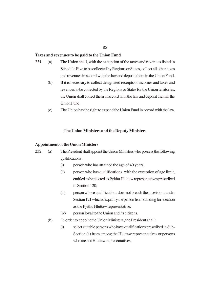#### **Taxes and revenues to be paid to the Union Fund**

- 231. (a) The Union shall, with the exception of the taxes and revenues listed in Schedule Five to be collected by Regions or States, collect all other taxes and revenues in accord with the law and deposit them in the Union Fund.
	- (b) If it is necessary to collect designated receipts or incomes and taxes and revenues to be collected by the Regions or States for the Union territories, the Union shall collect them in accord with the law and deposit them in the Union Fund.
	- (c) The Union has the right to expend the Union Fund in accord with the law.

#### **The Union Ministers and the Deputy Ministers**

#### **Appointment of the Union Ministers**

- 232. (a) The President shall appoint the Union Ministers who possess the following qualifications :
	- (i) person who has attained the age of 40 years;
	- (ii) person who has qualifications, with the exception of age limit, entitled to be elected as Pyithu Hluttaw representatives prescribed in Section 120;
	- (iii) person whose qualifications does not breach the provisions under Section 121 which disqualify the person from standing for election as the Pyithu Hluttaw representative;
	- (iv) person loyal to the Union and its citizens.
	- (b) In order to appoint the Union Ministers, the President shall :
		- (i) select suitable persons who have qualifications prescribed in Sub-Section (a) from among the Hluttaw representatives or persons who are not Hluttaw representatives;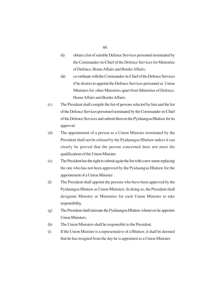- (ii) obtain a list of suitable Defence Services personnel nominated by the Commander-in-Chief of the Defence Services for Ministries of Defence, Home Affairs and Border Affairs;
- (iii) co-ordinate with the Commander-in-Chief of the Defence Services if he desires to appoint the Defence Services personnel as Union Ministers for other Ministries apart from Ministries of Defence, Home Affairs and Border Affairs.
- (c) The President shall compile the list of persons selected by him and the list of the Defence Services personnel nominated by the Commander-in-Chief of the Defence Services and submit them to the Pyidaungsu Hluttaw for its approval.
- (d) The appointment of a person as a Union Minister nominated by the President shall not be refused by the Pyidaungsu Hluttaw unless it can clearly be proved that the person concerned does not meet the qualifications of the Union Minister.
- (e) The President has the right to submit again the list with a new name replacing the one who has not been approved by the Pyidaungsu Hluttaw for the appointment of a Union Minister .
- (f) The President shall appoint the persons who have been approved by the Pyidaungsu Hluttaw as Union Ministers. In doing so, the President shall designate Ministry or Ministries for each Union Minister to take responsibility.
- (g) The President shall intimate the Pyidaungsu Hluttaw whenever he appoints Union Ministers.
- (h) The Union Ministers shall be responsible to the President.
- (i) If the Union Minister is a representative of a Hluttaw, it shall be deemed that he has resigned from the day he is appointed as a Union Minister.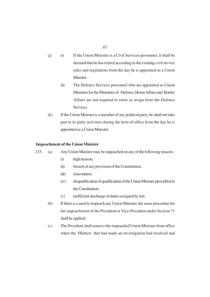- (j) (i) If the Union Minister is a Civil Services personnel, it shall be deemed that he has retired according to the existing civil service rules and regulations from the day he is appointed as a Union Minister.
	- (ii) The Defence Services personnel who are appointed as Union Ministers for the Ministries of Defence, Home Affairs and Border Affairs are not required to retire or resign from the Defence Services.
- (k) If the Union Minister is a member of any political party, he shall not take part in its party activities during the term of office from the day he is appointed as a Union Minister.

#### **Impeachment of the Union Minister**

233. (a) Any Union Minister may be impeached on any of the following reasons :

- (i) high treason;
- (ii) breach of any provision of the Constitution;
- (iii) misconduct;
- (iv) disqualification of qualification of the Union Minister prescribed in the Constitution;
- (v) inefficient discharge of duties assigned by law.
- (b) If there is a need to impeach any Union Minister, the same procedure for the impeachment of the President or Vice-President under Section 71 shall be applied.
- (c) The President shall remove the impeached Union Minister from office when the Hluttaw that had made an investigation had resolved and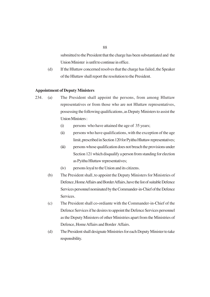submitted to the President that the charge has been substantiated and the Union Minister is unfit to continue in office.

(d) If the Hluttaw concerned resolves that the charge has failed, the Speaker of the Hluttaw shall report the resolution to the President.

#### **Appointment of Deputy Ministers**

- 234. (a) The President shall appoint the persons, from among Hluttaw representatives or from those who are not Hluttaw representatives, possessing the following qualifications, as Deputy Ministers to assist the Union Ministers :
	- (i) persons who have attained the age of 35 years;
	- (ii) persons who have qualifications, with the exception of the age limit, prescribed in Section 120 for Pyithu Hluttaw representatives;
	- (iii) persons whose qualification does not breach the provisions under Section 121 which disqualify a person from standing for election as Pyithu Hluttaw representatives;
	- (iv) persons loyal to the Union and its citizens.
	- (b) The President shall, to appoint the Deputy Ministers for Ministries of Defence, Home Affairs and Border Affairs, have the list of suitable Defence Services personnel nominated by the Commander-in-Chief of the Defence **Services**
	- (c) The President shall co-ordiante with the Commander-in-Chief of the Defence Services if he desires to appoint the Defence Services personnel as the Deputy Ministers of other Ministries apart from the Ministries of Defence, Home Affairs and Border Affairs.
	- (d) The President shall designate Ministries for each Deputy Minister to take responsibility.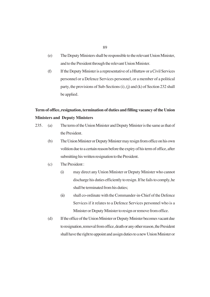- (e) The Deputy Ministers shall be responsible to the relevant Union Minister, and to the President through the relevant Union Minister.
- (f) If the Deputy Minister is a representative of a Hluttaw or a Civil Services personnel or a Defence Services personnel, or a member of a political party, the provisions of Sub-Sections (i), (j) and (k) of Section 232 shall be applied.

### **Term of office, resignation, termination of duties and filling vacancy of the Union Ministers and Deputy Ministers**

- 235. (a) The term of the Union Minister and Deputy Minister is the same as that of the President.
	- (b) The Union Minister or Deputy Minister may resign from office on his own volition due to a certain reason before the expiry of his term of office, after submitting his written resignation to the President.
	- (c) The President :
		- (i) may direct any Union Minister or Deputy Minister who cannot discharge his duties efficiently to resign. If he fails to comply, he shall be terminated from his duties;
		- (ii) shall co-ordinate with the Commander-in-Chief of the Defence Services if it relates to a Defence Services personnel who is a Minister or Deputy Minister to resign or remove from office.
	- (d) If the office of the Union Minister or Deputy Minister becomes vacant due to resignation, removal from office, death or any other reason, the President shall have the right to appoint and assign duties to a new Union Minister or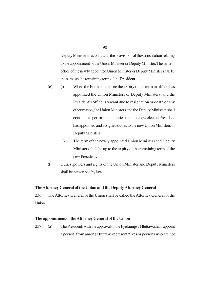Deputy Minister in accord with the provisions of the Constitution relating to the appointment of the Union Minister or Deputy Minister. The term of office of the newly appointed Union Minister or Deputy Minister shall be the same as the remaining term of the President.

- (e) (i) When the President before the expiry of his term in office, has appointed the Union Ministers or Deputy Ministers, and the President's office is vacant due to resignation or death or any other reason, the Union Ministers and the Deputy Ministers shall continue to perform their duties until the new elected President has appointed and assigned duties to the new Union Ministers or Deputy Ministers.
	- (ii) The term of the newly appointed Union Ministers and Deputy Ministers shall be up to the expiry of the remaining term of the new President.
- (f) Duties, powers and rights of the Union Minister and Deputy Ministers shall be prescribed by law.

#### **The Attorney General of the Union and the Deputy Attorney General**

236. The Attorney General of the Union shall be called the Attorney General of the Union.

#### **The appointment of the Attorney General of the Union**

237. (a) The President, with the approval of the Pyidaungsu Hluttaw, shall appoint a person, from among Hluttaw representatives or persons who are not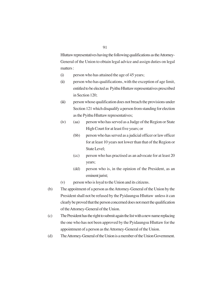Hluttaw representatives having the following qualifications as the Attorney-General of the Union to obtain legal advice and assign duties on legal matters :

- (i) person who has attained the age of 45 years;
- (ii) person who has qualifications, with the exception of age limit, entitled to be elected as Pyithu Hluttaw representatives prescribed in Section 120;
- (iii) person whose qualification does not breach the provisions under Section 121 which disqualify a person from standing for election as the Pyithu Hluttaw representatives;
- (iv) (aa) person who has served as a Judge of the Region or State High Court for at least five years; or
	- (bb) person who has served as a judicial officer or law officer for at least 10 years not lower than that of the Region or State Level;
	- (cc) person who has practised as an advocate for at least 20 years;
	- (dd) person who is, in the opinion of the President, as an eminent jurist;
- (v) person who is loyal to the Union and its citizens.
- (b) The appoitment of a person as the Attorney-General of the Union by the President shall not be refused by the Pyidaungsu Hluttaw unless it can clearly be proved that the person concerned does not meet the qualification of the Attorney-General of the Union.
- (c) The President has the right to submit again the list with a new name replacing the one who has not been approved by the Pyidaungsu Hluttaw for the appointment of a person as the Attorney-General of the Union.
- (d) The Attorney-General of the Union is a member of the Union Government.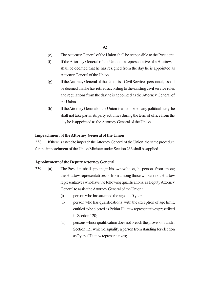- 92
- (e) The Attorney General of the Union shall be responsible to the President.
- (f) If the Attorney General of the Union is a representative of a Hluttaw, it shall be deemed that he has resigned from the day he is appointed as Attorney General of the Union.
- (g) If the Attorney General of the Union is a Civil Services personnel, it shall be deemed that he has retired according to the existing civil service rules and regulations from the day he is appointed as the Attorney General of the Union.
- (h) If the Attorney General of the Union is a member of any political party, he shall not take part in its party activities during the term of office from the day he is appointed as the Attorney General of the Union.

#### **Impeachment of the Attorney General of the Union**

238. If there is a need to impeach the Attorney General of the Union, the same procedure for the impeachment of the Union Minister under Section 233 shall be applied.

#### **Appointment of the Deputy Attorney General**

- 239. (a) The President shall appoint, in his own volition, the persons from among the Hluttaw representatives or from among those who are not Hluttaw representatives who have the following qualifications, as Deputy Attorney General to assist the Attorney General of the Union :
	- (i) person who has attained the age of 40 years;
	- (ii) person who has qualifications, with the exception of age limit, entitled to be elected as Pyithu Hluttaw representatives prescribed in Section 120;
	- (iii) persons whose qualification does not breach the provisions under Section 121 which disqualify a person from standing for election as Pyithu Hluttaw representatives;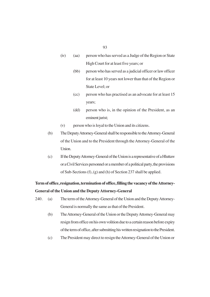- (iv) (aa) person who has served as a Judge of the Region or State High Court for at least five years; or
	- (bb) person who has served as a judicial officer or law officer for at least 10 years not lower than that of the Region or State Level; or
	- (cc) person who has practised as an advocate for at least 15 years;
	- (dd) person who is, in the opinion of the President, as an eminent jurist;
	- (v) person who is loyal to the Union and its citizens.
- (b) The Deputy Attorney-General shall be responsible to the Attorney-General of the Union and to the President through the Attorney-General of the Union.
- (c) If the Deputy Attorney-General of the Union is a representative of a Hluttaw or a Civil Services personnel or a member of a political party, the provisions of Sub-Sections (f), (g) and (h) of Section 237 shall be applied.

## **Term of office, resignation, termination of office, filling the vacancy of the Attorney-General of the Union and the Deputy Attorney-General**

- 240. (a) The term of the Attorney-General of the Union and the Deputy Attorney-General is normally the same as that of the President.
	- (b) The Attorney-General of the Union or the Deputy Attorney-General may resign from office on his own volition due to a certain reason before expiry of the term of office, after submitting his written resignation to the President.
	- (c) The President may direct to resign the Attorney-General of the Union or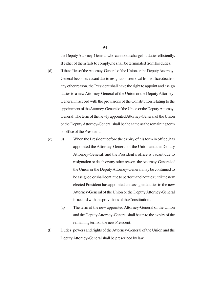the Deputy Attorney-General who cannot discharge his duties efficiently. If either of them fails to comply, he shall be terminated from his duties.

- (d) If the office of the Attorney-General of the Union or the Deputy Attorney-General becomes vacant due to resignation, removal from office, death or any other reason, the President shall have the right to appoint and assign duties to a new Attorney-General of the Union or the Deputy Attorney-General in accord with the provisions of the Constitution relating to the appointment of the Attorney-General of the Union or the Deputy Attorney-General. The term of the newly appointed Attorney-General of the Union or the Deputy Attorney-General shall be the same as the remaining term of office of the President.
- (e) (i) When the President before the expiry of his term in office, has appointed the Attorney-General of the Union and the Deputy Attorney-General, and the President's office is vacant due to resignation or death or any other reason, the Attorney-General of the Union or the Deputy Attorney-General may be continued to be assigned or shall continue to perform their duties until the new elected President has appointed and assigned duties to the new Attorney-General of the Union or the Deputy Attorney-General in accord with the provisions of the Constitution .
	- (ii) The term of the new appointed Attorney-General of the Union and the Deputy Attorney-General shall be up to the expiry of the remaining term of the new President.
- (f) Duties, powers and rights of the Attorney-General of the Union and the Deputy Attorney-General shall be prescribed by law.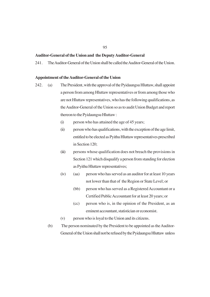#### **Auditor-General of the Union and the Deputy Auditor-General**

241. The Auditor-General of the Union shall be called the Auditor-General of the Union.

#### **Appointment of the Auditor-General of the Union**

- 242. (a) The President, with the approval of the Pyidaungsu Hluttaw, shall appoint a person from among Hluttaw representatives or from among those who are not Hluttaw representatives, who has the following qualifications, as the Auditor-General of the Union so as to audit Union Budget and report thereon to the Pyidaungsu Hluttaw :
	- (i) person who has attained the age of 45 years;
	- (ii) person who has qualifications, with the exception of the age limit, entitled to be elected as Pyithu Hluttaw representatives prescribed in Section 120;
	- (iii) persons whose qualification does not breach the provisions in Section 121 which disqualify a person from standing for election as Pyithu Hluttaw representatives;
	- (iv) (aa) person who has served as an auditor for at least 10 years not lower than that of the Region or State Level; or
		- (bb) person who has served as a Registered Accountant or a Certified Public Accountant for at least 20 years; or
		- (cc) person who is, in the opinion of the President, as an eminent accountant, statistician or economist.
	- (v) person who is loyal to the Union and its citizens.
	- (b) The person nominated by the President to be appointed as the Auditor-General of the Union shall not be refused by the Pyidaungsu Hluttaw unless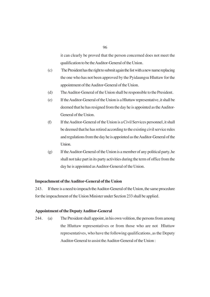it can clearly be proved that the person concerned does not meet the qualification to be the Auditor-General of the Union.

- (c) The President has the right to submit again the list with a new name replacing the one who has not been approved by the Pyidaungsu Hluttaw for the appointment of the Auditor-General of the Union.
- (d) The Auditor-General of the Union shall be responsible to the President.
- (e) If the Auditor-General of the Union is a Hluttaw representative, it shall be deemed that he has resigned from the day he is appointed as the Auditor-General of the Union.
- (f) If the Auditor-General of the Union is a Civil Services personnel, it shall be deemed that he has retired according to the existing civil service rules and regulations from the day he is appointed as the Auditor-General of the Union.
- (g) If the Auditor-General of the Union is a member of any political party, he shall not take part in its party activities during the term of office from the day he is appointed as Auditor-General of the Union.

#### **Impeachment of the Auditor-General of the Union**

243. If there is a need to impeach the Auditor-General of the Union, the same procedure for the impeachment of the Union Minister under Section 233 shall be applied.

#### **Appointment of the Deputy Auditor-General**

244. (a) The President shall appoint, in his own volition, the persons from among the Hluttaw representatives or from those who are not Hluttaw representatives, who have the following qualifications, as the Deputy Auditor-General to assist the Auditor-General of the Union :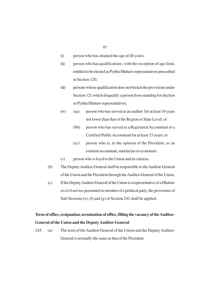- (i) person who has attained the age of 40 years;
- (ii) person who has qualifications, with the exception of age limit, entitled to be elected as Pyithu Hluttaw representatives prescribed in Section 120;
- (iii) persons whose qualification does not breach the provisions under Section 121 which disqualify a person from standing for election as Pyithu Hluttaw representatives;
- (iv) (aa) person who has served as an auditor for at least 10 years not lower than that of the Region or State Level; or
	- (bb) person who has served as a Registered Accountant or a Certified Public Accountant for at least 15 years; or
	- (cc) person who is, in the opinion of the President, as an eminent accountant, statistician or economist.
- (v) person who is loyal to the Union and its citizens.
- (b) The Deputy Auditor-General shall be responsible to the Auditor-General of the Union and the President through the Auditor-General of the Union.
- (c) If the Deputy Auditor-General of the Union is a representative of a Hluttaw or civil service personnel or member of a political party, the provisions of Sub-Sections (e), (f) and (g) of Section 242 shall be applied.

## **Term of office, resignation, termination of office, filling the vacancy of the Auditor-General of the Union and the Deputy Auditor-General**

245. (a) The term of the Auditor-General of the Union and the Deputy Auditor-General is normally the same as that of the President.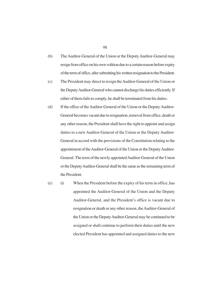- (b) The Auditor-General of the Union or the Deputy Auditor-General may resign from office on his own volition due to a certain reason before expiry of the term of office, after submitting his written resignation to the President.
- (c) The President may direct to resign the Auditor-General of the Union or the Deputy Auditor-General who cannot discharge his duties efficiently. If either of them fails to comply, he shall be terminated from his duties.
- (d) If the office of the Auditor-General of the Union or the Deputy Auditor-General becomes vacant due to resignation, removal from office, death or any other reason, the President shall have the right to appoint and assign duties to a new Auditor-General of the Union or the Deputy Auditor-General in accord with the provisions of the Constitution relating to the appointment of the Auditor-General of the Union or the Deputy Auditor-General. The term of the newly appointed Auditor-General of the Union or the Deputy Auditor-General shall be the same as the remaining term of the President.
- (e) (i) When the President before the expiry of his term in office, has appointed the Auditor-General of the Union and the Deputy Auditor-General, and the President's office is vacant due to resignation or death or any other reason, the Auditor-General of the Union or the Deputy Auditor-General may be continued to be assigned or shall continue to perform their duties until the new elected President has appointed and assigned duties to the new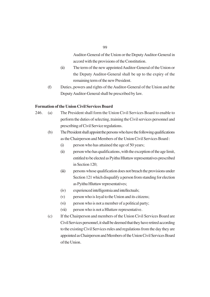Auditor-General of the Union or the Deputy Auditor-General in accord with the provisions of the Constitution.

- (ii) The term of the new appointed Auditor-General of the Union or the Deputy Auditor-General shall be up to the expiry of the remaining term of the new President.
- (f) Duties, powers and rights of the Auditor-General of the Union and the Deputy Auditor-General shall be prescribed by law.

#### **Formation of the Union Civil Services Board**

- 246. (a) The President shall form the Union Civil Services Board to enable to perform the duties of selecting, training the Civil services personnel and prescribing of Civil Service regulations.
	- (b) The President shall appoint the persons who have the following qualifications as the Chairperson and Members of the Union Civil Services Board :
		- (i) person who has attained the age of 50 years;
		- (ii) person who has qualifications, with the exception of the age limit, entitled to be elected as Pyithu Hluttaw representatives prescribed in Section 120;
		- (iii) persons whose qualification does not breach the provisions under Section 121 which disqualify a person from standing for election as Pyithu Hluttaw representatives;
		- (iv) experienced intelligentsia and intellectuals;
		- (v) person who is loyal to the Union and its citizens;
		- (vi) person who is not a member of a political party;
		- (vii) person who is not a Hluttaw representative.
	- (c) If the Chairperson and members of the Union Civil Services Board are Civil Services personnel, it shall be deemed that they have retired according to the existing Civil Services rules and regulations from the day they are appointed as Chairperson and Members of the Union Civil Services Board of the Union.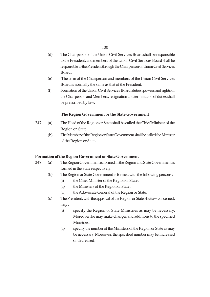#### 100

- (d) The Chairperson of the Union Civil Services Board shall be responsible to the President, and members of the Union Civil Services Board shall be responsible to the President through the Chairperson of Union Civil Services Board.
- (e) The term of the Chairperson and members of the Union Civil Services Board is normally the same as that of the President.
- (f) Formation of the Union Civil Services Board, duties, powers and rights of the Chairperson and Members, resignation and termination of duties shall be prescribed by law.

#### **The Region Government or the State Government**

- 247. (a) The Head of the Region or State shall be called the Chief Minister of the Region or State.
	- (b) The Member of the Region or State Government shall be called the Minister of the Region or State.

#### **Formation of the Region Government or State Government**

- 248. (a) The Region Government is formed in the Region and State Government is formed in the State respectively.
	- (b) The Region or State Government is formed with the following persons :
		- (i) the Chief Minister of the Region or State;
		- (ii) the Ministers of the Region or State;
		- (iii) the Adovocate General of the Region or State.
	- (c) The President, with the approval of the Region or State Hluttaw concerned, may :
		- (i) specify the Region or State Ministries as may be necessary. Moreover, he may make changes and additions to the specified Ministries;
		- (ii) specify the number of the Ministers of the Region or State as may be necessary. Moreover, the specified number may be increased or decreased.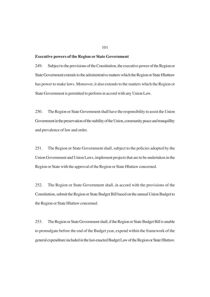#### **Executive powers of the Region or State Government**

249. Subject to the provisions of the Constitution, the executive power of the Region or State Government extends to the administrative matters which the Region or State Hlutttaw has power to make laws. Moreover, it also extends to the matters which the Region or State Government is permitted to perform in accord with any Union Law.

250. The Region or State Government shall have the responsibility to assist the Union Government in the preservation of the stability of the Union, community peace and tranquillity and prevalence of law and order.

251. The Region or State Government shall, subject to the policies adopted by the Union Government and Union Laws, implement projects that are to be undertaken in the Region or State with the approval of the Region or State Hluttaw concerned.

252. The Region or State Government shall, in accord with the provisions of the Constitution, submit the Region or State Budget Bill based on the annual Union Budget to the Region or State Hluttaw concerned.

253. The Region or State Government shall, if the Region or State Budget Bill is unable to promulgate before the end of the Budget year, expend within the framework of the general expenditure included in the last-enacted Budget Law of the Region or State Hluttaw.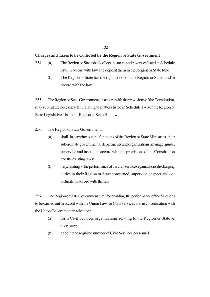#### **Charges and Taxes to be Collected by the Region or State Government**

- 254. (a) The Region or State shall collect the taxes and revenues listed in Schedule Five in accord with law and deposit them in the Region or State fund.
	- (b) The Region or State has the right to expend the Region or State fund in accord with the law.

255. The Region or State Government, in accord with the provisions of the Constitution, may submit the necessary Bill relating to matters listed in Schedule Two of the Region or State Legislative List to the Region or State Hluttaw.

- 256. The Region or State Government :
	- (a) shall, in carrying out the functions of the Region or State Ministries, their subordinate governmental departments and organizations, manage, guide, supervise and inspect in accord with the provisions of the Constitution and the existing laws;
	- (b) may, relating to the performance of the civil service organizations discharging duties in their Region or State concerned, supervise, inspect and coordinate in accord with the law.

257. The Region or State Government may, for enabling the performance of the functions to be carried out in accord with the Union Law for Civil Services and in co-ordination with the Union Government in advance :

- (a) form Civil Services organizations relating to the Region or State as necessary;
- (b) appoint the required number of Civil Services personnel.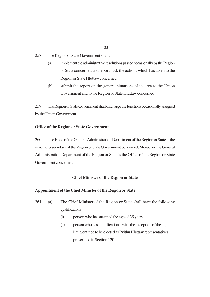- (a) implement the administrative resolutions passed occasionally by the Region or State concerned and report back the actions which has taken to the Region or State Hluttaw concerned;
- (b) submit the report on the general situations of its area to the Union Government and to the Region or State Hluttaw concerned.

259. The Region or State Government shall discharge the functions occasionally assigned by the Union Government.

#### **Office of the Region or State Government**

260. The Head of the General Administration Department of the Region or State is the ex-officio Secretary of the Region or State Government concerned. Moreover, the General Administration Department of the Region or State is the Office of the Region or State Government concerned.

### **Chief Minister of the Region or State**

### **Appointment of the Chief Minister of the Region or State**

- 261. (a) The Chief Minister of the Region or State shall have the following qualifications :
	- (i) person who has attained the age of 35 years;
	- (ii) person who has qualifications, with the exception of the age limit, entitled to be elected as Pyithu Hluttaw representatives prescribed in Section 120;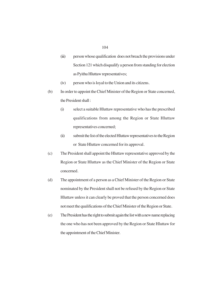- (iii) person whose qualification does not breach the provisions under Section 121 which disqualify a person from standing for election as Pyithu Hluttaw representatives;
- (iv) person who is loyal to the Union and its citizens.
- (b) In order to appoint the Chief Minister of the Region or State concerned, the President shall :
	- (i) select a suitable Hluttaw representative who has the prescribed qualifications from among the Region or State Hluttaw representatives concerned;
	- (ii) submit the list of the elected Hluttaw representatives to the Region or State Hluttaw concerned for its approval.
- (c) The President shall appoint the Hluttaw representative approved by the Region or State Hluttaw as the Chief Minister of the Region or State concerned.
- (d) The appointment of a person as a Chief Minister of the Region or State nominated by the President shall not be refused by the Region or State Hluttaw unless it can clearly be proved that the person concerned does not meet the qualifications of the Chief Minister of the Region or State.
- (e) The President has the right to submit again the list with a new name replacing the one who has not been approved by the Region or State Hluttaw for the appointment of the Chief Minister.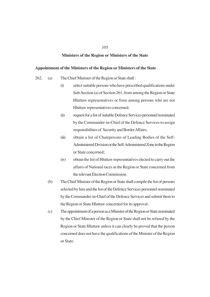#### **Ministers of the Region or Ministers of the State**

#### **Appointment of the Ministers of the Region or Ministers of the State**

- 262. (a) The Chief Minister of the Region or State shall :
	- (i) select suitable persons who have prescribed qualifications under Sub-Section (a) of Section 261, from among the Region or State Hluttaw representatives or from among persons who are not Hluttaw representatives concerned;
	- (ii) request for a list of suitable Defence Services personnel nominated by the Commander-in-Chief of the Defence Services to assign responsibilities of Security and Border Affairs;
	- (iii) obtain a list of Chairpersons of Leading Bodies of the Self-Administered Division or the Self-Administered Zone in the Region or State concerned;
	- (iv) obtain the list of Hluttaw representatives elected to carry out the affairs of National races in the Region or State concerned from the relevant Election Commission.
	- (b) The Chief Minister of the Region or State shall compile the list of persons selected by him and the list of the Defence Services personnel nominated by the Commander-in-Chief of the Defence Services and submit them to the Region or State Hluttaw concerned for its approval.
	- (c) The appointment of a person as a Minister of the Region or State nominated by the Chief Minister of the Region or State shall not be refused by the Region or State Hluttaw unless it can clearly be proved that the person concerned does not have the qualifications of the Minister of the Region or State.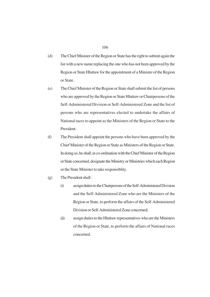- (d) The Chief Minister of the Region or State has the right to submit again the list with a new name replacing the one who has not been approved by the Region or State Hluttaw for the appointment of a Minister of the Region or State.
- (e) The Chief Minister of the Region or State shall submit the list of persons who are approved by the Region or State Hluttaw or Chairpersons of the Self-Administered Division or Self-Administered Zone and the list of persons who are representatives elected to undertake the affairs of National races to appoint as the Ministers of the Region or State to the President.
- (f) The President shall appoint the persons who have been approved by the Chief Minister of the Region or State as Ministers of the Region or State. In doing so, he shall, in co-ordination with the Chief Minister of the Region or State concerned, designate the Ministry or Ministries which each Region or the State Minister to take responsiblity.
- (g) The President shall :
	- (i) assign duties to the Chairpersons of the Self-Administered Division and the Self-Administered Zone who are the Ministers of the Region or State, to perform the affairs of the Self-Administered Division or Self-Administered Zone concerned;
	- (ii) assign duties to the Hluttaw representatives who are the Ministers of the Region or State, to perform the affairs of National races concerned.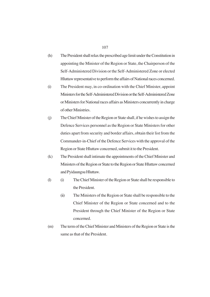- (h) The President shall relax the prescribed age limit under the Constitution in appointing the Minister of the Region or State, the Chairperson of the Self-Administered Division or the Self-Administered Zone or elected Hluttaw representative to perform the affairs of National races concerned.
- (i) The President may, in co-ordination with the Chief Minister, appoint Ministers for the Self-Administered Division or the Self-Administered Zone or Ministers for National races affairs as Ministers concurrently in charge of other Ministries.
- (j) The Chief Minister of the Region or State shall, if he wishes to assign the Defence Services personnel as the Region or State Ministers for other duties apart from security and border affairs, obtain their list from the Commander-in-Chief of the Defence Services with the approval of the Region or State Hluttaw concerned, submit it to the President.
- (k) The President shall intimate the appointments of the Chief Minister and Ministers of the Region or State to the Region or State Hluttaw concerned and Pyidaungsu Hluttaw.
- (l) (i) The Chief Minister of the Region or State shall be responsible to the President.
	- (ii) The Ministers of the Region or State shall be responsible to the Chief Minister of the Region or State concerned and to the President through the Chief Minister of the Region or State concerned.
- (m) The term of the Chief Minister and Ministers of the Region or State is the same as that of the President.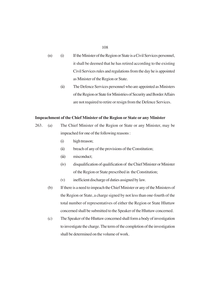- (n) (i) If the Minister of the Region or State is a Civil Services personnel, it shall be deemed that he has retired according to the existing Civil Services rules and regulations from the day he is appointed as Minister of the Region or State.
	- (ii) The Defence Services personnel who are appointed as Ministers of the Region or State for Ministries of Security and Border Affairs are not required to retire or resign from the Defence Services.

#### **Impeachment of the Chief Minister of the Region or State or any Minister**

- 263. (a) The Chief Minister of the Region or State or any Minister, may be impeached for one of the following reasons :
	- (i) high treason;
	- (ii) breach of any of the provisions of the Constitution;
	- (iii) misconduct;
	- (iv) disqualification of qualification of the Chief Minister or Minister of the Region or State prescribed in the Constitution;
	- (v) inefficient discharge of duties assigned by law.
	- (b) If there is a need to impeach the Chief Minister or any of the Ministers of the Region or State, a charge signed by not less than one-fourth of the total number of representatives of either the Region or State Hluttaw concerned shall be submitted to the Speaker of the Hluttaw concerned.
	- (c) The Speaker of the Hluttaw concerned shall form a body of investigation to investigate the charge. The term of the completion of the investigation shall be determined on the volume of work.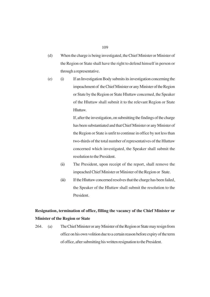- (d) When the charge is being investigated, the Chief Minister or Minister of the Region or State shall have the right to defend himself in person or through a representative.
- (e) (i) If an Investigation Body submits its investigation concerning the impeachment of the Chief Minister or any Minister of the Region or State by the Region or State Hluttaw concerned, the Speaker of the Hluttaw shall submit it to the relevant Region or State Hluttaw.

If, after the investigation, on submitting the findings of the charge has been substantiated and that Chief Minister or any Minister of the Region or State is unfit to continue in office by not less than two-thirds of the total number of representatives of the Hluttaw concerned which investigated, the Speaker shall submit the resolution to the President.

- (ii) The President, upon receipt of the report, shall remove the impeached Chief Minister or Minister of the Region or State.
- (iii) If the Hluttaw concerned resolves that the charge has been failed, the Speaker of the Hluttaw shall submit the resolution to the President.

# **Resignation, termination of office, filling the vacancy of the Chief Minister or Minister of the Region or State**

264. (a) The Chief Minister or any Minister of the Region or State may resign from office on his own volition due to a certain reason before expiry of the term of office, after submitting his written resignation to the President.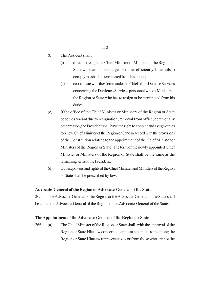- (b) The President shall :
	- (i) direct to resign the Chief Minister or Minister of the Region or State who cannot discharge his duties efficiently. If he fails to comply, he shall be terminated from his duties;
	- (ii) co-ordinate with the Commander-in-Chief of the Defence Services concerning the Denfence Services personnel who is Minister of the Region or State who has to resign or be terminated from his duties.
- (c) If the office of the Chief Minister or Ministers of the Region or State becomes vacant due to resignation, removal from office, death or any other reason, the President shall have the right to appoint and assign duties to a new Chief Minister of the Region or State in accord with the provisions of the Constitution relating to the appointment of the Chief Minister or Ministers of the Region or State. The term of the newly appointed Chief Minister or Ministers of the Region or State shall be the same as the remaining term of the President.
- (d) Duties, powers and rights of the Chief Minister and Ministers of the Region or State shall be prescribed by law.

#### **Advocate-General of the Region or Advocate-General of the State**

265. The Advocate-General of the Region or the Advocate-General of the State shall be called the Advocate-General of the Region or the Advocate-General of the State.

#### **The Appointment of the Advocate-General of the Region or State**

266. (a) The Chief Minister of the Region or State shall, with the approval of the Region or State Hluttaw concerned, appoint a person from among the Region or State Hluttaw representatives or from those who are not the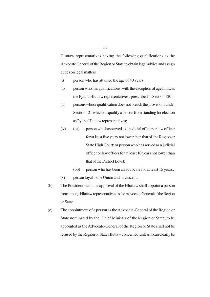Hluttaw representatives having the following qualifications as the Advocate General of the Region or State to obtain legal advice and assign duties on legal matters :

- (i) person who has attained the age of 40 years;
- (ii) person who has qualifications, with the exception of age limit, as the Pyithu Hluttaw representatives , prescribed in Section 120;
- (iii) persons whose qualification does not breach the provisions under Section 121 which disqualify a person from standing for election as Pyithu Hluttaw representatives;
- (iv) (aa) person who has served as a judicial officer or law officer for at least five years not lower than that of the Region or State High Court; or person who has served as a judicial officer or law officer for at least 10 years not lower than that of the District Level;
	- (bb) person who has been an advocate for at least 15 years.
- (v) person loyal to the Union and its citizens.
- (b) The President, with the approval of the Hluttaw shall appoint a person from among Hluttaw representatives as the Advocate-General of the Region or State.
- (c) The appointment of a person as the Advocate-General of the Region or State nominated by the Chief Minister of the Region or State, to be appointed as the Advocate-General of the Region or State shall not be refused by the Region or State Hluttaw concerned unless it can clearly be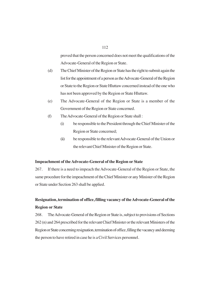proved that the person concerned does not meet the qualifications of the Advocate-General of the Region or State.

- (d) The Chief Minister of the Region or State has the right to submit again the list for the appointment of a person as the Advocate-General of the Region or State to the Region or State Hluttaw concerned instead of the one who has not been approved by the Region or State Hluttaw.
- (e) The Advocate-General of the Region or State is a member of the Government of the Region or State concerned.
- (f) The Advocate-General of the Region or State shall :
	- (i) be responsible to the President through the Chief Minister of the Region or State concerned;
	- (ii) be responsible to the relevant Advocate-General of the Union or the relevant Chief Minister of the Region or State.

#### **Impeachment of the Advocate-General of the Region or State**

267. If there is a need to impeach the Advocate-General of the Region or State, the same procedure for the impeachment of the Chief Minister or any Minister of the Region or State under Section 263 shall be applied.

# **Resignation, termination of office, filling vacancy of the Advocate-General of the Region or State**

268. The Advocate-General of the Region or State is, subject to provisions of Sections 262 (n) and 264 prescribed for the relevant Chief Minister or the relevant Ministers of the Region or State concerning resignation, termination of office, filling the vacancy and deeming the person to have retired in case he is a Civil Services personnel.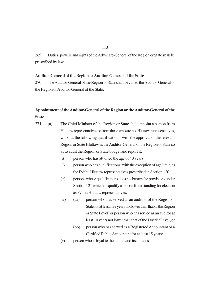269. Duties, powers and rights of the Advocate-General of the Region or State shall be prescribed by law.

#### **Auditor-General of the Region or Auditor-General of the State**

270. The Auditor-General of the Region or State shall be called the Auditor-General of the Region or Auditor-General of the State.

## **Appointment of the Auditor-General of the Region or the Auditor-General of the State**

- 271. (a) The Chief Minister of the Region or State shall appoint a person from Hluttaw representatives or from those who are not Hluttaw representatives, who has the following qualifications, with the approval of the relevant Region or State Hluttaw as the Auditor-General of the Region or State so as to audit the Region or State budget and report it:
	- (i) person who has attained the age of 40 years;
	- (ii) person who has qualifications, with the exception of age limit, as the Pyithu Hluttaw representatives prescribed in Section 120;
	- (iii) persons whose qualifications does not breach the provisions under Section 121 which disqualify a person from standing for election as Pyithu Hluttaw representatives;
	- (iv) (aa) person who has served as an auditor of the Region or State for at least five years not lower than that of the Region or State Level; or person who has served as an auditor at least 10 years not lower than that of the District Level; or
		- (bb) person who has served as a Registered Accountant or a Certified Public Accountant for at least 15 years;
	- (v) person who is loyal to the Union and its citizens .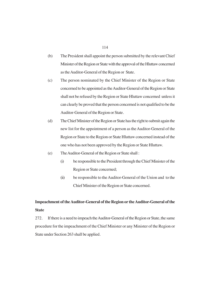- (b) The President shall appoint the person submitted by the relevant Chief Minister of the Region or State with the approval of the Hluttaw concerned as the Auditor-General of the Region or State.
- (c) The person nominated by the Chief Minister of the Region or State concerned to be appointed as the Auditor-General of the Region or State shall not be refused by the Region or State Hluttaw concerned unless it can clearly be proved that the person concerned is not qualified to be the Auditor-General of the Region or State.
- (d) The Chief Minister of the Region or State has the right to submit again the new list for the appointment of a person as the Auditor-General of the Region or State to the Region or State Hluttaw concerned instead of the one who has not been approved by the Region or State Hluttaw.
- (e) The Auditor-General of the Region or State shall :
	- (i) be responsible to the President through the Chief Minister of the Region or State concerned;
	- (ii) be responsible to the Auditor-General of the Union and to the Chief Minister of the Region or State concerned.

# **Impeachment of the Auditor-General of the Region or the Auditor-General of the State**

272. If there is a need to impeach the Auditor-General of the Region or State, the same procedure for the impeachment of the Chief Minister or any Minister of the Region or State under Section 263 shall be applied.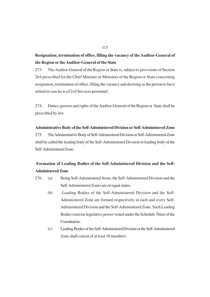## **Resignation, termination of office, filling the vacancy of the Auditor-General of the Region or the Auditor-General of the State**

273. The Auditor-General of the Region or State is, subject to provisions of Section 264 prescribed for the Chief Minister or Ministers of the Region or State concerning resignation, termination of office, filling the vacancy and deeming as the person to have retired in case he is a Civil Services personnel.

274. Duties, powers and rights of the Auditor-General of the Region or State shall be prescribed by law.

#### **Administrative Body of the Self-Administered Division or Self-Administered Zone**

275. The Administrative Body of Self-Administered Division or Self-Administered Zone shall be called the leading body of the Self-Administered Division or leading body of the Self-Administered Zone.

# **Formation of Leading Bodies of the Self-Administered Division and the Self-Administered Zone**

- 276. (a) Being Self-Administered Areas, the Self-Administered Division and the Self-Administered Zones are of equal status.
	- (b) Leading Bodies of the Self-Administered Division and the Self-Administered Zone are formed respectively in each and every Self-Administered Division and the Self-Administered Zone. Such Leading Bodies exercise legislative power vested under the Schedule Three of the Constitution.
	- (c) Leading Bodies of the Self-Administered Division or the Self-Administered Zone shall consist of at least 10 members.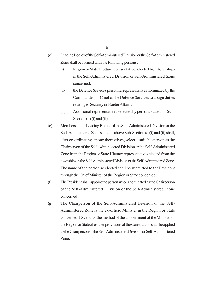- (d) Leading Bodies of the Self-Administered Division or the Self-Administered Zone shall be formed with the following persons :
	- (i) Region or State Hluttaw representatives elected from townships in the Self-Administered Division or Self-Administered Zone concerned;
	- (ii) the Defence Services personnel representatives nominated by the Commander-in-Chief of the Defence Services to assign duties relating to Security or Border Affairs;
	- (iii) Additional representatives selected by persons stated in Sub-Section (d) (i) and (ii).
- (e) Members of the Leading Bodies of the Self-Administered Division or the Self-Administered Zone stated in above Sub-Section (d)(i) and (ii) shall, after co-ordinating among themselves, select a suitable person as the Chairperson of the Self-Administered Division or the Self-Administered Zone from the Region or State Hluttaw representatives elected from the townships in the Self-Administered Division or the Self-Administered Zone. The name of the person so elected shall be submitted to the President through the Chief Minister of the Region or State concerned.
- (f) The President shall appoint the person who is nominated as the Chairperson of the Self-Administered Division or the Self-Administered Zone concerned.
- (g) The Chairperson of the Self-Administered Division or the Self-Administered Zone is the ex-officio Minister in the Region or State concerned. Except for the method of the appointment of the Minister of the Region or State, the other provisions of the Constitution shall be applied to the Chairperson of the Self-Administered Division or Self-Administered Zone.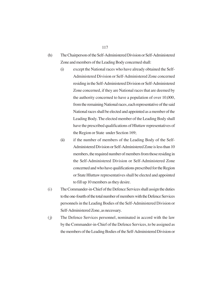## (h) The Chairperson of the Self-Administered Division or Self-Administered Zone and members of the Leading Body concerned shall:

- (i) except the National races who have already obtained the Self-Administered Division or Self-Administered Zone concerned residing in the Self-Administered Division or Self-Administered Zone concerned, if they are National races that are deemed by the authority concerned to have a population of over 10,000, from the remaining National races, each representative of the said National races shall be elected and appointed as a member of the Leading Body. The elected member of the Leading Body shall have the prescribed qualifications of Hluttaw representatives of the Region or State under Section 169;
- (ii) if the number of members of the Leading Body of the Self-Administered Division or Self-Administered Zone is less than 10 members, the required number of members from those residing in the Self-Administered Division or Self-Administered Zone concerned and who have qualifications prescribed for the Region or State Hluttaw representatives shall be elected and appointed to fill up 10 members as they desire.
- (i) The Commander-in-Chief of the Defence Services shall assign the duties to the one-fourth of the total number of members with the Defence Services personnels in the Leading Bodies of the Self-Administered Division or Self-Administered Zone, as necessary.
- (j) The Defence Services personnel, nominated in accord with the law by the Commander-in-Chief of the Defence Services, to be assigned as the members of the Leading Bodies of the Self-Administered Division or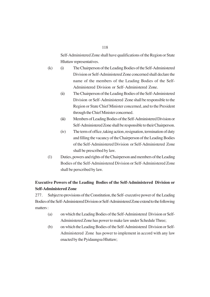Self-Administered Zone shall have qualifications of the Region or State Hluttaw representatives.

- (k) (i) The Chairperson of the Leading Bodies of the Self-Administered Division or Self-Administered Zone concerned shall declare the name of the members of the Leading Bodies of the Self-Administered Division or Self- Administered Zone.
	- (ii) The Chairperson of the Leading Bodies of the Self-Administered Division or Self- Administered Zone shall be responsible to the Region or State Chief Minister concerned, and to the President through the Chief Minister concerned.
	- (iii) Members of Leading Bodies of the Self-Administered Division or Self-Administered Zone shall be responsible to their Chairperson.
	- (iv) The term of office, taking action, resignation, termination of duty and filling the vacancy of the Chairperson of the Leading Bodies of the Self-Administered Division or Self-Administered Zone shall be prescribed by law.
- (l) Duties, powers and rights of the Chairperson and members of the Leading Bodies of the Self-Administered Division or Self-Administered Zone shall be perscribed by law.

## **Executive Powers of the Leading Bodies of the Self-Administered Division or Self-Administered Zone**

277. Subject to provisions of the Constitution, the Self- executive power of the Leading Bodies of the Self-Administered Division or Self-Administered Zone extend to the following matters :

- (a) on which the Leading Bodies of the Self-Administered Division or Self-Administered Zone has power to make law under Schedule Three;
- (b) on which the Leading Bodies of the Self-Administered Division or Self-Administered Zone has power to implement in accord with any law enacted by the Pyidaungsu Hluttaw;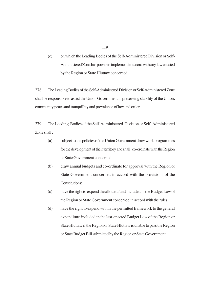(c) on which the Leading Bodies of the Self-Administered Division or Self-Administered Zone has power to implement in accord with any law enacted by the Region or State Hluttaw concerned.

278. The Leading Bodies of the Self-Administered Division or Self-Administered Zone shall be responsible to assist the Union Government in preserving stability of the Union, community peace and tranquillity and prevalence of law and order.

279. The Leading Bodies of the Self-Administered Division or Self- Administered Zone shall :

- (a) subject to the policies of the Union Government draw work programmes for the development of their territory and shall co-ordinate with the Region or State Government concerned;
- (b) draw annual budgets and co-ordinate for approval with the Region or State Government concerned in accord with the provisions of the Constitutions;
- (c) have the right to expend the allotted fund included in the Budget Law of the Region or State Government concerned in accord with the rules;
- (d) have the right to expend within the permitted framework to the general expenditure included in the last-enacted Budget Law of the Region or State Hluttaw if the Region or State Hluttaw is unable to pass the Region or State Budget Bill submitted by the Region or State Government.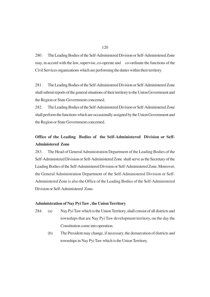280. The Leading Bodies of the Self-Administered Division or Self-Administered Zone may, in accord with the law, supervise, co-operate and co-ordinate the functions of the Civil Services organizations which are performing the duties within their territory.

281. The Leading Bodies of the Self-Administered Division or Self-Administered Zone shall submit reports of the general situations of their territory to the Union Government and the Region or State Government concerned.

282. The Leading Bodies of the Self-Administered Division or Self-Administered Zone shall perform the functions which are occasionally assigned by the Union Government and the Region or State Government concerned.

# **Office of the Leading Bodies of the Self-Administered Division or Self-Administered Zone**

283. The Head of General Administration Department of the Leading Bodies of the Self-Administered Division or Self-Administered Zone shall serve as the Secretary of the Leading Bodies of the Self-Administered Division or Self-Administered Zone. Moreover, the General Administration Department of the Self-Administered Division or Self-Administered Zone is also the Office of the Leading Bodies of the Self-Administered Division or Self-Administered Zone.

#### **Administration of Nay Pyi Taw , the Union Territory**

- 284. (a) Nay Pyi Taw which is the Union Territory, shall consist of all districts and townships that are Nay Pyi Taw development territory, on the day the Constitution come into operation.
	- (b) The President may change, if necessary, the demarcation of districts and townships in Nay Pyi Taw which is the Union Territory.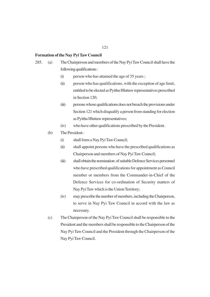#### **Formation of the Nay Pyi Taw Council**

- 285. (a) The Chairperson and members of the Nay Pyi Taw Council shall have the following qualifications :
	- (i) person who has attained the age of 35 years ;
	- (ii) person who has qualifications, with the exception of age limit, entitled to be elected as Pyithu Hluttaw representatives prescribed in Section 120;
	- (iii) persons whose qualifications does not breach the provisions under Section 121 which disqualify a person from standing for election as Pyithu Hluttaw representatives;
	- (iv) who have other qualifications prescribed by the President.
	- (b) The President :
		- (i) shall form a Nay Pyi Taw Council;
		- (ii) shall appoint persons who have the prescribed qualifications as Chairperson and members of Nay Pyi Taw Council;
		- (iii) shall obtain the nomination of suitable Defence Services personnel who have prescribed qualifications for appointment as Council member or members from the Commander-in-Chief of the Defence Services for co-ordination of Security matters of Nay Pyi Taw which is the Union Territory;
		- (iv) may prescribe the number of members, including the Chairperson, to serve in Nay Pyi Taw Council in accord with the law as necessary.
	- (c) The Chairperson of the Nay Pyi Taw Council shall be responsible to the President and the members shall be responsible to the Chairperson of the Nay Pyi Taw Council and the President through the Chairperson of the Nay Pyi Taw Council.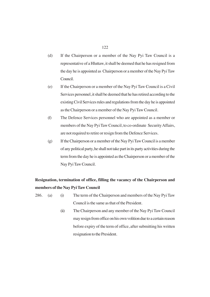- (d) If the Chairperson or a member of the Nay Pyi Taw Council is a representative of a Hluttaw, it shall be deemed that he has resigned from the day he is appointed as Chairperson or a member of the Nay Pyi Taw Council.
- (e) If the Chairperson or a member of the Nay Pyi Taw Council is a Civil Services personnel, it shall be deemed that he has retired according to the existing Civil Services rules and regulations from the day he is appointed as the Chairperson or a member of the Nay Pyi Taw Council.
- (f) The Defence Services personnel who are appointed as a member or members of the Nay Pyi Taw Council, to co-ordinate Security Affairs, are not required to retire or resign from the Defence Services.
- (g) If the Chairperson or a member of the Nay Pyi Taw Council is a member of any political party, he shall not take part in its party activities during the term from the day he is appointed as the Chairperson or a member of the Nay Pyi Taw Council.

# **Resignation, termination of office, filling the vacancy of the Chairperson and members of the Nay Pyi Taw Council**

- 286. (a) (i) The term of the Chairperson and members of the Nay Pyi Taw Council is the same as that of the President.
	- (ii) The Chairperson and any member of the Nay Pyi Taw Council may resign from office on his own volition due to a certain reason before expiry of the term of office, after submitting his written resignation to the President.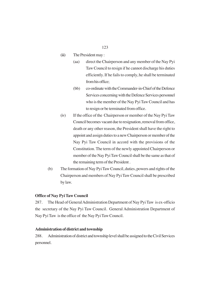- (iii) The President may :
	- (aa) direct the Chairperson and any member of the Nay Pyi Taw Council to resign if he cannot discharge his duties efficiently. If he fails to comply, he shall be terminated from his office;
	- (bb) co-ordinate with the Commander-in-Chief of the Defence Services concerning with the Defence Services personnel who is the member of the Nay Pyi Taw Council and has to resign or be terminated from office.
- (iv) If the office of the Chairperson or member of the Nay Pyi Taw Council becomes vacant due to resignation, removal from office, death or any other reason, the President shall have the right to appoint and assign duties to a new Chairperson or member of the Nay Pyi Taw Council in accord with the provisions of the Constitution. The term of the newly appointed Chairperson or member of the Nay Pyi Taw Council shall be the same as that of the remaining term of the President .
- (b) The formation of Nay Pyi Taw Council, duties, powers and rights of the Chairperson and members of Nay Pyi Taw Council shall be prescribed by law.

#### **Office of Nay Pyi Taw Council**

287. The Head of General Administration Department of Nay Pyi Taw is ex-officio the secretary of the Nay Pyi Taw Council. General Administration Department of Nay Pyi Taw is the office of the Nay Pyi Taw Council.

#### **Administration of district and township**

288. Administration of district and township level shall be assigned to the Civil Services personnel.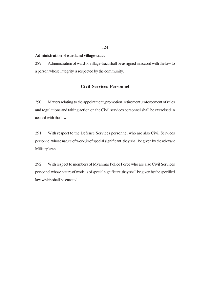#### **Administration of ward and village-tract**

289. Administration of ward or village-tract shall be assigned in accord with the law to a person whose integrity is respected by the community.

#### **Civil Services Personnel**

290. Matters relating to the appointment, promotion, retirement, enforcement of rules and regulations and taking action on the Civil services personnel shall be exercised in accord with the law.

291. With respect to the Defence Services personnel who are also Civil Services personnel whose nature of work, is of special significant, they shall be given by the relevant Military laws.

292. With respect to members of Myanmar Police Force who are also Civil Services personnel whose nature of work, is of special significant, they shall be given by the specified law which shall be enacted.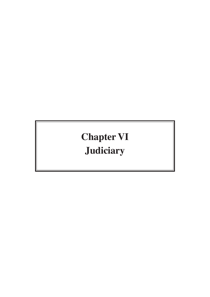# **Chapter VI**

# **Judiciary**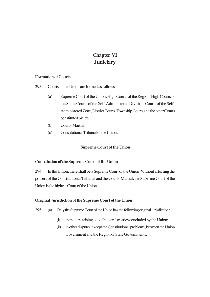# **Chapter VI Judiciary**

#### **Formation of Courts**

293. Courts of the Union are formed as follows :

- (a) Supreme Court of the Union, High Courts of the Region, High Courts of the State, Courts of the Self-Administered Division, Courts of the Self-Administered Zone, District Courts, Township Courts and the other Courts constituted by law;
- (b) Courts-Martial;
- (c) Constitutional Tribunal of the Union.

#### **Supreme Court of the Union**

#### **Constitution of the Supreme Court of the Union**

294. In the Union, there shall be a Supreme Court of the Union. Without affecting the powers of the Constitutional Tribunal and the Courts-Martial, the Superme Court of the Union is the highest Court of the Union.

#### **Original Jurisdiction of the Supreme Court of the Union**

- 295. (a) Only the Supreme Court of the Union has the following original jurisdiction :
	- (i) in matters arising out of bilateral treaties concluded by the Union;
	- (ii) in other disputes, except the Constitutional problems, between the Union Government and the Region or State Governments;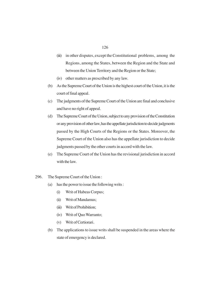- 126
- (iii) in other disputes, except the Constitutional problems, among the Regions, among the States, between the Region and the State and between the Union Territory and the Region or the State;
- (iv) other matters as prescribed by any law.
- (b) As the Supreme Court of the Union is the highest court of the Union, it is the court of final appeal.
- (c) The judgments of the Supreme Court of the Union are final and conclusive and have no right of appeal.
- (d) The Supreme Court of the Union, subject to any provision of the Constitution or any provision of other law, has the appellate jurisdiction to decide judgments passed by the High Courts of the Regions or the States. Moreover, the Supreme Court of the Union also has the appellate jurisdiction to decide judgments passed by the other courts in accord with the law.
- (e) The Supreme Court of the Union has the revisional jurisdiction in accord with the law.
- 296. The Supreme Court of the Union :
	- (a) has the power to issue the following writs :
		- (i) Writ of Habeas Corpus;
		- (ii) Writ of Mandamus;
		- (iii) Writ of Prohibition;
		- (iv) Writ of Quo Warranto;
		- (v) Writ of Certiorari.
	- (b) The applications to issue writs shall be suspended in the areas where the state of emergency is declared.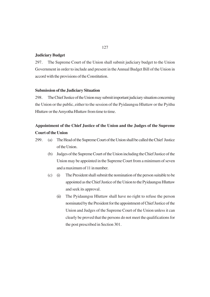#### **Judiciary Budget**

297. The Supreme Court of the Union shall submit judiciary budget to the Union Government in order to include and present in the Annual Budget Bill of the Union in accord with the provisions of the Constitution.

#### **Submission of the Judiciary Situation**

298. The Chief Justice of the Union may submit important judiciary situation concerning the Union or the public, either to the session of the Pyidaungsu Hluttaw or the Pyithu Hluttaw or the Amyotha Hluttaw from time to time.

## **Appointment of the Chief Justice of the Union and the Judges of the Supreme Court of the Union**

- 299. (a) The Head of the Supreme Court of the Union shall be called the Chief Justice of the Union.
	- (b) Judges of the Supreme Court of the Union including the Chief Justice of the Union may be appointed in the Supreme Court from a minimum of seven and a maximum of 11 in number.
	- (c) (i) The President shall submit the nomination of the person suitable to be appointed as the Chief Justice of the Union to the Pyidaungsu Hluttaw and seek its approval.
		- (ii) The Pyidaungsu Hluttaw shall have no right to refuse the person nominated by the President for the appointment of Chief Justice of the Union and Judges of the Supreme Court of the Union unless it can clearly be proved that the persons do not meet the qualifications for the post prescribed in Section 301.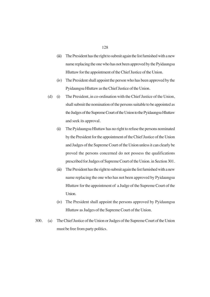- (iii) The President has the right to submit again the list furnished with a new name replacing the one who has not been approved by the Pyidaungsu Hluttaw for the appointment of the Chief Justice of the Union.
- (iv) The President shall appoint the person who has been approved by the Pyidaungsu Hluttaw as the Chief Justice of the Union.
- (d) (i) The President, in co-ordination with the Chief Justice of the Union, shall submit the nomination of the persons suitable to be appointed as the Judges of the Supreme Court of the Union to the Pyidaungsu Hluttaw and seek its approval.
	- (ii) The Pyidaungsu Hluttaw has no right to refuse the persons nominated by the President for the appointment of the Chief Justice of the Union and Judges of the Supreme Court of the Union unless it can clearly be proved the persons concerned do not possess the qualifications prescribed for Judges of Supreme Court of the Union. in Section 301.
	- (iii) The President has the right to submit again the list furnished with a new name replacing the one who has not been approved by Pyidaungsu Hluttaw for the appointment of a Judge of the Supreme Court of the Union.
	- (iv) The President shall appoint the persons approved by Pyidaungsu Hluttaw as Judges of the Supreme Court of the Union.
- 300. (a) The Chief Justice of the Union or Judges of the Supreme Court of the Union must be free from party politics.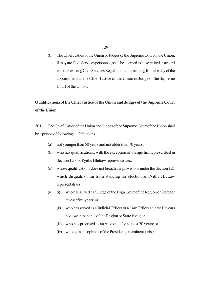#### 129

(b) The Chief Justice of the Union or Judges of the Supreme Court of the Union, if they are Civil Services personnel, shall be deemed to have retired in accord with the existing Civil Services Regulations commencing from the day of the appointment as the Chief Justice of the Union or Judge of the Supreme Court of the Union.

# **Qualifications of the Chief Justice of the Union and Judges of the Supreme Court of the Union**

301. The Chief Justice of the Union and Judges of the Supreme Court of the Union shall be a person of following qualifications :

- (a) not younger than 50 years and not older than 70 years;
- (b) who has qualifications, with the exception of the age limit, prescribed in Section 120 for Pyithu Hluttaw representatives;
- (c) whose qualifications does not breach the provisions under the Section 121 which disqualify him from standing for election as Pyithu Hluttaw representatives;
- (d) (i) who has served as a Judge of the High Court of the Region or State for at least five years; or
	- (ii) who has served as a Judicial Officer or a Law Officer at least 10 years not lower than that of the Region or State level; or
	- (iii) who has practised as an Advocate for at least 20 years; or
	- (iv) who is, in the opinion of the President, an eminent jurist;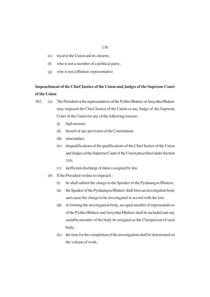- (e) loyal to the Union and its citizens;
- (f) who is not a member of a political party;
- (g) who is not a Hluttaw representative.

## **Impeachment of the Chief Justice of the Union and Judges of the Supreme Court of the Union**

302. (a) The President or the representatives of the Pyithu Hluttaw or Amyotha Hluttaw may impeach the Chief Justice of the Union or any Judge of the Supreme Court of the Union for any of the following reasons :

- (i) high treason;
- (ii) breach of any provision of the Constitution;
- (iii) misconduct;
- (iv) disqualifications of the qualifications of the Chief Justice of the Union and Judges of the Supreme Court of the Union prescribed under Section 310;
- (v) inefficient discharge of duties assigned by law.
- (b) If the President wishes to impeach :
	- (i) he shall submit the charge to the Speaker of the Pyidaungsu Hluttaw;
	- (ii) the Speaker of the Pyidaungsu Hluttaw shall form an investigation body and cause the charge to be investigated in accord with the law;
	- (iii) in forming the investigation body, an equal number of representatives of the Pyithu Hluttaw and Amyotha Hluttaw shall be included and any suitable member of the body be assigned as the Chairperson of such body;
	- (iv) the time for the completion of the investigation shall be determined on the volume of work;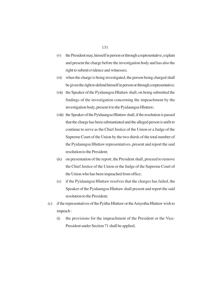- (v) the President may, himself in person or through a representative, explain and present the charge before the investigation body and has also the right to submit evidence and witnesses;
- (vi) when the charge is being investigated, the person being charged shall be given the right to defend himself in person or through a representative;
- (vii) the Speaker of the Pyidaungsu Hluttaw shall, on being submitted the findings of the investigation concerning the impeachment by the investigation body, present it to the Pyidaungsu Hluttaw;
- (viii) the Speaker of the Pyidaungsu Hluttaw shall, if the resolution is passed that the charge has been substantiated and the alleged person is unfit to continue to serve as the Chief Justice of the Union or a Judge of the Supreme Court of the Union by the two-thirds of the total number of the Pyidaungsu Hluttaw representatives, present and report the said resolution to the President;
- (ix) on presentation of the report, the President shall, proceed to remove the Chief Justice of the Union or the Judge of the Supreme Court of the Union who has been impeached from office;
- (x) if the Pyidaungsu Hluttaw resolves that the charges has failed, the Speaker of the Pyidaungsu Hluttaw shall present and report the said resolution to the President;
- (c) if the representatives of the Pyithu Hluttaw or the Amyotha Hluttaw wish to impeach :
	- (i) the provisions for the impeachment of the President or the Vice-President under Section 71 shall be applied;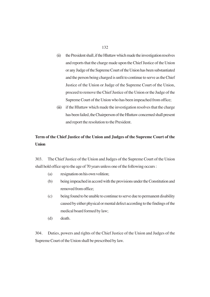- (ii) the President shall, if the Hluttaw which made the investigation resolves and reports that the charge made upon the Chief Justice of the Union or any Judge of the Supreme Court of the Union has been substantiated and the person being charged is unfit to continue to serve as the Chief Justice of the Union or Judge of the Supreme Court of the Union, proceed to remove the Chief Justice of the Union or the Judge of the Supreme Court of the Union who has been impeached from office;
- (iii) if the Hluttaw which made the investigation resolves that the charge has been failed, the Chairperson of the Hluttaw concerned shall present and report the resolution to the President.

# **Term of the Chief Justice of the Union and Judges of the Supreme Court of the Union**

303. The Chief Justice of the Union and Judges of the Supreme Court of the Union shall hold office up to the age of 70 years unless one of the following occurs :

- (a) resignation on his own volition;
- (b) being impeached in accord with the provisions under the Constitution and removed from office;
- (c) being found to be unable to continue to serve due to permanent disability caused by either physical or mental defect according to the findings of the medical board formed by law;
- (d) death.

304. Duties, powers and rights of the Chief Justice of the Union and Judges of the Supreme Court of the Union shall be prescribed by law.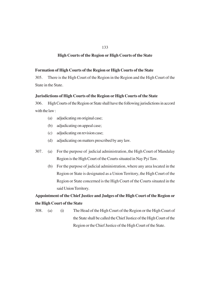#### **High Courts of the Region or High Courts of the State**

#### **Formation of High Courts of the Region or High Courts of the State**

305. There is the High Court of the Region in the Region and the High Court of the State in the State.

#### **Jurisdictions of High Courts of the Region or High Courts of the State**

306. High Courts of the Region or State shall have the following jurisdictions in accord with the law :

- (a) adjudicating on original case;
- (b) adjudicating on appeal case;
- (c) adjudicating on revision case;
- (d) adjudicating on matters prescribed by any law.
- 307. (a) For the purpose of judicial administration, the High Court of Mandalay Region is the High Court of the Courts situated in Nay Pyi Taw.
	- (b) For the purpose of judicial administration, where any area located in the Region or State is designated as a Union Territory, the High Court of the Region or State concerned is the High Court of the Courts situated in the said Union Territory.

**Appointment of the Chief Justice and Judges of the High Court of the Region or the High Court of the State**

308. (a) (i) The Head of the High Court of the Region or the High Court of the State shall be called the Chief Justice of the High Court of the Region or the Chief Justice of the High Court of the State.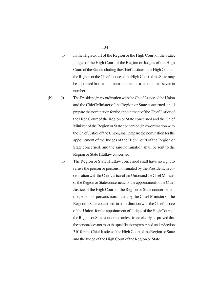- (ii) In the High Court of the Region or the High Court of the State, judges of the High Court of the Region or Judges of the High Court of the State including the Chief Justice of the High Court of the Region or the Chief Justice of the High Court of the State may be appointed from a minimum of three and a maximum of seven in number.
- (b) (i) The President, in co-ordination with the Chief Justice of the Union and the Chief Minister of the Region or State concerned, shall prepare the nomination for the appointment of the Chief Justice of the High Court of the Region or State concerned and the Chief Minister of the Region or State concerned, in co-ordination with the Chief Justice of the Union, shall prepare the nomination for the appointment of the Judges of the High Court of the Region or State concerned, and the said nomination shall be sent to the Region or State Hluttaw concerned.
	- (ii) The Region or State Hluttaw concerned shall have no right to refuse the person or persons nominated by the President, in coordination with the Chief Justice of the Union and the Chief Minister of the Region or State concerned, for the appointment of the Chief Justice of the High Court of the Region or State concerned, or the person or persons nominated by the Chief Minister of the Region or State concerned, in co-ordination with the Chief Justice of the Union, for the appointment of Judges of the High Court of the Region or State concerned unless it can clearly be proved that the person does not meet the qualifications prescribed under Section 310 for the Chief Justice of the High Court of the Region or State and the Judge of the High Court of the Region or State.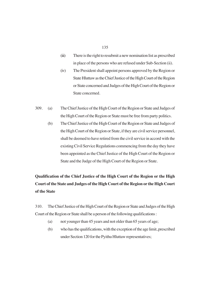- 135
- (iii) There is the right to resubmit a new nomination list as prescribed in place of the persons who are refused under Sub-Section (ii).
- (iv) The President shall appoint persons approved by the Region or State Hluttaw as the Chief Justice of the High Court of the Region or State concerned and Judges of the High Court of the Region or State concerned.
- 309. (a) The Chief Justice of the High Court of the Region or State and Judges of the High Court of the Region or State must be free from party politics.
	- (b) The Chief Justice of the High Court of the Region or State and Judges of the High Court of the Region or State, if they are civil service personnel, shall be deemed to have retired from the civil service in accord with the existing Civil Service Regulations commencing from the day they have been appointed as the Chief Justice of the High Court of the Region or State and the Judge of the High Court of the Region or State.

## **Qualification of the Chief Justice of the High Court of the Region or the High Court of the State and Judges of the High Court of the Region or the High Court of the State**

310. The Chief Justice of the High Court of the Region or State and Judges of the High Court of the Region or State shall be a person of the following qualifications :

- (a) not younger than 45 years and not older than 65 years of age;
- (b) who has the qualifications, with the exception of the age limit, prescribed under Section 120 for the Pyithu Hluttaw representatives;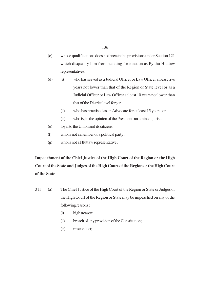- 136
- (c) whose qualifications does not breach the provisions under Section 121 which disqualify him from standing for election as Pyithu Hluttaw representatives;
- (d) (i) who has served as a Judicial Officer or Law Officer at least five years not lower than that of the Region or State level or as a Judicial Officer or Law Officer at least 10 years not lower than that of the District level for; or
	- (ii) who has practised as an Advocate for at least 15 years; or
	- (iii) who is, in the opinion of the President, an eminent jurist.
- (e) loyal to the Union and its citizens;
- (f) who is not a member of a political party;
- (g) who is not a Hluttaw representative.

**Impeachment of the Chief Justice of the High Court of the Region or the High Court of the State and Judges of the High Court of the Region or the High Court of the State**

- 311. (a) The Chief Justice of the High Court of the Region or State or Judges of the High Court of the Region or State may be impeached on any of the following reasons :
	- (i) high treason;
	- (ii) breach of any provision of the Constitution;
	- (iii) misconduct;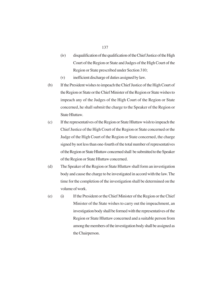- (iv) disqualification of the qualification of the Chief Justice of the High Court of the Region or State and Judges of the High Court of the Region or State prescribed under Section 310;
- (v) inefficient discharge of duties assigned by law.
- (b) If the President wishes to impeach the Chief Justice of the High Court of the Region or State or the Chief Minister of the Region or State wishes to impeach any of the Judges of the High Court of the Region or State concerned, he shall submit the charge to the Speaker of the Region or State Hluttaw.
- (c) If the representatives of the Region or State Hluttaw wish to impeach the Chief Justice of the High Court of the Region or State concerned or the Judge of the High Court of the Region or State concerned, the charge signed by not less than one-fourth of the total number of representatives of the Region or State Hluttaw concerned shall be submitted to the Speaker of the Region or State Hluttaw concerned.
- (d) The Speaker of the Region or State Hluttaw shall form an investigation body and cause the charge to be investigated in accord with the law. The time for the completion of the investigation shall be determined on the volume of work.
- (e) (i) If the President or the Chief Minister of the Region or the Chief Minister of the State wishes to carry out the impeachment, an investigation body shall be formed with the representatives of the Region or State Hluttaw concerned and a suitable person from among the members of the investigation body shall be assigned as the Chairperson.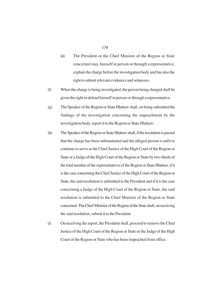- (ii) The President or the Chief Minister of the Region or State concerned may, himself in person or through a representative, explain the charge before the investigation body and has also the right to submit relevant evidences and witnesses.
- (f) When the charge is being investigated, the person being charged shall be given the right to defend himself in person or through a representative.
- (g) The Speaker of the Region or State Hluttaw shall, on being submitted the findings of the investigation concerning the impeachment by the investigation body, report it to the Region or State Hluttaw.
- (h) The Speaker of the Region or State Hluttaw shall, if the resolution is passed that the charge has been substantiated and the alleged person is unfit to continue to serve as the Chief Justice of the High Court of the Region or State or a Judge of the High Court of the Region or State by two-thirds of the total number of the representatives of the Region or State Hluttaw, if it is the case concerning the Chief Justice of the High Court of the Region or State, the said resolution is submitted to the President and if it is the case concerning a Judge of the High Court of the Region or State, the said resolution is submitted to the Chief Minister of the Region or State concerned. The Chief Minister of the Region of the State shall, on receiving the said resolution, submit it to the President.
- (i) On receiving the report, the President shall, proceed to remove the Chief Justice of the High Court of the Region or State or the Judge of the High Court of the Region or State who has been impeached from office.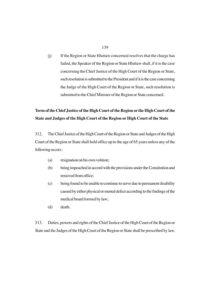#### 139

(j) If the Region or State Hluttaw concerned resolves that the charge has failed, the Speaker of the Region or State Hluttaw shall, if it is the case concerning the Chief Justice of the High Court of the Region or State, such resolution is submitted to the President and if it is the case concerning the Judge of the High Court of the Region or State, such resolution is submitted to the Chief Minister of the Region or State concerned.

## **Term of the Chief Justice of the High Court of the Region or the High Court of the State and Judges of the High Court of the Region or High Court of the State**

312. The Chief Justice of the High Court of the Region or State and Judges of the High Court of the Region or State shall hold office up to the age of 65 years unless any of the following occurs :

- (a) resignation on his own volition;
- (b) being impeached in accord with the provisions under the Constitution and removed from office;
- (c) being found to be unable to continue to serve due to permanent disability caused by either physical or mental defect according to the findings of the medical board formed by law;
- (d) death.

313. Duties, powers and rights of the Chief Justice of the High Court of the Region or State and the Judges of the High Court of the Region or State shall be prescribed by law.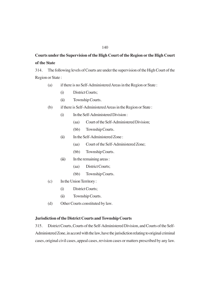## **Courts under the Supervision of the High Court of the Region or the High Court of the State**

314. The following levels of Courts are under the supervision of the High Court of the Region or State :

- (a) if there is no Self-Administered Areas in the Region or State :
	- (i) District Courts;
	- (ii) Township Courts.
- (b) if there is Self-Administered Areas in the Region or State :
	- (i) In the Self-Administered Division :
		- (aa) Court of the Self-Administered Division;
		- (bb) Township Courts.
	- (ii) In the Self-Administered Zone :
		- (aa) Court of the Self-Administered Zone;
		- (bb) Township Courts.
	- (iii) In the remaining areas :
		- (aa) District Courts;
		- (bb) Township Courts.
- (c) In the Union Territory :
	- (i) District Courts;
	- (ii) Township Courts.
- (d) Other Courts constituted by law.

### **Jurisdiction of the District Courts and Township Courts**

315. District Courts, Courts of the Self-Administered Division, and Courts of the Self-Administered Zone, in accord with the law, have the jurisdiction relating to original criminal cases, original civil cases, appeal cases, revision cases or matters prescribed by any law.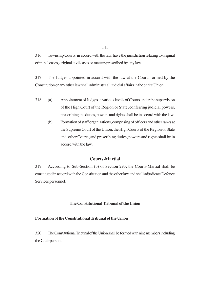141

316. Township Courts, in accord with the law, have the jurisdiction relating to original criminal cases, original civil cases or matters prescribed by any law.

317. The Judges appointed in accord with the law at the Courts formed by the Constitution or any other law shall administer all judicial affairs in the entire Union.

- 318. (a) Appointment of Judges at various levels of Courts under the supervision of the High Court of the Region or State, conferring judicial powers, prescribing the duties, powers and rights shall be in accord with the law.
	- (b) Formation of staff organizations, comprising of officers and other ranks at the Supreme Court of the Union, the High Courts of the Region or State and other Courts, and prescribing duties, powers and rights shall be in accord with the law.

#### **Courts-Martial**

319. According to Sub-Section (b) of Section 293, the Courts-Martial shall be constituted in accord with the Constitution and the other law and shall adjudicate Defence Services personnel.

### **The Constitutional Tribunal of the Union**

#### **Formation of the Constitutional Tribunal of the Union**

320. The Constitutional Tribunal of the Union shall be formed with nine members including the Chairperson.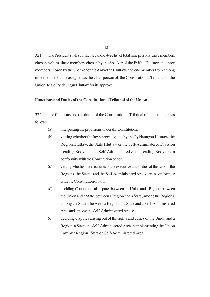321. The President shall submit the candidature list of total nine persons, three members chosen by him, three members chosen by the Speaker of the Pyithu Hluttaw and three members chosen by the Speaker of the Amyotha Hluttaw, and one member from among nine members to be assigned as the Chairperson of the Constitutional Tribunal of the Union, to the Pyidaungsu Hluttaw for its approval.

#### **Functions and Duties of the Constitutional Tribunal of the Union**

322. The functions and the duties of the Constitutional Tribunal of the Union are as follows :

- (a) interpreting the provisions under the Constitution;
- (b) vetting whether the laws promulgated by the Pyidaungsu Hluttaw, the Region Hluttaw, the State Hluttaw or the Self-Administered Division Leading Body and the Self-Administered Zone Leading Body are in conformity with the Constitution or not;
- (c) vetting whether the measures of the executive authorities of the Union, the Regions, the States, and the Self-Administered Areas are in conformity with the Constitution or not:
- (d) deciding Constitutional disputes between the Union and a Region, between the Union and a State, between a Region and a State, among the Regions, among the States, between a Region or a State and a Self-Administered Area and among the Self-Administered Areas;
- (e) deciding disputes arising out of the rights and duties of the Union and a Region, a State or a Self-Administered Area in implementing the Union Law by a Region, State or Self-Administered Area;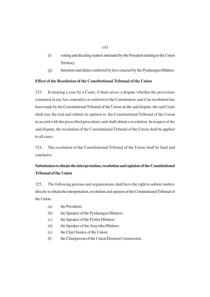- (f) vetting and deciding matters intimated by the President relating to the Union Territory;
- (g) functions and duties conferred by laws enacted by the Pyidaungsu Hluttaw.

## **Effect of the Resolution of the Constitutional Tribunal of the Union**

323. In hearing a case by a Court, if there arises a dispute whether the provisions contained in any law contradict or conform to the Constitution, and if no resolution has been made by the Constitutional Tribunal of the Union on the said dispute, the said Court shall stay the trial and submit its opinion to the Constitutional Tribunal of the Union in accord with the prescribed procedures and shall obtain a resolution. In respect of the said dispute, the resolution of the Constitutional Tribunal of the Union shall be applied to all cases.

324. The resolution of the Constitutional Tribunal of the Union shall be final and conclusive.

## **Submission to obtain the interpretation, resolution and opinion of the Constitutional Tribunal of the Union**

325. The following persons and organizations shall have the right to submit matters directly to obtain the interpretation, resolution and opinion of the Constitutional Tribunal of the Union :

- (a) the President;
- (b) the Speaker of the Pyidaungsu Hluttaw;
- (c) the Speaker of the Pyithu Hluttaw;
- (d) the Speaker of the Amyotha Hluttaw;
- (e) the Chief Justice of the Union;
- (f) the Chairperson of the Union Election Commission.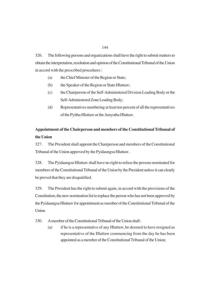326. The following persons and organizations shall have the right to submit matters to obtain the interpretation, resolution and opinion of the Constitutional Tribunal of the Union in accord with the prescribed procedures :

- (a) the Chief Minister of the Region or State;
- (b) the Speaker of the Region or State Hluttaw;
- (c) the Chairperson of the Self-Administered Division Leading Body or the Self-Administered Zone Leading Body;
- (d) Representatives numbering at least ten percent of all the representatives of the Pyithu Hluttaw or the Amyotha Hluttaw.

## **Appointment of the Chairperson and members of the Constitutional Tribunal of the Union**

327. The President shall appoint the Chairperson and members of the Constitutional Tribunal of the Union approved by the Pyidaungsu Hluttaw .

328. The Pyidaungsu Hluttaw shall have no right to refuse the persons nominated for members of the Constitutional Tribunal of the Union by the President unless it can clearly be proved that they are disqualified.

329. The President has the right to submit again, in accord with the provisions of the Constitution, the new nomination list to replace the person who has not been approved by the Pyidaungsu Hluttaw for appointment as member of the Constitutional Tribunal of the Union.

330. A member of the Constitutional Tribunal of the Union shall :

(a) if he is a representative of any Hluttaw, be deemed to have resigned as representative of the Hluttaw commencing from the day he has been appointed as a member of the Constitutional Tribunal of the Union;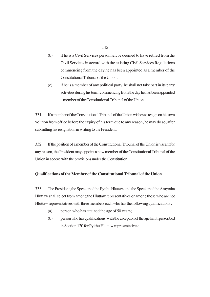#### 145

- (b) if he is a Civil Services personnel, be deemed to have retired from the Civil Services in accord with the existing Civil Services Regulations commencing from the day he has been appointed as a member of the Constitutional Tribunal of the Union;
- (c) if he is a member of any political party, he shall not take part in its party activities during his term, commencing from the day he has been appointed a member of the Constitutional Tribunal of the Union.

331. If a member of the Constitutional Tribunal of the Union wishes to resign on his own volition from office before the expiry of his term due to any reason, he may do so, after submitting his resignation in writing to the President.

332. If the position of a member of the Constitutional Tribunal of the Union is vacant for any reason, the President may appoint a new member of the Constitutional Tribunal of the Union in accord with the provisions under the Constitution.

#### **Qualifications of the Member of the Constitutional Tribunal of the Union**

333. The President, the Speaker of the Pyithu Hluttaw and the Speaker of the Amyotha Hluttaw shall select from among the Hluttaw representatives or among those who are not Hluttaw representatives with three members each who has the following qualifications :

- (a) person who has attained the age of 50 years;
- (b) person who has qualifications, with the exception of the age limit, prescribed in Section 120 for Pyithu Hluttaw representatives;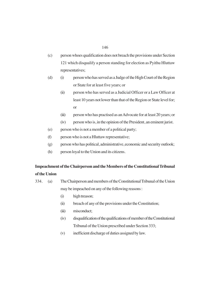- (c) person whoes qualification does not breach the provisions under Section 121 which disqualify a person standing for election as Pyithu Hluttaw representatives;
	- (d) (i) person who has served as a Judge of the High Court of the Region or State for at least five years; or
		- (ii) person who has served as a Judicial Officer or a Law Officer at least 10 years not lower than that of the Region or State level for; or
		- (iii) person who has practised as an Advocate for at least 20 years; or
		- (iv) person who is, in the opinion of the President, an eminent jurist.
	- (e) person who is not a member of a political party;
	- (f) person who is not a Hluttaw representative;
	- (g) person who has political, administrative, economic and security outlook;
	- (h) person loyal to the Union and its citizens.

## **Impeachment of the Chairperson and the Members of the Constitutional Tribunal of the Union**

- 334. (a) The Chairperson and members of the Constitutional Tribunal of the Union may be impeached on any of the following reasons :
	- (i) high treason;
	- (ii) breach of any of the provisions under the Constitution;
	- (iii) misconduct;
	- (iv) disqualification of the qualifications of member of the Constitutional Tribunal of the Union prescribed under Section 333;
	- (v) inefficient discharge of duties assigned by law.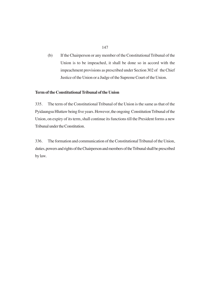(b) If the Chairperson or any member of the Constitutional Tribunal of the Union is to be impeached, it shall be done so in accord with the impeachment provisions as prescribed under Section 302 of the Chief Justice of the Union or a Judge of the Supreme Court of the Union.

#### **Term of the Constitutional Tribunal of the Union**

335. The term of the Constitutional Tribunal of the Union is the same as that of the Pyidaungsu Hluttaw being five years. However, the ongoing Constitution Tribunal of the Union, on expiry of its term, shall continue its functions till the President forms a new Tribunal under the Constitution.

336. The formation and communication of the Constitutional Tribunal of the Union, duties, powers and rights of the Chairperson and members of the Tribunal shall be prescribed by law.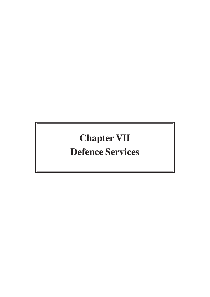## **Chapter VII**

## **Defence Services**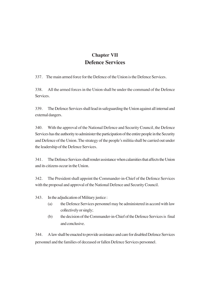## **Chapter VII Defence Services**

337. The main armed force for the Defence of the Union is the Defence Services.

338. All the armed forces in the Union shall be under the command of the Defence Services.

339. The Defence Services shall lead in safeguarding the Union against all internal and external dangers.

340. With the approval of the National Defence and Security Council, the Defence Services has the authority to administer the participation of the entire people in the Security and Defence of the Union. The strategy of the people's militia shall be carried out under the leadership of the Defence Services.

341. The Defence Services shall render assistance when calamities that affects the Union and its citizens occur in the Union.

342. The President shall appoint the Commander-in-Chief of the Defence Services with the proposal and approval of the National Defence and Security Council.

- 343. In the adjudication of Military justice :
	- (a) the Defence Services personnel may be administered in accord with law collectively or singly;
	- (b) the decision of the Commander-in-Chief of the Defence Services is final and conclusive.

344. A law shall be enacted to provide assistance and care for disabled Defence Services personnel and the families of deceased or fallen Defence Services personnel.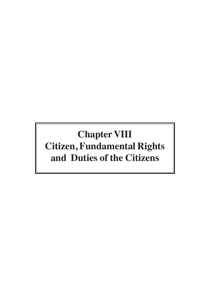## **Chapter VIII Citizen, Fundamental Rights and Duties of the Citizens**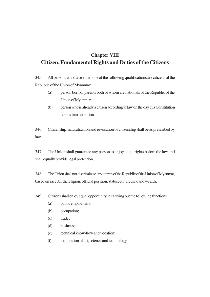## **Chapter VIII Citizen, Fundamental Rights and Duties of the Citizens**

345. All persons who have either one of the following qualifications are citizens of the Republic of the Union of Myanmar:

- (a) person born of parents both of whom are nationals of the Republic of the Union of Myanmar;
- (b) person who is already a citizen according to law on the day this Constitution comes into operation.

346. Citizenship, naturalization and revocation of citizenship shall be as prescribed by law.

347. The Union shall guarantee any person to enjoy equal rights before the law and shall equally provide legal protection.

348. The Union shall not discriminate any citizen of the Republic of the Union of Myanmar, based on race, birth, religion, official position, status, culture, sex and wealth.

349. Citizens shall enjoy equal opportunity in carrying out the following functions :

- (a) public employment;
- (b) occupation;
- (c) trade;
- (d) business;
- (e) technical know-how and vocation;
- (f) exploration of art, science and technology.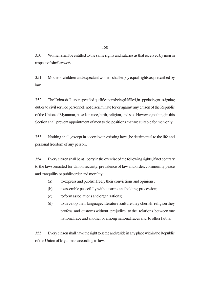350. Women shall be entitled to the same rights and salaries as that received by men in respect of similar work.

351. Mothers, children and expectant women shall enjoy equal rights as prescribed by law.

352. The Union shall, upon specified qualifications being fulfilled, in appointing or assigning duties to civil service personnel, not discriminate for or against any citizen of the Republic of the Union of Myanmar, based on race, birth, religion, and sex. However, nothing in this Section shall prevent appointment of men to the positions that are suitable for men only.

353. Nothing shall, except in accord with existing laws, be detrimental to the life and personal freedom of any person.

354. Every citizen shall be at liberty in the exercise of the following rights, if not contrary to the laws, enacted for Union security, prevalence of law and order, community peace and tranquility or public order and morality:

- (a) to express and publish freely their convictions and opinions;
- (b) to assemble peacefully without arms and holding procession;
- (c) to form associations and organizations;
- (d) to develop their language, literature, culture they cherish, religion they profess, and customs without prejudice to the relations between one national race and another or among national races and to other faiths.

355. Every citizen shall have the right to settle and reside in any place within the Republic of the Union of Myanmar according to law.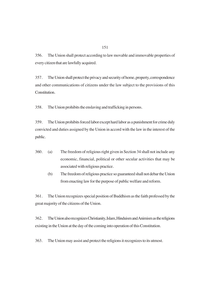356. The Union shall protect according to law movable and immovable properties of every citizen that are lawfully acquired.

357. The Union shall protect the privacy and security of home, property, correspondence and other communications of citizens under the law subject to the provisions of this Constitution.

358. The Union prohibits the enslaving and trafficking in persons.

359. The Union prohibits forced labor except hard labor as a punishment for crime duly convicted and duties assigned by the Union in accord with the law in the interest of the public.

- 360. (a) The freedom of religious right given in Section 34 shall not include any economic, financial, political or other secular activities that may be associated with religious practice.
	- (b) The freedom of religious practice so guaranteed shall not debar the Union from enacting law for the purpose of public welfare and reform.

361. The Union recognizes special position of Buddhism as the faith professed by the great majority of the citizens of the Union.

362. The Union also recognizes Christianity, Islam, Hinduism and Animism as the religions existing in the Union at the day of the coming into operation of this Constitution.

363. The Union may assist and protect the religions it recognizes to its utmost.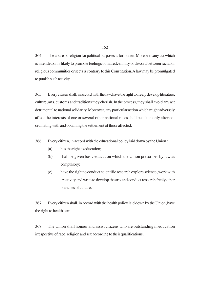364. The abuse of religion for political purposes is forbidden. Moreover, any act which is intended or is likely to promote feelings of hatred, enmity or discord between racial or religious communities or sects is contrary to this Constitution. A law may be promulgated to punish such activity.

365. Every citizen shall, in accord with the law, have the right to freely develop literature, culture, arts, customs and traditions they cherish. In the process, they shall avoid any act detrimental to national solidarity. Moreover, any particular action which might adversely affect the interests of one or several other national races shall be taken only after coordinating with and obtaining the settlement of those affected.

366. Every citizen, in accord with the educational policy laid down by the Union :

- (a) has the right to education;
- (b) shall be given basic education which the Union prescribes by law as compulsory;
- (c) have the right to conduct scientific research explore science, work with creativity and write to develop the arts and conduct research freely other branches of culture.

367. Every citizen shall, in accord with the health policy laid down by the Union, have the right to health care.

368. The Union shall honour and assist citizens who are outstanding in education irrespective of race, religion and sex according to their qualifications.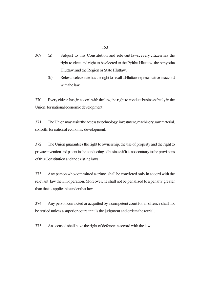- 369. (a) Subject to this Constitution and relevant laws, every citizen has the right to elect and right to be elected to the Pyithu Hluttaw, the Amyotha Hluttaw, and the Region or State Hluttaw.
	- (b) Relevant electorate has the right to recall a Hluttaw representative in accord with the law.

370. Every citizen has, in accord with the law, the right to conduct business freely in the Union, for national economic development.

371. The Union may assist the access to technology, investment, machinery, raw material, so forth, for national economic development.

372. The Union guarantees the right to ownership, the use of property and the right to private invention and patent in the conducting of business if it is not contrary to the provisions of this Constitution and the existing laws.

373. Any person who committed a crime, shall be convicted only in accord with the relevant law then in operation. Moreover, he shall not be penalized to a penalty greater than that is applicable under that law.

374. Any person convicted or acquitted by a competent court for an offence shall not be retried unless a superior court annuls the judgment and orders the retrial.

375. An accused shall have the right of defence in accord with the law.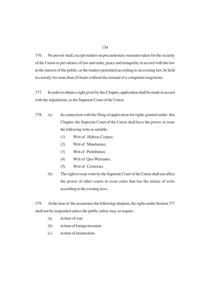376. No person shall, except matters on precautionary measures taken for the security of the Union or prevalence of law and order, peace and tranquility in accord with the law in the interest of the public, or the matters permitted according to an existing law, be held in custody for more than 24 hours without the remand of a competent magistrate.

377. In order to obtain a right given by this Chapter, application shall be made in accord with the stipulations, to the Supreme Court of the Union.

- 378. (a) In connection with the filing of application for rights granted under this Chapter, the Supreme Court of the Union shall have the power to issue the following writs as suitable :
	- (1) Writ of Habeas Corpus;
	- (2) Writ of Mandamus;
	- (3) Writ of Prohibition;
	- (4) Writ of Quo Warranto;
	- (5) Writ of Certiorari.
	- (b) The right to issue writs by the Supreme Court of the Union shall not affect the power of other courts to issue order that has the nature of writs according to the existing laws.

379. At the time of the occurrence the following situation, the rights under Section 377 shall not be suspended unless the public safety may so require :

- (a) in time of war;
- (b) in time of foreign invasion;
- (c) in time of insurrection.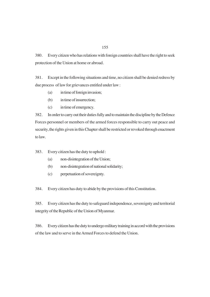380. Every citizen who has relations with foreign countries shall have the right to seek protection of the Union at home or abroad.

381. Except in the following situations and time, no citizen shall be denied redress by due process of law for grievances entitled under law :

- (a) in time of foreign invasion;
- (b) in time of insurrection;
- (c) in time of emergency.

382. In order to carry out their duties fully and to maintain the discipline by the Defence Forces personnel or members of the armed forces responsible to carry out peace and security, the rights given in this Chapter shall be restricted or revoked through enactment to law.

- 383. Every citizen has the duty to uphold :
	- (a) non-disintegration of the Union;
	- (b) non-disintegration of national solidarity;
	- (c) perpetuation of sovereignty.

384. Every citizen has duty to abide by the provisions of this Constitution.

385. Every citizen has the duty to safeguard independence, sovereignty and territorial integrity of the Republic of the Union of Myanmar.

386. Every citizen has the duty to undergo military training in accord with the provisions of the law and to serve in the Armed Forces to defend the Union.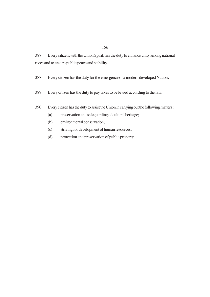387. Every citizen, with the Union Spirit, has the duty to enhance unity among national races and to ensure public peace and stability.

388. Every citizen has the duty for the emergence of a modern developed Nation.

- 389. Every citizen has the duty to pay taxes to be levied according to the law.
- 390. Every citizen has the duty to assist the Union in carrying out the following matters :
	- (a) preservation and safeguarding of cultural heritage;
	- (b) environmental conservation;
	- (c) striving for development of human resources;
	- (d) protection and preservation of public property.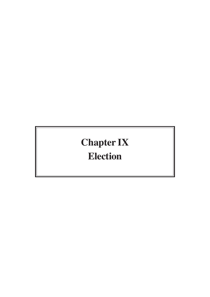# **Chapter IX**

**Election**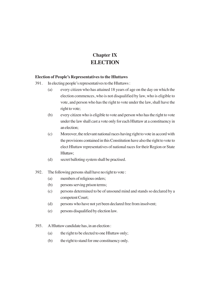## **Chapter IX ELECTION**

### **Election of People's Representatives to the Hluttaws**

- 391. In electing people's representatives to the Hluttaws :
	- (a) every citizen who has attained 18 years of age on the day on which the election commences, who is not disqualified by law, who is eligible to vote, and person who has the right to vote under the law, shall have the right to vote;
	- (b) every citizen who is eligible to vote and person who has the right to vote under the law shall cast a vote only for each Hluttaw at a constituency in an election;
	- (c) Moreover, the relevant national races having right to vote in accord with the provisions contained in this Constitution have also the right to vote to elect Hluttaw representatives of national races for their Region or State Hluttaw:
	- (d) secret balloting system shall be practised.
- 392. The following persons shall have no right to vote :
	- (a) members of religious orders;
	- (b) persons serving prison terms;
	- (c) persons determined to be of unsound mind and stands so declared by a competent Court;
	- (d) persons who have not yet been declared free from insolvent;
	- (e) persons disqualified by election law.
- 393. A Hluttaw candidate has, in an election :
	- (a) the right to be elected to one Hluttaw only;
	- (b) the right to stand for one constituency only.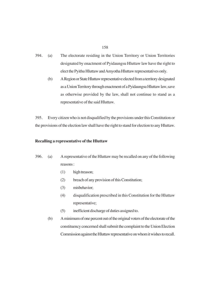- 394. (a) The electorate residing in the Union Territory or Union Territories designated by enactment of Pyidaungsu Hluttaw law have the right to elect the Pyithu Hluttaw and Amyotha Hluttaw representatives only.
	- (b) A Region or State Hluttaw representative elected from a territory designated as a Union Territory through enactment of a Pyidaungsu Hluttaw law, save as otherwise provided by the law, shall not continue to stand as a representative of the said Hluttaw.

395. Every citizen who is not disqualified by the provisions under this Constitution or the provisions of the election law shall have the right to stand for election to any Hluttaw.

#### **Recalling a representative of the Hluttaw**

- 396. (a) A representative of the Hluttaw may be recalled on any of the following reasons :
	- (1) high treason;
	- (2) breach of any provision of this Constitution;
	- (3) misbehavior;
	- (4) disqualification prescribed in this Constitution for the Hluttaw representative;
	- (5) inefficient discharge of duties assigned to.
	- (b) A minimum of one percent out of the original voters of the electorate of the constituency concerned shall submit the complaint to the Union Election Commission against the Hluttaw representative on whom it wishes to recall.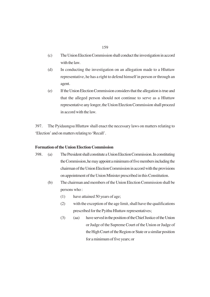- (c) The Union Election Commission shall conduct the investigation in accord with the law.
- (d) In conducting the investigation on an allegation made to a Hluttaw representative, he has a right to defend himself in person or through an agent.
- (e) If the Union Election Commission considers that the allegation is true and that the alleged person should not continue to serve as a Hluttaw representative any longer, the Union Election Commission shall proceed in accord with the law.

397. The Pyidaungsu Hluttaw shall enact the necessary laws on matters relating to 'Election' and on matters relating to 'Recall'.

### **Formation of the Union Election Commission**

- 398. (a) The President shall constitute a Union Election Commission. In constituting the Commission, he may appoint a minimum of five members including the chairman of the Union Election Commission in accord with the provisions on appointment of the Union Minister prescribed in this Constitution.
	- (b) The chairman and members of the Union Election Commission shall be persons who :
		- (1) have attained 50 years of age;
		- (2) with the exception of the age limit, shall have the qualifications prescribed for the Pyithu Hluttaw representatives;
		- (3) (aa) have served in the position of the Chief Justice of the Union or Judge of the Supreme Court of the Union or Judge of the High Court of the Region or State or a similar position for a minimum of five years; or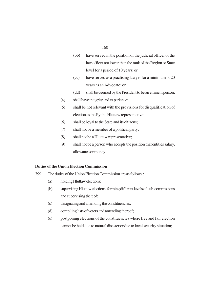- 160
- (bb) have served in the position of the judicial officer or the law officer not lower than the rank of the Region or State level for a period of 10 years; or
- (cc) have served as a practising lawyer for a minimum of 20 years as an Advocate; or
- (dd) shall be deemed by the President to be an eminent person.
- (4) shall have integrity and experience;
- (5) shall be not relevant with the provisions for disqualification of election as the Pyithu Hluttaw representative;
- (6) shall be loyal to the State and its citizens;
- (7) shall not be a member of a political party;
- (8) shall not be a Hluttaw representative;
- (9) shall not be a person who accepts the position that entitles salary, allowance or money.

#### **Duties of the Union Election Commission**

- 399. The duties of the Union Election Commission are as follows :
	- (a) holding Hluttaw elections;
	- (b) supervising Hluttaw elections; forming different levels of sub-commissions and supervising thereof;
	- (c) designating and amending the constituencies;
	- (d) compiling lists of voters and amending thereof;
	- (e) postponing elections of the constituencies where free and fair election cannot be held due to natural disaster or due to local security situation;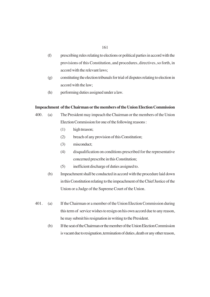- (f) prescribing rules relating to elections or political parties in accord with the provisions of this Constitution, and procedures, directives, so forth, in accord with the relevant laws;
- (g) constituting the election tribunals for trial of disputes relating to election in accord with the law;
- (h) performing duties assigned under a law.

#### **Impeachment of the Chairman or the members of the Union Election Commission**

- 400. (a) The President may impeach the Chairman or the members of the Union Election Commission for one of the following reasons :
	- (1) high treason;
	- (2) breach of any provision of this Constitution;
	- (3) misconduct;
	- (4) disqualification on conditions prescribed for the representative concerned prescribe in this Constitution;
	- (5) inefficient discharge of duties assigned to.
	- (b) Impeachment shall be conducted in accord with the procedure laid down in this Constitution relating to the impeachment of the Chief Justice of the Union or a Judge of the Supreme Court of the Union.
- 401. (a) If the Chairman or a member of the Union Election Commission during this term of service wishes to resign on his own accord due to any reason, he may submit his resignation in writing to the President.
	- (b) If the seat of the Chairman or the member of the Union Election Commission is vacant due to resignation, termination of duties, death or any other reason,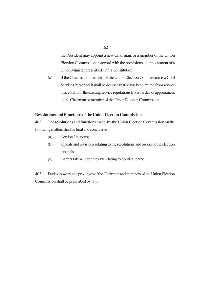the President may appoint a new Chairman, or a member of the Union Election Commission in accord with the provisions of appointment of a Union Minister prescribed in this Constitution.

(c) If the Chairman or member of the Union Election Commission is a Civil Services Personnel it shall be deemed that he has been retired from service in accord with the existing service regulations from the day of appointment of the Chairman or member of the Union Election Commission.

## **Resolutions and Functions of the Union Election Commission**

402. The resolutions and functions made by the Union Election Commission on the following matters shall be final and conclusive :

- (a) election functions;
- (b) appeals and revisions relating to the resolutions and orders of the election tribunals;
- (c) matters taken under the law relating to political party.

403. Duties, powers and privileges of the Chairman and members of the Union Election Commission shall be prescribed by law.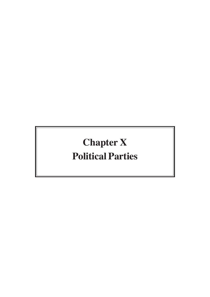## **Chapter X Political Parties**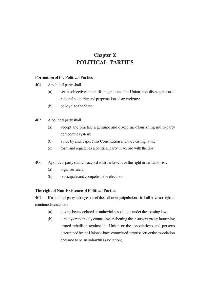## **Chapter X POLITICAL PARTIES**

#### **Formation of the Political Parties**

- 404. A political party shall :
	- (a) set the objective of non-disintegration of the Union, non-disintegration of national solidarity and perpetuation of sovereignty;
	- (b) be loyal to the State.
- 405. A political party shall :
	- (a) accept and practise a genuine and discipline-flourishing multi-party democratic system;
	- (b) abide by and respect this Constitution and the existing laws;
	- (c) form and register as a political party in accord with the law.
- 406. A political party shall, in accord with the law, have the right in the Union to :
	- (a) organize freely;
	- (b) participate and compete in the elections.

### **The right of Non**-**Existence of Political Parties**

407. If a political party infringe one of the following stipulations, it shall have no right of continued existence :

- (a) having been declared an unlawful association under the existing law;
- (b) directly or indirectly contacting or abetting the insurgent group launching armed rebellion against the Union or the associations and persons determined by the Union to have committed terrorist acts or the association declared to be an unlawful association;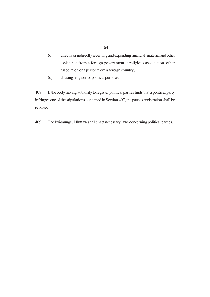- (c) directly or indirectly receiving and expending financial, material and other assistance from a foreign government, a religious association, other association or a person from a foreign country;
- (d) abusing religion for political purpose.

408. If the body having authority to register political parties finds that a political party infringes one of the stipulations contained in Section 407, the party's registration shall be revoked.

409. The Pyidaungsu Hluttaw shall enact necessary laws concerning political parties.

## 164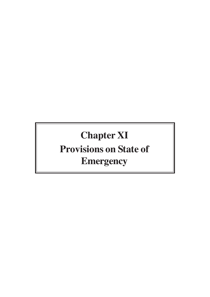## **Chapter XI**

## **Provisions on State of Emergency**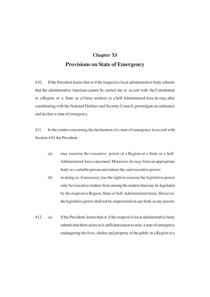## **Chapter XI Provisions on State of Emergency**

410. If the President learns that or if the respective local administrative body submits that the administrative functions cannot be carried out in accord with the Constitution in a Region or a State or a Union territory or a Self-Administered Area, he may, after coordinating with the National Defence and Security Council, promulgate an ordinance and declare a state of emergency.

411. In the matter concerning the declaration of a state of emergency in accord with Section 410, the President :

- (a) may exercise the executive power of a Region or a State or a Self-Administered Area concerned. Moreover, he may form an appropriate body or a suitable person and entrust the said executive power;
- (b) in doing so, if necessary, has the right to exercise the legislative power only for executive matters from among the matters that may be legislated by the respective Region, State or Self-Administered Areas. However, the legislative power shall not be empowered on any body or any person.
- 412. (a) If the President, learns that or if the respective local administrative body submits that there arises or is sufficient reason to arise a state of emergency endangering the lives, shelter and property of the public in a Region or a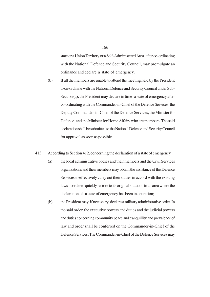state or a Union Territory or a Self-Administered Area, after co-ordinating with the National Defence and Security Council, may promulgate an ordinance and declare a state of emergency.

- (b) If all the members are unable to attend the meeting held by the President to co-ordinate with the National Defence and Security Council under Sub-Section (a), the President may declare in time a state of emergency after co-ordinating with the Commander-in-Chief of the Defence Services, the Deputy Commander-in-Chief of the Defence Services, the Minister for Defence, and the Minister for Home Affairs who are members. The said declaration shall be submitted to the National Defence and Security Council for approval as soon as possible.
- 413. According to Section 412, concerning the declaration of a state of emergency :
	- (a) the local administrative bodies and their members and the Civil Services organizations and their members may obtain the assistance of the Defence Services to effectively carry out their duties in accord with the existing laws in order to quickly restore to its original situation in an area where the declaration of a state of emergency has been in operation;
	- (b) the President may, if necessary, declare a military administrative order. In the said order, the executive powers and duties and the judicial powers and duties concerning community peace and tranquillity and prevalence of law and order shall be conferred on the Commander-in-Chief of the Defence Services. The Commander-in-Chief of the Defence Services may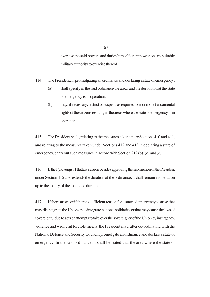exercise the said powers and duties himself or empower on any suitable military authority to exercise thereof.

- 414. The President, in promulgating an ordinance and declaring a state of emergency :
	- (a) shall specify in the said ordinance the areas and the duration that the state of emergency is in operation;
	- (b) may, if necessary, restrict or suspend as required, one or more fundamental rights of the citizens residing in the areas where the state of emergency is in operation.

415. The President shall, relating to the measures taken under Sections 410 and 411, and relating to the measures taken under Sections 412 and 413 in declaring a state of emergency, carry out such measures in accord with Section 212 (b), (c) and (e).

416. If the Pyidaungsu Hluttaw session besides approving the submission of the President under Section 415 also extends the duration of the ordinance, it shall remain in operation up to the expiry of the extended duration.

417. If there arises or if there is sufficient reason for a state of emergency to arise that may disintegrate the Union or disintegrate national solidarity or that may cause the loss of sovereignty, due to acts or attempts to take over the sovereignty of the Union by insurgency, violence and wrongful forcible means, the President may, after co-ordinating with the National Defence and Security Council, promulgate an ordinance and declare a state of emergency. In the said ordinance, it shall be stated that the area where the state of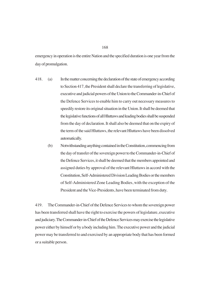emergency in operation is the entire Nation and the specified duration is one year from the day of promulgation.

- 418. (a) In the matter concerning the declaration of the state of emergency according to Section 417, the President shall declare the transferring of legislative, executive and judicial powers of the Union to the Commander-in-Chief of the Defence Services to enable him to carry out necessary measures to speedily restore its original situation in the Union. It shall be deemed that the legislative functions of all Hluttaws and leading bodies shall be suspended from the day of declaration. It shall also be deemed that on the expiry of the term of the said Hluttaws, the relevant Hluttaws have been dissolved automatically.
	- (b) Notwithstanding anything contained in the Constitution, commencing from the day of transfer of the sovereign power to the Commander-in-Chief of the Defence Services, it shall be deemed that the members appointed and assigned duties by approval of the relevant Hluttaws in accord with the Constitution, Self-Administered Division Leading Bodies or the members of Self-Administered Zone Leading Bodies, with the exception of the President and the Vice-Presidents, have been terminated from duty.

419. The Commander-in-Chief of the Defence Services to whom the sovereign power has been transferred shall have the right to exercise the powers of legislature, executive and judiciary. The Commander-in-Chief of the Defence Services may exercise the legislative power either by himself or by a body including him. The executive power and the judicial power may be transferred to and exercised by an appropriate body that has been formed or a suitable person.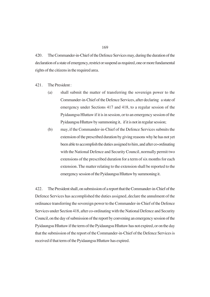420. The Commander-in-Chief of the Defence Services may, during the duration of the declaration of a state of emergency, restrict or suspend as required, one or more fundamental rights of the citizens in the required area.

- 421. The President :
	- (a) shall submit the matter of transferring the sovereign power to the Commander-in-Chief of the Defence Services, after declaring a state of emergency under Sections 417 and 418, to a regular session of the Pyidaungsu Hluttaw if it is in session, or to an emergency session of the Pyidaungsu Hluttaw by summoning it, if it is not in regular session;
	- (b) may, if the Commander-in-Chief of the Defence Services submits the extension of the prescribed duration by giving reasons why he has not yet been able to accomplish the duties assigned to him, and after co-ordinating with the National Defence and Security Council, normally permit two extensions of the prescribed duration for a term of six months for each extension. The matter relating to the extension shall be reported to the emergency session of the Pyidaungsu Hluttaw by summoning it.

422. The President shall, on submission of a report that the Commander-in-Chief of the Defence Services has accomplished the duties assigned, declare the annulment of the ordinance transferring the sovereign power to the Commander-in-Chief of the Defence Services under Section 418, after co-ordinating with the National Defence and Security Council, on the day of submission of the report by convening an emergency session of the Pyidaungsu Hluttaw if the term of the Pyidaungsu Hluttaw has not expired, or on the day that the submission of the report of the Commander-in-Chief of the Defence Services is received if that term of the Pyidaungsu Hluttaw has expired.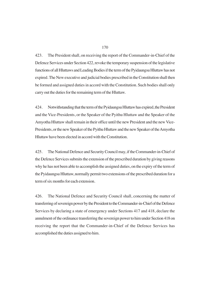423. The President shall, on receiving the report of the Commander-in-Chief of the Defence Services under Section 422, revoke the temporary suspension of the legislative functions of all Hluttaws and Leading Bodies if the term of the Pyidaungsu Hluttaw has not expired. The New executive and judicial bodies prescribed in the Constitution shall then be formed and assigned duties in accord with the Constitution. Such bodies shall only carry out the duties for the remaining term of the Hluttaw.

424. Notwithstanding that the term of the Pyidaungsu Hluttaw has expired, the President and the Vice-Presidents, or the Speaker of the Pyithu Hluttaw and the Speaker of the Amyotha Hluttaw shall remain in their office until the new President and the new Vice-Presidents, or the new Speaker of the Pyithu Hluttaw and the new Speaker of the Amyotha Hluttaw have been elected in accord with the Constitution.

425. The National Defence and Security Council may, if the Commander-in-Chief of the Defence Services submits the extension of the prescribed duration by giving reasons why he has not been able to accomplish the assigned duties, on the expiry of the term of the Pyidaungsu Hluttaw, normally permit two extensions of the prescribed duration for a term of six months for each extension.

426. The National Defence and Security Council shall, concerning the matter of transferring of sovereign power by the President to the Commander-in-Chief of the Defence Services by declaring a state of emergency under Sections 417 and 418, declare the annulment of the ordinance transferring the sovereign power to him under Section 418 on receiving the report that the Commander-in-Chief of the Defence Services has accomplished the duties assigned to him.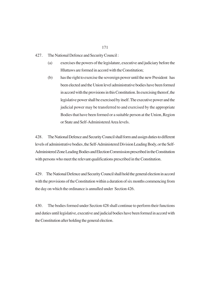- 427. The National Defence and Security Council :
	- (a) exercises the powers of the legislature, executive and judiciary before the Hluttaws are formed in accord with the Constitution;
	- (b) has the right to exercise the sovereign power until the new President has been elected and the Union level administrative bodies have been formed in accord with the provisions in this Constitution. In exercising thereof, the legislative power shall be exercised by itself. The executive power and the judicial power may be transferred to and exercised by the appropriate Bodies that have been formed or a suitable person at the Union, Region or State and Self-Administered Area levels.

428. The National Defence and Security Council shall form and assign duties to different levels of administrative bodies, the Self-Administered Division Leading Body, or the Self-Administered Zone Leading Bodies and Election Commission prescribed in the Constitution with persons who meet the relevant qualifications prescribed in the Constitution.

429. The National Defence and Security Council shall hold the general election in accord with the provisions of the Constitution within a duration of six months commencing from the day on which the ordinance is annulled under Section 426.

430. The bodies formed under Section 428 shall continue to perform their functions and duties until legislative, executive and judicial bodies have been formed in accord with the Constitution after holding the general election.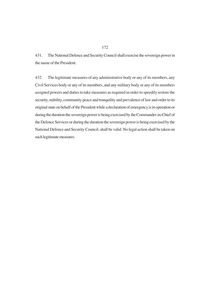431. The National Defence and Security Council shall exercise the sovereign power in the name of the President.

432. The legitimate measures of any administrative body or any of its members, any Civil Services body or any of its members, and any military body or any of its members assigned powers and duties to take measures as required in order to speedily restore the security, stability, community peace and tranquility and prevalence of law and order to its original state on behalf of the President while a declaration of emergency is in operation or during the duration the sovereign power is being exercised by the Commander-in-Chief of the Defence Services or during the duration the sovereign power is being exercised by the National Defence and Security Council, shall be valid. No legal action shall be taken on such legitimate measures.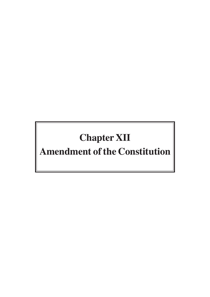## **Chapter XII**

# **Amendment of the Constitution**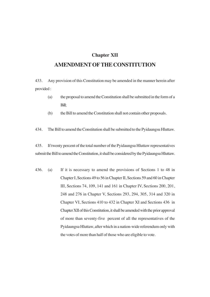#### **Chapter XII**

#### **AMENDMENT OF THE CONSTITUTION**

433. Any provision of this Constitution may be amended in the manner herein after provided :

- (a) the proposal to amend the Constitution shall be submitted in the form of a Bill;
- (b) the Bill to amend the Constitution shall not contain other proposals.
- 434. The Bill to amend the Constitution shall be submitted to the Pyidaungsu Hluttaw.

435. If twenty percent of the total number of the Pyidaungsu Hluttaw representatives submit the Bill to amend the Constitution, it shall be considered by the Pyidaungsu Hluttaw.

436. (a) If it is necessary to amend the provisions of Sections 1 to 48 in Chapter I, Sections 49 to 56 in Chapter II, Sections 59 and 60 in Chapter III, Sections 74, 109, 141 and 161 in Chapter IV, Sections 200, 201, 248 and 276 in Chapter V, Sections 293, 294, 305, 314 and 320 in Chapter VI, Sections 410 to 432 in Chapter XI and Sections 436 in Chapter XII of this Constitution, it shall be amended with the prior approval of more than seventy-five percent of all the representatives of the Pyidaungsu Hluttaw, after which in a nation-wide referendum only with the votes of more than half of those who are eligible to vote.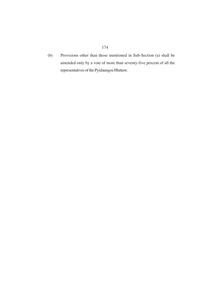(b) Provisions other than those mentioned in Sub-Section (a) shall be amended only by a vote of more than seventy-five percent of all the representatives of the Pyidaungsu Hluttaw.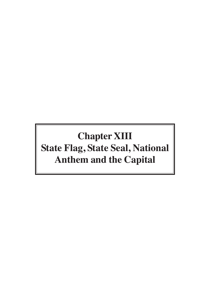## **Chapter XIII State Flag, State Seal, National Anthem and the Capital**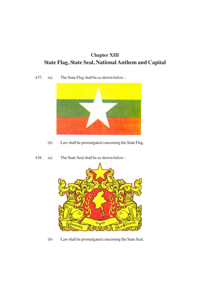### **Chapter XIII State Flag, State Seal, National Anthem and Capital**

437. (a) The State Flag shall be as shown below :



- (b) Law shall be promulgated concerning the State Flag.
	- သမ္မတ
- (b) Law shall be promulgated concerning the State Seal.

438. (a) The State Seal shall be as shown below :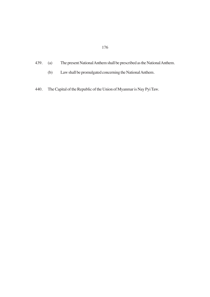- 176
- 439. (a) The present National Anthem shall be prescribed as the National Anthem.
	- (b) Law shall be promulgated concerning the National Anthem.
- 440. The Capital of the Republic of the Union of Myanmar is Nay Pyi Taw.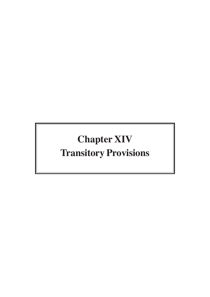## **Chapter XIV**

# **Transitory Provisions**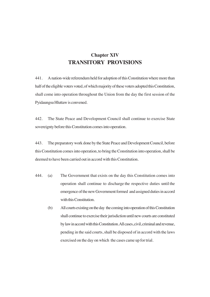### **Chapter XIV TRANSITORY PROVISIONS**

441. A nation-wide referendum held for adoption of this Constitution where more than half of the eligible voters voted, of which majority of these voters adopted this Constitution, shall come into operation throughout the Union from the day the first session of the Pyidaungsu Hluttaw is convened.

442. The State Peace and Development Council shall continue to exercise State sovereignty before this Constitution comes into operation.

443. The preparatory work done by the State Peace and Development Council, before this Constitution comes into operation, to bring the Constitution into operation, shall be deemed to have been carried out in accord with this Constitution.

- 444. (a) The Government that exists on the day this Constitution comes into operation shall continue to discharge the respective duties until the emergence of the new Government formed and assigned duties in accord with this Constitution.
	- (b) All courts existing on the day the coming into operation of this Constitution shall continue to exercise their jurisdiction until new courts are constituted by law in accord with this Constitution. All cases, civil, criminal and revenue, pending in the said courts, shall be disposed of in accord with the laws exercised on the day on which the cases came up for trial.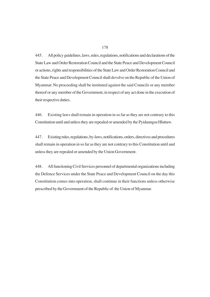445. All policy guidelines, laws, rules, regulations, notifications and declarations of the State Law and Order Restoration Council and the State Peace and Development Council or actions, rights and responsibilities of the State Law and Order Restoration Council and the State Peace and Development Council shall devolve on the Republic of the Union of Myanmar. No proceeding shall be instituted against the said Councils or any member thereof or any member of the Government, in respect of any act done in the execution of their respective duties.

446. Existing laws shall remain in operation in so far as they are not contrary to this Constitution until and unless they are repealed or amended by the Pyidaungsu Hluttaw.

447. Existing rules, regulations, by-laws, notifications, orders, directives and procedures shall remain in operation in so far as they are not contrary to this Constitution until and unless they are repealed or amended by the Union Government.

448. All functioning Civil Services personnel of departmental organizations including the Defence Services under the State Peace and Development Council on the day this Constitution comes into operation, shall continue in their functions unless otherwise prescribed by the Government of the Republic of the Union of Myanmar.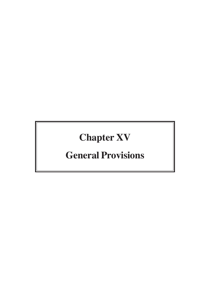## **Chapter XV**

## **General Provisions**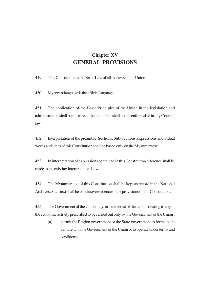### **Chapter XV GENERAL PROVISIONS**

449. This Constitution is the Basic Law of all the laws of the Union.

450. Myanmar language is the official language.

451. The application of the Basic Principles of the Union in the legislation and administration shall be the care of the Union but shall not be enforceable in any Court of law.

452. Interpretation of the preamble, Sections, Sub-Sections, expressions, individual words and ideas of this Constitution shall be based only on the Myanmar text.

453. In interpretation of expressions contained in this Constitution reference shall be made to the existing Interpretation Law.

454. The Myanmar text of this Constitution shall be kept as record in the National Archives. Such text shall be conclusive evidence of the provisions of this Constitution.

455. The Government of the Union may, in the interest of the Union, relating to any of the economic activity prescribed to be carried out only by the Government of the Union :

(a) permit the Region government or the State government to form a joint venture with the Government of the Union or to operate under terms and conditions;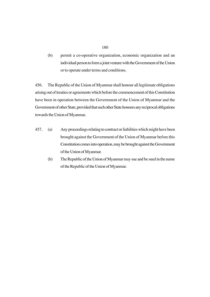(b) permit a co-operative organization, economic organization and an individual person to form a joint venture with the Government of the Union or to operate under terms and conditions.

456. The Republic of the Union of Myanmar shall honour all legitimate obligations arising out of treaties or agreements which before the commencement of this Constitution have been in operation between the Government of the Union of Myanmar and the Government of other State, provided that such other State honours any reciprocal obligations towards the Union of Myanmar.

- 457. (a) Any proceedings relating to contract or liabilities which might have been brought against the Government of the Union of Myanmar before this Constitution comes into operation, may be brought against the Government of the Union of Myanmar.
	- (b) The Republic of the Union of Myanmar may sue and be sued in the name of the Republic of the Union of Myanmar.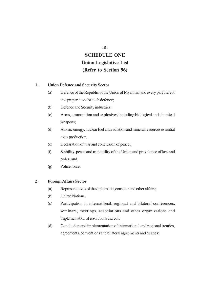### **SCHEDULE ONE Union Legislative List (Refer to Section 96)**

#### **1. Union Defence and Security Sector**

- (a) Defence of the Republic of the Union of Myanmar and every part thereof and preparation for such defence;
- (b) Defence and Security industries;
- (c) Arms, ammunition and explosives including biological and chemical weapons;
- (d) Atomic energy, nuclear fuel and radiation and mineral resources essential to its production;
- (e) Declaration of war and conclusion of peace;
- (f) Stability, peace and tranquility of the Union and prevalence of law and order; and
- (g) Police force.

#### **2. Foreign Affairs Sector**

- (a) Representatives of the diplomatic, consular and other affairs;
- (b) United Nations;
- (c) Participation in international, regional and bilateral conferences, seminars, meetings, associations and other organizations and implementation of resolutions thereof;
- (d) Conclusion and implementation of international and regional treaties, agreements, conventions and bilateral agreements and treaties;

#### 181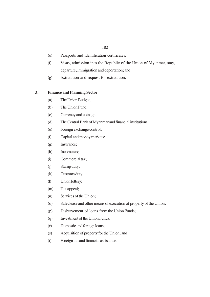- (e) Passports and identification certificates;
- (f) Visas, admission into the Republic of the Union of Myanmar, stay, departure, immigration and deportation; and
- (g) Extradition and request for extradition.

#### **3. Finance and Planning Sector**

- (a) The Union Budget;
- (b) The Union Fund;
- (c) Currency and coinage;
- (d) The Central Bank of Myanmar and financial institutions;
- (e) Foreign exchange control;
- (f) Capital and money markets;
- (g) Insurance;
- (h) Income tax;
- (i) Commercial tax;
- (j) Stamp duty;
- (k) Customs duty;
- (l) Union lottery;
- (m) Tax appeal;
- (n) Services of the Union;
- (o) Sale, lease and other means of execution of property of the Union;
- (p) Disbursement of loans from the Union Funds;
- (q) Investment of the Union Funds;
- (r) Domestic and foreign loans;
- (s) Acquisition of property for the Union; and
- (t) Foreign aid and financial assistance.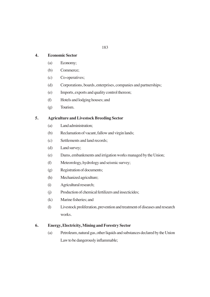#### **4. Economic Sector**

- (a) Economy;
- (b) Commerce;
- (c) Co-operatives;
- (d) Corporations, boards, enterprises, companies and partnerships;
- (e) Imports, exports and quality control thereon;
- (f) Hotels and lodging houses; and
- (g) Tourism.

#### **5. Agriculture and Livestock Breeding Sector**

- (a) Land administration;
- (b) Reclamation of vacant, fallow and virgin lands;
- (c) Settlements and land records;
- (d) Land survey;
- (e) Dams, embankments and irrigation works managed by the Union;
- (f) Meteorology, hydrology and seismic survey;
- (g) Registration of documents;
- (h) Mechanized agriculture;
- (i) Agricultural research;
- (j) Production of chemical fertilizers and insecticides;
- (k) Marine fisheries; and
- (l) Livestock proliferation, prevention and treatment of diseases and research works.

#### **6. Energy, Electricity, Mining and Forestry Sector**

(a) Petroleum, natural gas, other liquids and substances declared by the Union Law to be dangerously inflammable;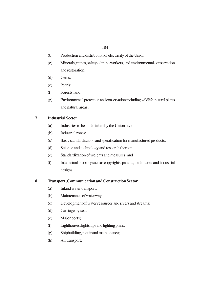- (b) Production and distribution of electricity of the Union;
- (c) Minerals, mines, safety of mine workers, and environmental conservation and restoration;
- (d) Gems;
- (e) Pearls;
- (f) Forests; and
- (g) Environmental protection and conservation including wildlife, natural plants and natural areas.

#### **7. Industrial Sector**

- (a) Industries to be undertaken by the Union level;
- (b) Industrial zones;
- (c) Basic standardization and specification for manufactured products;
- (d) Science and technology and research thereon;
- (e) Standardization of weights and measures; and
- (f) Intellectual property such as copyrights, patents, trademarks and industrial designs.

#### **8. Transport, Communication and Construction Sector**

- (a) Inland water transport;
- (b) Maintenance of waterways;
- (c) Development of water resources and rivers and streams;
- (d) Carriage by sea;
- (e) Major ports;
- (f) Lighthouses, lightships and lighting plans;
- (g) Shipbuilding, repair and maintenance;
- (h) Air transport;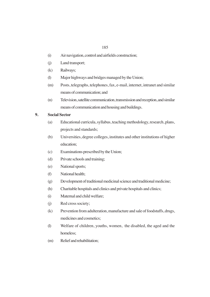- (i) Air navigation, control and airfields construction;
- (j) Land transport;
- (k) Railways;
- (l) Major highways and bridges managed by the Union;
- (m) Posts, telegraphs, telephones, fax, e-mail, internet, intranet and similar means of communication; and
- (n) Television, satellite communication, transmission and reception, and similar means of communication and housing and buildings.

#### **9. Social Sector**

- (a) Educational curricula, syllabus, teaching methodology, research, plans, projects and standards;
- (b) Universities, degree colleges, institutes and other institutions of higher education;
- (c) Examinations prescribed by the Union;
- (d) Private schools and training;
- (e) National sports;
- (f) National health;
- (g) Development of traditional medicinal science and traditional medicine;
- (h) Charitable hospitals and clinics and private hospitals and clinics;
- (i) Maternal and child welfare;
- (j) Red cross society;
- (k) Prevention from adulteration, manufacture and sale of foodstuffs, drugs, medicines and cosmetics;
- (l) Welfare of children, youths, women, the disabled, the aged and the homeless;
- (m) Relief and rehabilitation;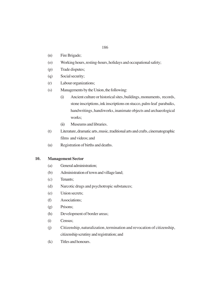- (n) Fire Brigade;
- (o) Working hours, resting-hours, holidays and occupational safety;
- (p) Trade disputes;
- (q) Social security;
- (r) Labour organizations;
- (s) Managements by the Union, the following:
	- (i) Ancient culture or historical sites, buildings, monuments, records, stone inscriptions, ink inscriptions on stucco, palm-leaf parabaiks, handwritings, handiworks, inanimate objects and archaeological works:
	- (ii) Museums and libraries.
- (t) Literature, dramatic arts, music, traditional arts and crafts, cinematographic films and videos; and
- (u) Registration of births and deaths.

#### **10. Management Sector**

- (a) General administration;
- (b) Administration of town and village land;
- (c) Tenants;
- (d) Narcotic drugs and psychotropic substances;
- (e) Union secrets;
- (f) Associations;
- (g) Prisons;
- (h) Development of border areas;
- (i) Census;
- (j) Citizenship, naturalization, termination and revocation of citizenship, citizenship scrutiny and registration; and
- (k) Titles and honours.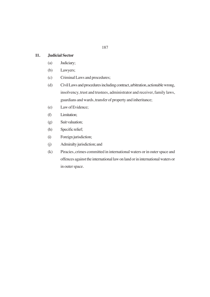#### **11. Judicial Sector**

- (a) Judiciary;
- (b) Lawyers;
- (c) Criminal Laws and procedures;
- (d) Civil Laws and procedures including contract, arbitration, actionable wrong, insolvency, trust and trustees, administrator and receiver, family laws, guardians and wards, transfer of property and inheritance;
- (e) Law of Evidence;
- (f) Limitation;
- (g) Suit valuation;
- (h) Specific relief;
- (i) Foreign jurisdiction;
- (j) Admiralty jurisdiction; and
- (k) Piracies, crimes committed in international waters or in outer space and offences against the international law on land or in international waters or in outer space.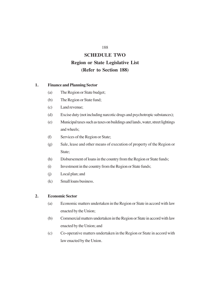### **SCHEDULE TWO Region or State Legislative List (Refer to Section 188)**

#### **1. Finance and Planning Sector**

- (a) The Region or State budget;
- (b) The Region or State fund;
- (c) Land revenue;
- (d) Excise duty (not including narcotic drugs and psychotropic substances);
- (e) Municipal taxes such as taxes on buildings and lands, water, street lightings and wheels;
- (f) Services of the Region or State;
- (g) Sale, lease and other means of execution of property of the Region or State;
- (h) Disbursement of loans in the country from the Region or State funds;
- (i) Investment in the country from the Region or State funds;
- (j) Local plan; and
- (k) Small loans business.

#### **2. Economic Sector**

- (a) Economic matters undertaken in the Region or State in accord with law enacted by the Union;
- (b) Commercial matters undertaken in the Region or State in accord with law enacted by the Union; and
- (c) Co-operative matters undertaken in the Region or State in accord with law enacted by the Union.

#### 188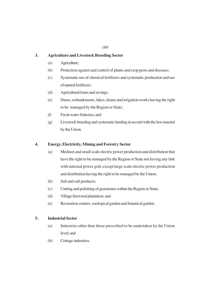#### **3. Agriculture and Livestock Breeding Sector**

- (a) Agriculture;
- (b) Protection against and control of plants and crop pests and diseases;
- (c) Systematic use of chemical fertilizers and systematic production and use of natural fertilizers;
- (d) Agricultural loans and savings;
- (e) Dams, embankments, lakes, drains and irrigation works having the right to be managed by the Region or State;
- (f) Fresh water fisheries; and
- (g) Livestock breeding and systematic herding in accord with the law enacted by the Union.

#### **4. Energy, Electricity, Mining and Forestry Sector**

- (a) Medium and small scale electric power production and distribution that have the right to be managed by the Region or State not having any link with national power grid, except large scale electric power production and distribution having the right to be managed by the Union;
- (b) Salt and salt products;
- (c) Cutting and polishing of gemstones within the Region or State;
- (d) Village firewood plantation; and
- (e) Recreation centers, zoological garden and botanical garden.

#### **5. Industrial Sector**

- (a) Industries other than those prescribed to be undertaken by the Union level; and
- (b) Cottage industries.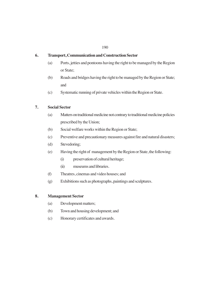#### **6. Transport, Communication and Construction Sector**

- (a) Ports, jetties and pontoons having the right to be managed by the Region or State;
- (b) Roads and bridges having the right to be managed by the Region or State; and
- (c) Systematic running of private vehicles within the Region or State.

#### **7. Social Sector**

- (a) Matters on traditional medicine not contrary to traditional medicine policies prescribed by the Union;
- (b) Social welfare works within the Region or State;
- (c) Preventive and precautionary measures against fire and natural disasters;
- (d) Stevedoring;
- (e) Having the right of management by the Region or State, the following:
	- (i) preservation of cultural heritage;
	- (ii) museums and libraries.
- (f) Theatres, cinemas and video houses; and
- (g) Exhibitions such as photographs, paintings and sculptures.

#### **8. Management Sector**

- (a) Development matters;
- (b) Town and housing development; and
- (c) Honorary certificates and awards.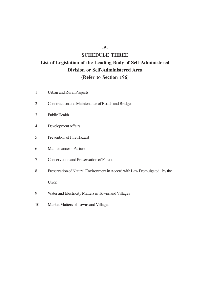### **SCHEDULE THREE List of Legislation of the Leading Body of Self-Administered Division or Self-Administered Area (Refer to Section 196)**

- 1. Urban and Rural Projects
- 2. Construction and Maintenance of Roads and Bridges
- 3. Public Health
- 4. Development Affairs
- 5. Prevention of Fire Hazard
- 6. Maintenance of Pasture
- 7. Conservation and Preservation of Forest
- 8. Preservation of Natural Environment in Accord with Law Promulgated by the **Union**
- 9. Water and Electricity Matters in Towns and Villages
- 10. Market Matters of Towns and Villages

#### 191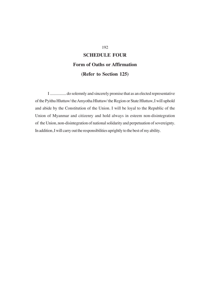### **SCHEDULE FOUR Form of Oaths or Affirmation (Refer to Section 125)**

I ................ do solemnly and sincerely promise that as an elected representative of the Pyithu Hluttaw/ the Amyotha Hluttaw/ the Region or State Hluttaw, I will uphold and abide by the Constitution of the Union. I will be loyal to the Republic of the Union of Myanmar and citizenry and hold always in esteem non-disintegration of the Union, non-disintegration of national solidarity and perpetuation of sovereignty. In addition, I will carry out the responsibilities uprightly to the best of my ability.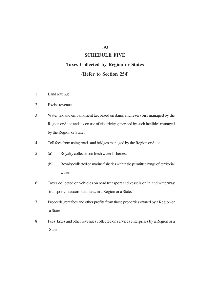## **SCHEDULE FIVE Taxes Collected by Region or States (Refer to Section 254)**

- 1. Land revenue.
- 2. Excise revenue.
- 3. Water tax and embankment tax based on dams and reservoirs managed by the Region or State and tax on use of electricity generated by such facilities managed by the Region or State.
- 4. Toll fees from using roads and bridges managed by the Region or State.
- 5. (a) Royalty collected on fresh water fisheries.
	- (b) Royalty collected on marine fisheries within the permitted range of territorial water.
- 6. Taxes collected on vehicles on road transport and vessels on inland waterway transport, in accord with law, in a Region or a State.
- 7. Proceeds, rent fees and other profits from those properties owned by a Region or a State.
- 8. Fees, taxes and other revenues collected on services enterprises by a Region or a State.

#### 193